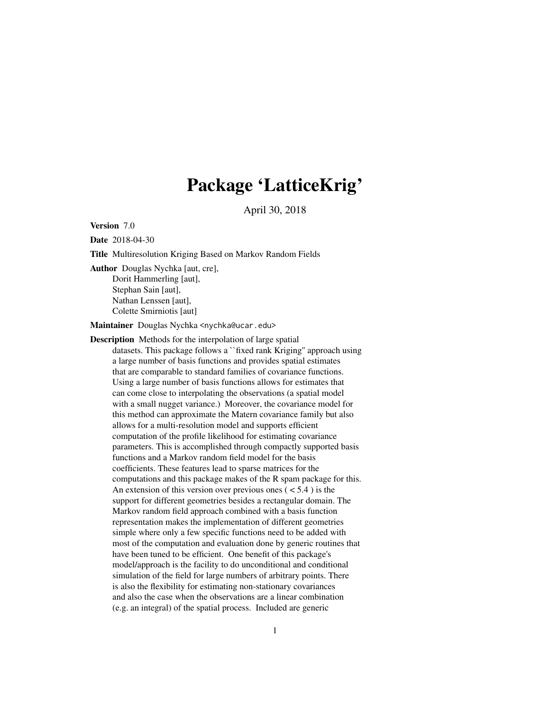# Package 'LatticeKrig'

April 30, 2018

<span id="page-0-0"></span>Version 7.0

Date 2018-04-30

Title Multiresolution Kriging Based on Markov Random Fields

Author Douglas Nychka [aut, cre], Dorit Hammerling [aut], Stephan Sain [aut], Nathan Lenssen [aut], Colette Smirniotis [aut]

Maintainer Douglas Nychka <nychka@ucar.edu>

Description Methods for the interpolation of large spatial datasets. This package follows a ``fixed rank Kriging'' approach using a large number of basis functions and provides spatial estimates that are comparable to standard families of covariance functions. Using a large number of basis functions allows for estimates that can come close to interpolating the observations (a spatial model with a small nugget variance.) Moreover, the covariance model for this method can approximate the Matern covariance family but also allows for a multi-resolution model and supports efficient computation of the profile likelihood for estimating covariance parameters. This is accomplished through compactly supported basis functions and a Markov random field model for the basis coefficients. These features lead to sparse matrices for the computations and this package makes of the R spam package for this. An extension of this version over previous ones  $(< 5.4$ ) is the support for different geometries besides a rectangular domain. The Markov random field approach combined with a basis function representation makes the implementation of different geometries simple where only a few specific functions need to be added with most of the computation and evaluation done by generic routines that have been tuned to be efficient. One benefit of this package's model/approach is the facility to do unconditional and conditional simulation of the field for large numbers of arbitrary points. There is also the flexibility for estimating non-stationary covariances and also the case when the observations are a linear combination (e.g. an integral) of the spatial process. Included are generic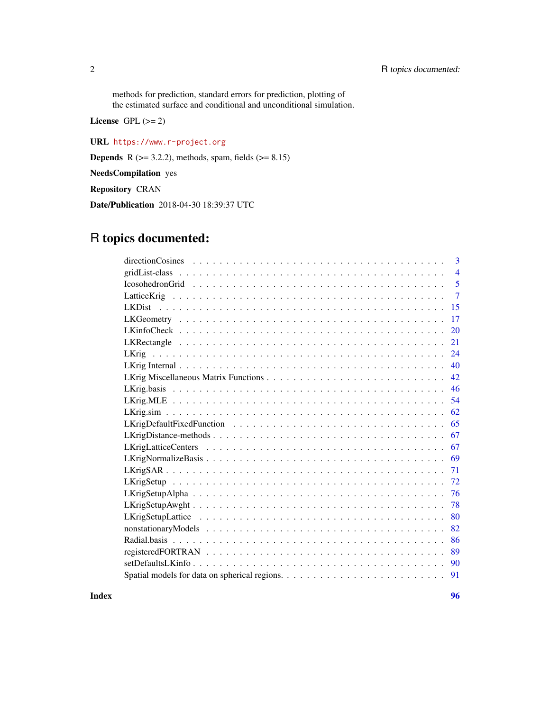methods for prediction, standard errors for prediction, plotting of the estimated surface and conditional and unconditional simulation.

License GPL  $(>= 2)$ 

URL <https://www.r-project.org>

**Depends** R ( $>= 3.2.2$ ), methods, spam, fields ( $>= 8.15$ )

NeedsCompilation yes

Repository CRAN

Date/Publication 2018-04-30 18:39:37 UTC

# R topics documented:

| 3                                            |
|----------------------------------------------|
| $\overline{4}$                               |
| 5<br>$I cosohedronGrid \t                  $ |
| $\overline{7}$                               |
| 15                                           |
| 17                                           |
| 20                                           |
| 21                                           |
| 24                                           |
| 40                                           |
| 42                                           |
| 46                                           |
| 54                                           |
| 62                                           |
| 65                                           |
| 67                                           |
| 67                                           |
| 69                                           |
| 71                                           |
| 72                                           |
| 76                                           |
| 78                                           |
| 80                                           |
| 82                                           |
| 86                                           |
| 89                                           |
| 90                                           |
| 91                                           |

**Index [96](#page-95-0)**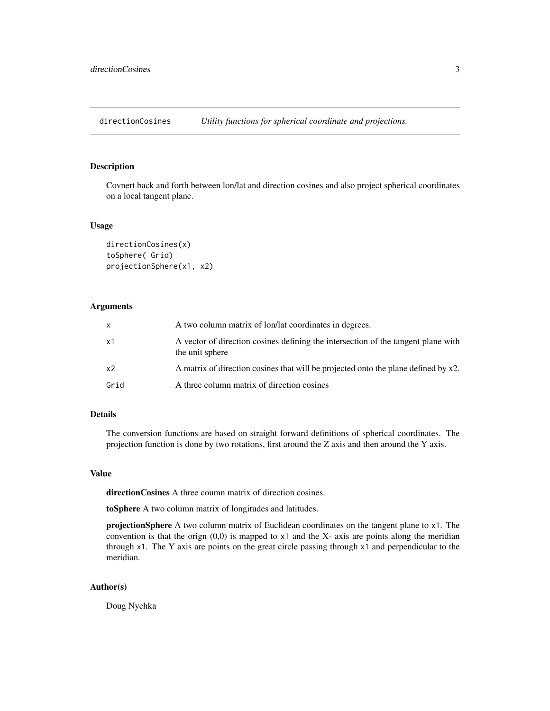<span id="page-2-0"></span>directionCosines *Utility functions for spherical coordinate and projections.*

#### Description

Covnert back and forth between lon/lat and direction cosines and also project spherical coordinates on a local tangent plane.

#### Usage

```
directionCosines(x)
toSphere( Grid)
projectionSphere(x1, x2)
```
# Arguments

| $\mathsf{x}$   | A two column matrix of lon/lat coordinates in degrees.                                               |
|----------------|------------------------------------------------------------------------------------------------------|
| x1             | A vector of direction cosines defining the intersection of the tangent plane with<br>the unit sphere |
| x <sub>2</sub> | A matrix of direction cosines that will be projected onto the plane defined by x2.                   |
| Grid           | A three column matrix of direction cosines                                                           |

# Details

The conversion functions are based on straight forward definitions of spherical coordinates. The projection function is done by two rotations, first around the Z axis and then around the Y axis.

# Value

directionCosines A three coumn matrix of direction cosines.

toSphere A two column matrix of longitudes and latitudes.

projectionSphere A two column matrix of Euclidean coordinates on the tangent plane to x1. The convention is that the orign  $(0,0)$  is mapped to  $x1$  and the X- axis are points along the meridian through  $x1$ . The Y axis are points on the great circle passing through  $x1$  and perpendicular to the meridian.

### Author(s)

Doug Nychka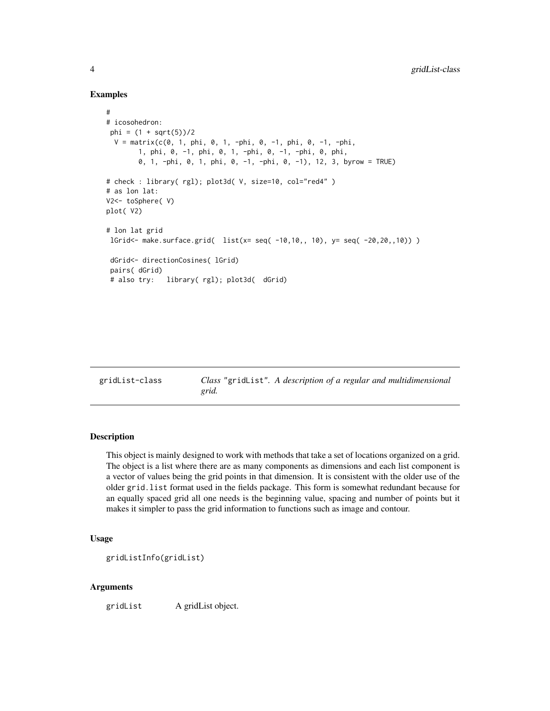#### Examples

```
#
# icosohedron:
phi = (1 + sqrt(5))/2V = matrix(c(0, 1, phi, 0, 1, -phi, 0, -1, phi, 0, -1, -phi,1, phi, 0, -1, phi, 0, 1, -phi, 0, -1, -phi, 0, phi,
       0, 1, -phi, 0, 1, phi, 0, -1, -phi, 0, -1), 12, 3, byrow = TRUE)
# check : library( rgl); plot3d( V, size=10, col="red4" )
# as lon lat:
V2<- toSphere( V)
plot( V2)
# lon lat grid
lGrid<- make.surface.grid( list(x= seq( -10,10,, 10), y= seq( -20,20,,10)) )
 dGrid<- directionCosines( lGrid)
pairs( dGrid)
 # also try: library( rgl); plot3d( dGrid)
```
gridList-class *Class* "gridList"*. A description of a regular and multidimensional grid.*

# Description

This object is mainly designed to work with methods that take a set of locations organized on a grid. The object is a list where there are as many components as dimensions and each list component is a vector of values being the grid points in that dimension. It is consistent with the older use of the older grid.list format used in the fields package. This form is somewhat redundant because for an equally spaced grid all one needs is the beginning value, spacing and number of points but it makes it simpler to pass the grid information to functions such as image and contour.

# Usage

```
gridListInfo(gridList)
```
# Arguments

gridList A gridList object.

<span id="page-3-0"></span>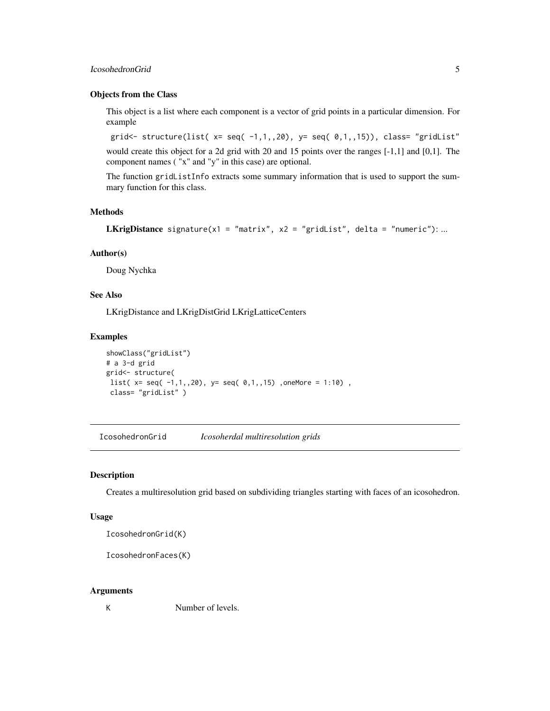# <span id="page-4-0"></span>IcosohedronGrid 5

#### Objects from the Class

This object is a list where each component is a vector of grid points in a particular dimension. For example

grid <- structure(list(  $x= \text{seq}(-1,1,20)$ ,  $y= \text{seq}(-0,1,15)$ ), class= "gridList"

would create this object for a 2d grid with 20 and 15 points over the ranges [-1,1] and [0,1]. The component names ( "x" and "y" in this case) are optional.

The function gridListInfo extracts some summary information that is used to support the summary function for this class.

# Methods

```
LKrigDistance signature(x1 = "matrix", x2 = "gridList", delta = "numeric"): ...
```
#### Author(s)

Doug Nychka

# See Also

LKrigDistance and LKrigDistGrid LKrigLatticeCenters

#### Examples

```
showClass("gridList")
# a 3-d grid
grid<- structure(
list( x= seq( -1,1,,20), y= seq( 0,1,15), oneMore = 1:10),
 class= "gridList" )
```
IcosohedronGrid *Icosoherdal multiresolution grids*

#### Description

Creates a multiresolution grid based on subdividing triangles starting with faces of an icosohedron.

#### Usage

IcosohedronGrid(K)

IcosohedronFaces(K)

#### Arguments

K Number of levels.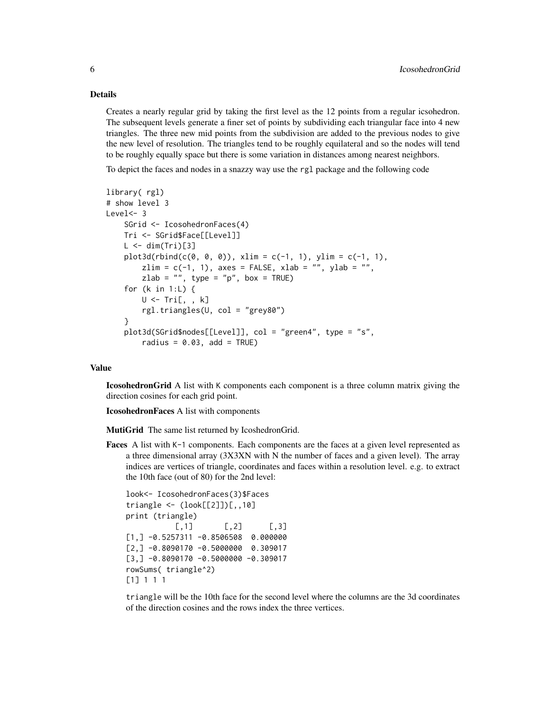#### Details

Creates a nearly regular grid by taking the first level as the 12 points from a regular icsohedron. The subsequent levels generate a finer set of points by subdividing each triangular face into 4 new triangles. The three new mid points from the subdivision are added to the previous nodes to give the new level of resolution. The triangles tend to be roughly equilateral and so the nodes will tend to be roughly equally space but there is some variation in distances among nearest neighbors.

To depict the faces and nodes in a snazzy way use the rgl package and the following code

```
library( rgl)
# show level 3
Level <- 3
    SGrid <- IcosohedronFaces(4)
    Tri <- SGrid$Face[[Level]]
    L \le -\dim(Tri)[3]plot3d(rbind(c(0, 0, 0)), xlim = c(-1, 1), ylim = c(-1, 1),zlim = c(-1, 1), axes = FALSE, xlab = "", ylab = "",
        zlab = ", type = "p", box = TRUE)
    for (k in 1:L) {
        U \leftarrow Tri[, , k]rgl.triangles(U, col = "grey80")
    }
    plot3d(SGrid$nodes[[Level]], col = "green4", type = "s",
        radius = 0.03, add = TRUE)
```
## Value

IcosohedronGrid A list with K components each component is a three column matrix giving the direction cosines for each grid point.

IcosohedronFaces A list with components

MutiGrid The same list returned by IcoshedronGrid.

Faces A list with K-1 components. Each components are the faces at a given level represented as a three dimensional array (3X3XN with N the number of faces and a given level). The array indices are vertices of triangle, coordinates and faces within a resolution level. e.g. to extract the 10th face (out of 80) for the 2nd level:

```
look<- IcosohedronFaces(3)$Faces
triangle <- (look[[2]])[,,10]
print (triangle)
          [0,1] [0,2] [0,3][1, ] -0.5257311 -0.8506508 0.000000[2,] -0.8090170 -0.5000000 0.309017[3,] -0.8090170 -0.5000000 -0.309017rowSums( triangle^2)
[1] 1 1 1
```
triangle will be the 10th face for the second level where the columns are the 3d coordinates of the direction cosines and the rows index the three vertices.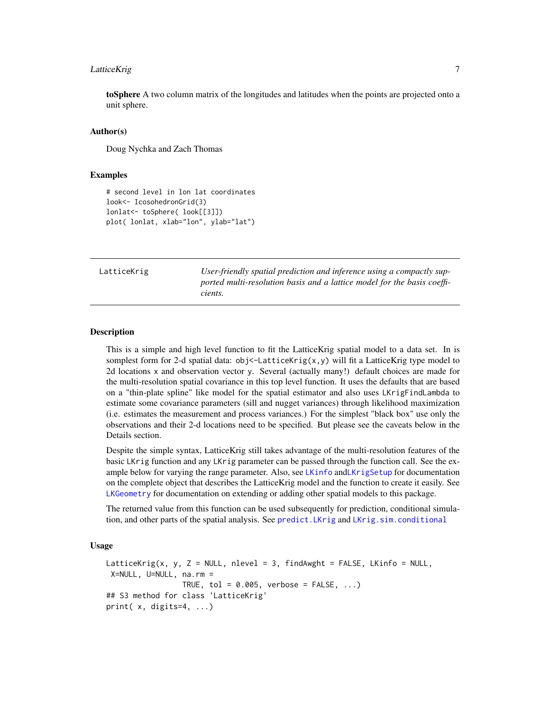# <span id="page-6-0"></span>LatticeKrig 7

toSphere A two column matrix of the longitudes and latitudes when the points are projected onto a unit sphere.

#### Author(s)

Doug Nychka and Zach Thomas

#### Examples

```
# second level in lon lat coordinates
look<- IcosohedronGrid(3)
lonlat<- toSphere( look[[3]])
plot( lonlat, xlab="lon", ylab="lat")
```
<span id="page-6-1"></span>

LatticeKrig *User-friendly spatial prediction and inference using a compactly supported multi-resolution basis and a lattice model for the basis coefficients.*

#### **Description**

This is a simple and high level function to fit the LatticeKrig spatial model to a data set. In is somplest form for 2-d spatial data: obj<-LatticeKrig(x,y) will fit a LatticeKrig type model to 2d locations x and observation vector y. Several (actually many!) default choices are made for the multi-resolution spatial covariance in this top level function. It uses the defaults that are based on a "thin-plate spline" like model for the spatial estimator and also uses LKrigFindLambda to estimate some covariance parameters (sill and nugget variances) through likelihood maximization (i.e. estimates the measurement and process variances.) For the simplest "black box" use only the observations and their 2-d locations need to be specified. But please see the caveats below in the Details section.

Despite the simple syntax, LatticeKrig still takes advantage of the multi-resolution features of the basic LKrig function and any LKrig parameter can be passed through the function call. See the ex-ample below for varying the range parameter. Also, see [LKinfo](#page-71-1) and[LKrigSetup](#page-71-2) for documentation on the complete object that describes the LatticeKrig model and the function to create it easily. See [LKGeometry](#page-16-1) for documentation on extending or adding other spatial models to this package.

The returned value from this function can be used subsequently for prediction, conditional simulation, and other parts of the spatial analysis. See [predict.LKrig](#page-23-1) and [LKrig.sim.conditional](#page-61-1)

#### Usage

```
LatticeKrig(x, y, Z = NULL, nlevel = 3, findAwght = FALSE, LKinfo = NULL,
X=NULL, U=NULL, na.rm =
                TRUE, tol = 0.005, verbose = FALSE, ...)
## S3 method for class 'LatticeKrig'
print( x, digits=4, ...)
```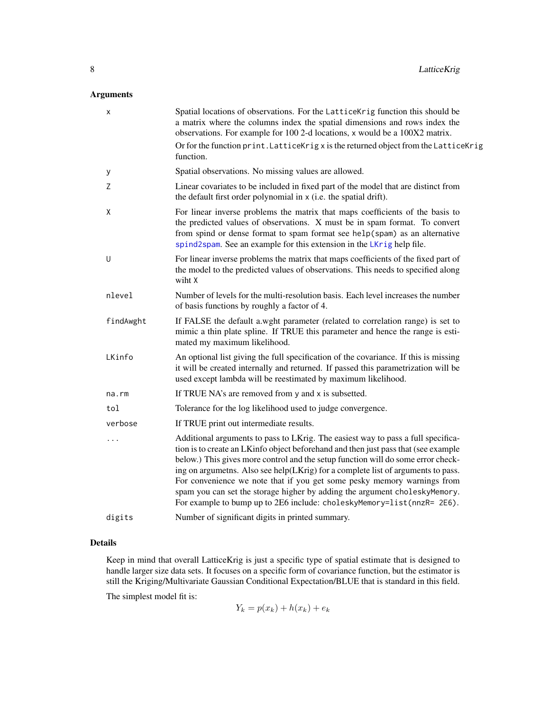# Arguments

| x         | Spatial locations of observations. For the LatticeKrig function this should be<br>a matrix where the columns index the spatial dimensions and rows index the<br>observations. For example for 100 2-d locations, x would be a 100X2 matrix.<br>Or for the function print. LatticeKrig x is the returned object from the LatticeKrig                                                                                                                                                                                                                                               |
|-----------|-----------------------------------------------------------------------------------------------------------------------------------------------------------------------------------------------------------------------------------------------------------------------------------------------------------------------------------------------------------------------------------------------------------------------------------------------------------------------------------------------------------------------------------------------------------------------------------|
|           | function.<br>Spatial observations. No missing values are allowed.                                                                                                                                                                                                                                                                                                                                                                                                                                                                                                                 |
| У<br>Ζ    | Linear covariates to be included in fixed part of the model that are distinct from<br>the default first order polynomial in x (i.e. the spatial drift).                                                                                                                                                                                                                                                                                                                                                                                                                           |
| X         | For linear inverse problems the matrix that maps coefficients of the basis to<br>the predicted values of observations. X must be in spam format. To convert<br>from spind or dense format to spam format see help(spam) as an alternative<br>spind2spam. See an example for this extension in the LKrig help file.                                                                                                                                                                                                                                                                |
| U         | For linear inverse problems the matrix that maps coefficients of the fixed part of<br>the model to the predicted values of observations. This needs to specified along<br>wiht X                                                                                                                                                                                                                                                                                                                                                                                                  |
| nlevel    | Number of levels for the multi-resolution basis. Each level increases the number<br>of basis functions by roughly a factor of 4.                                                                                                                                                                                                                                                                                                                                                                                                                                                  |
| findAwght | If FALSE the default a wght parameter (related to correlation range) is set to<br>mimic a thin plate spline. If TRUE this parameter and hence the range is esti-<br>mated my maximum likelihood.                                                                                                                                                                                                                                                                                                                                                                                  |
| LKinfo    | An optional list giving the full specification of the covariance. If this is missing<br>it will be created internally and returned. If passed this parametrization will be<br>used except lambda will be reestimated by maximum likelihood.                                                                                                                                                                                                                                                                                                                                       |
| na.rm     | If TRUE NA's are removed from y and x is subsetted.                                                                                                                                                                                                                                                                                                                                                                                                                                                                                                                               |
| tol       | Tolerance for the log likelihood used to judge convergence.                                                                                                                                                                                                                                                                                                                                                                                                                                                                                                                       |
| verbose   | If TRUE print out intermediate results.                                                                                                                                                                                                                                                                                                                                                                                                                                                                                                                                           |
|           | Additional arguments to pass to LKrig. The easiest way to pass a full specifica-<br>tion is to create an LKinfo object beforehand and then just pass that (see example<br>below.) This gives more control and the setup function will do some error check-<br>ing on argumetns. Also see help(LKrig) for a complete list of arguments to pass.<br>For convenience we note that if you get some pesky memory warnings from<br>spam you can set the storage higher by adding the argument choleskyMemory.<br>For example to bump up to 2E6 include: choleskyMemory=list(nnzR= 2E6). |
| digits    | Number of significant digits in printed summary.                                                                                                                                                                                                                                                                                                                                                                                                                                                                                                                                  |

#### Details

Keep in mind that overall LatticeKrig is just a specific type of spatial estimate that is designed to handle larger size data sets. It focuses on a specific form of covariance function, but the estimator is still the Kriging/Multivariate Gaussian Conditional Expectation/BLUE that is standard in this field.

The simplest model fit is:

$$
Y_k = p(x_k) + h(x_k) + e_k
$$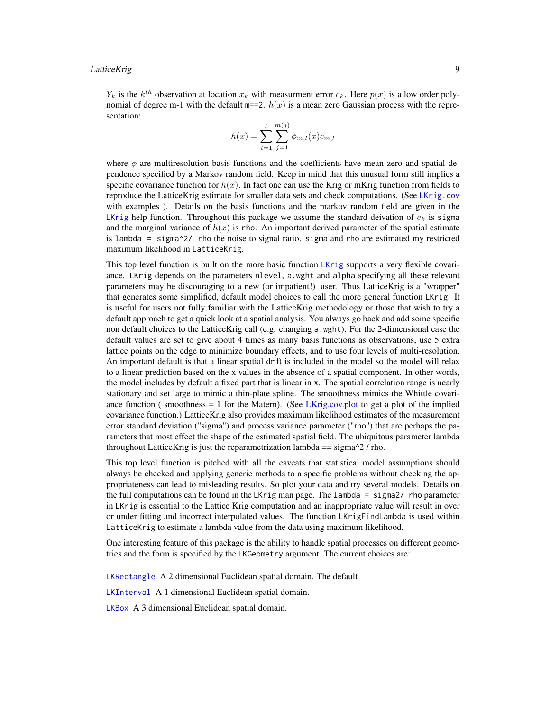#### LatticeKrig 9

 $Y_k$  is the  $k^{th}$  observation at location  $x_k$  with measurment error  $e_k$ . Here  $p(x)$  is a low order polynomial of degree m-1 with the default  $m == 2$ .  $h(x)$  is a mean zero Gaussian process with the representation:

$$
h(x) = \sum_{l=1}^{L} \sum_{j=1}^{m(j)} \phi_{m,l}(x) c_{m,l}
$$

where  $\phi$  are multiresolution basis functions and the coefficients have mean zero and spatial dependence specified by a Markov random field. Keep in mind that this unusual form still implies a specific covariance function for  $h(x)$ . In fact one can use the Krig or mKrig function from fields to reproduce the LatticeKrig estimate for smaller data sets and check computations. (See [LKrig.cov](#page-45-1) with examples ). Details on the basis functions and the markov random field are given in the [LKrig](#page-23-2) help function. Throughout this package we assume the standard deivation of  $e_k$  is sigma and the marginal variance of  $h(x)$  is rho. An important derived parameter of the spatial estimate is lambda = sigma^2/ rho the noise to signal ratio. sigma and rho are estimated my restricted maximum likelihood in LatticeKrig.

This top level function is built on the more basic function [LKrig](#page-23-2) supports a very flexible covariance. LKrig depends on the parameters nlevel, a.wght and alpha specifying all these relevant parameters may be discouraging to a new (or impatient!) user. Thus LatticeKrig is a "wrapper" that generates some simplified, default model choices to call the more general function LKrig. It is useful for users not fully familiar with the LatticeKrig methodology or those that wish to try a default approach to get a quick look at a spatial analysis. You always go back and add some specific non default choices to the LatticeKrig call (e.g. changing a.wght). For the 2-dimensional case the default values are set to give about 4 times as many basis functions as observations, use 5 extra lattice points on the edge to minimize boundary effects, and to use four levels of multi-resolution. An important default is that a linear spatial drift is included in the model so the model will relax to a linear prediction based on the x values in the absence of a spatial component. In other words, the model includes by default a fixed part that is linear in x. The spatial correlation range is nearly stationary and set large to mimic a thin-plate spline. The smoothness mimics the Whittle covariance function ( smoothness  $= 1$  for the Matern). (See [LKrig.cov.plot](#page-45-1) to get a plot of the implied covariance function.) LatticeKrig also provides maximum likelihood estimates of the measurement error standard deviation ("sigma") and process variance parameter ("rho") that are perhaps the parameters that most effect the shape of the estimated spatial field. The ubiquitous parameter lambda throughout LatticeKrig is just the reparametrization lambda  $=$  sigma $\frac{\gamma}{2}$  / rho.

This top level function is pitched with all the caveats that statistical model assumptions should always be checked and applying generic methods to a specific problems without checking the appropriateness can lead to misleading results. So plot your data and try several models. Details on the full computations can be found in the LKrig man page. The lambda = sigma2/ rho parameter in LKrig is essential to the Lattice Krig computation and an inappropriate value will result in over or under fitting and incorrect interpolated values. The function LKrigFindLambda is used within LatticeKrig to estimate a lambda value from the data using maximum likelihood.

One interesting feature of this package is the ability to handle spatial processes on different geometries and the form is specified by the LKGeometry argument. The current choices are:

[LKRectangle](#page-20-1) A 2 dimensional Euclidean spatial domain. The default

[LKInterval](#page-16-2) A 1 dimensional Euclidean spatial domain.

[LKBox](#page-16-2) A 3 dimensional Euclidean spatial domain.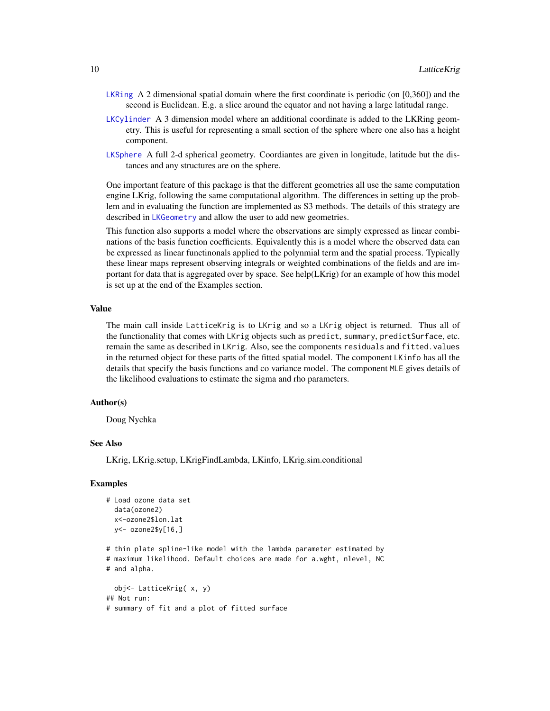- [LKRing](#page-90-1) A 2 dimensional spatial domain where the first coordinate is periodic (on [0,360]) and the second is Euclidean. E.g. a slice around the equator and not having a large latitudal range.
- [LKCylinder](#page-90-1) A 3 dimension model where an additional coordinate is added to the LKRing geometry. This is useful for representing a small section of the sphere where one also has a height component.
- [LKSphere](#page-90-1) A full 2-d spherical geometry. Coordiantes are given in longitude, latitude but the distances and any structures are on the sphere.

One important feature of this package is that the different geometries all use the same computation engine LKrig, following the same computational algorithm. The differences in setting up the problem and in evaluating the function are implemented as S3 methods. The details of this strategy are described in [LKGeometry](#page-16-1) and allow the user to add new geometries.

This function also supports a model where the observations are simply expressed as linear combinations of the basis function coefficients. Equivalently this is a model where the observed data can be expressed as linear functinonals applied to the polynmial term and the spatial process. Typically these linear maps represent observing integrals or weighted combinations of the fields and are important for data that is aggregated over by space. See help(LKrig) for an example of how this model is set up at the end of the Examples section.

#### Value

The main call inside LatticeKrig is to LKrig and so a LKrig object is returned. Thus all of the functionality that comes with LKrig objects such as predict, summary, predictSurface, etc. remain the same as described in LKrig. Also, see the components residuals and fitted.values in the returned object for these parts of the fitted spatial model. The component LKinfo has all the details that specify the basis functions and co variance model. The component MLE gives details of the likelihood evaluations to estimate the sigma and rho parameters.

#### Author(s)

Doug Nychka

# See Also

LKrig, LKrig.setup, LKrigFindLambda, LKinfo, LKrig.sim.conditional

#### Examples

```
# Load ozone data set
 data(ozone2)
 x<-ozone2$lon.lat
 y<- ozone2$y[16,]
```
# thin plate spline-like model with the lambda parameter estimated by # maximum likelihood. Default choices are made for a.wght, nlevel, NC

```
# and alpha.
```

```
obj<- LatticeKrig( x, y)
## Not run:
# summary of fit and a plot of fitted surface
```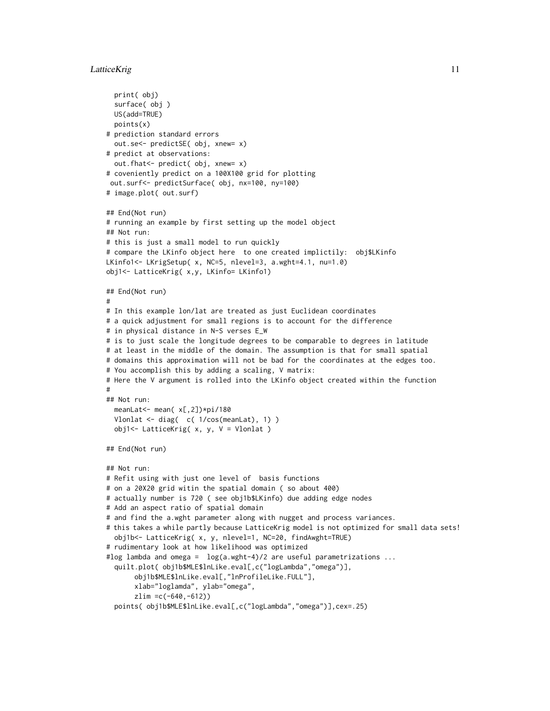#### LatticeKrig 11

```
print( obj)
  surface( obj )
  US(add=TRUE)
  points(x)
# prediction standard errors
  out.se<- predictSE( obj, xnew= x)
# predict at observations:
  out.fhat<- predict( obj, xnew= x)
# coveniently predict on a 100X100 grid for plotting
 out.surf<- predictSurface( obj, nx=100, ny=100)
# image.plot( out.surf)
## End(Not run)
# running an example by first setting up the model object
## Not run:
# this is just a small model to run quickly
# compare the LKinfo object here to one created implictily: obj$LKinfo
LKinfo1<- LKrigSetup( x, NC=5, nlevel=3, a.wght=4.1, nu=1.0)
obj1<- LatticeKrig( x,y, LKinfo= LKinfo1)
## End(Not run)
#
# In this example lon/lat are treated as just Euclidean coordinates
# a quick adjustment for small regions is to account for the difference
# in physical distance in N-S verses E_W
# is to just scale the longitude degrees to be comparable to degrees in latitude
# at least in the middle of the domain. The assumption is that for small spatial
# domains this approximation will not be bad for the coordinates at the edges too.
# You accomplish this by adding a scaling, V matrix:
# Here the V argument is rolled into the LKinfo object created within the function
#
## Not run:
  meanLat<- mean( x[,2])*pi/180
  Vlonlat <- diag( c( 1/cos(meanLat), 1) )
  obj1<- LatticeKrig( x, y, V = Vlonlat )
## End(Not run)
## Not run:
# Refit using with just one level of basis functions
# on a 20X20 grid witin the spatial domain ( so about 400)
# actually number is 720 ( see obj1b$LKinfo) due adding edge nodes
# Add an aspect ratio of spatial domain
# and find the a.wght parameter along with nugget and process variances.
# this takes a while partly because LatticeKrig model is not optimized for small data sets!
  obj1b<- LatticeKrig( x, y, nlevel=1, NC=20, findAwght=TRUE)
# rudimentary look at how likelihood was optimized
#log lambda and omega = log(a.wght-4)/2 are useful parametrizations ...
  quilt.plot( obj1b$MLE$lnLike.eval[,c("logLambda","omega")],
       obj1b$MLE$lnLike.eval[,"lnProfileLike.FULL"],
       xlab="loglamda", ylab="omega",
       zlim =c(-640,-612))
  points( obj1b$MLE$lnLike.eval[,c("logLambda","omega")],cex=.25)
```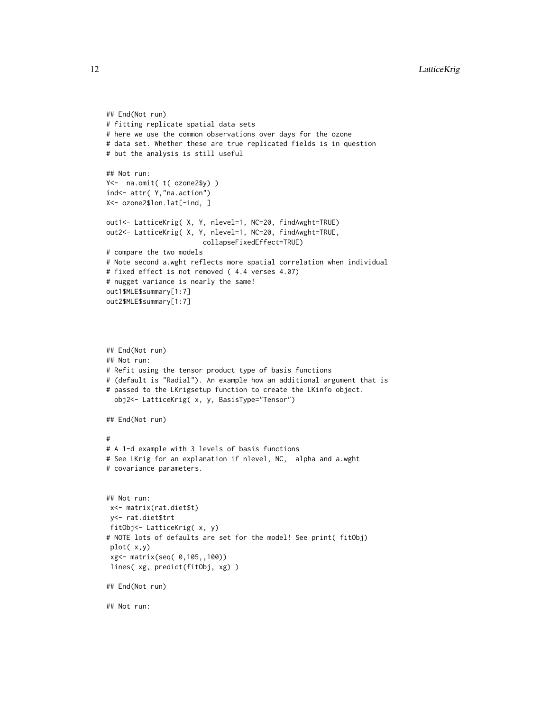```
## End(Not run)
# fitting replicate spatial data sets
# here we use the common observations over days for the ozone
# data set. Whether these are true replicated fields is in question
# but the analysis is still useful
## Not run:
Y<- na.omit( t( ozone2$y) )
ind<- attr( Y,"na.action")
X<- ozone2$lon.lat[-ind, ]
out1<- LatticeKrig( X, Y, nlevel=1, NC=20, findAwght=TRUE)
out2<- LatticeKrig( X, Y, nlevel=1, NC=20, findAwght=TRUE,
                        collapseFixedEffect=TRUE)
# compare the two models
# Note second a.wght reflects more spatial correlation when individual
# fixed effect is not removed ( 4.4 verses 4.07)
# nugget variance is nearly the same!
out1$MLE$summary[1:7]
out2$MLE$summary[1:7]
## End(Not run)
## Not run:
# Refit using the tensor product type of basis functions
# (default is "Radial"). An example how an additional argument that is
# passed to the LKrigsetup function to create the LKinfo object.
  obj2<- LatticeKrig( x, y, BasisType="Tensor")
## End(Not run)
#
# A 1-d example with 3 levels of basis functions
# See LKrig for an explanation if nlevel, NC, alpha and a.wght
# covariance parameters.
## Not run:
 x<- matrix(rat.diet$t)
 y<- rat.diet$trt
 fitObj<- LatticeKrig( x, y)
# NOTE lots of defaults are set for the model! See print( fitObj)
 plot( x,y)
 xg<- matrix(seq( 0,105,,100))
 lines( xg, predict(fitObj, xg) )
## End(Not run)
## Not run:
```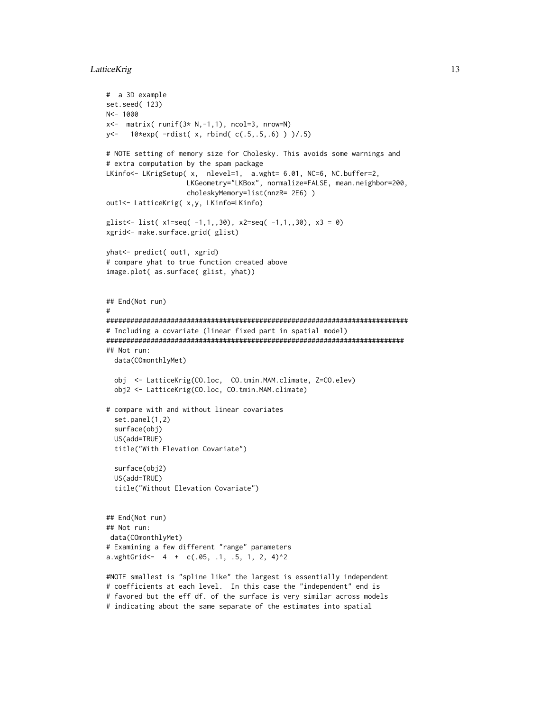# LatticeKrig 13

```
# a 3D example
set.seed( 123)
N<- 1000
x \leftarrow matrix( runif(3 \times N, -1, 1), ncol=3, nrow=N)
y<- 10*exp( -rdist( x, rbind( c(.5,.5,.6) ) )/.5)
# NOTE setting of memory size for Cholesky. This avoids some warnings and
# extra computation by the spam package
LKinfo<- LKrigSetup( x, nlevel=1, a.wght= 6.01, NC=6, NC.buffer=2,
                    LKGeometry="LKBox", normalize=FALSE, mean.neighbor=200,
                    choleskyMemory=list(nnzR= 2E6) )
out1<- LatticeKrig( x,y, LKinfo=LKinfo)
glist <- list(x1=seq(-1,1,30), x2=seq(-1,1,30), x3 = 0)
xgrid<- make.surface.grid( glist)
yhat<- predict( out1, xgrid)
# compare yhat to true function created above
image.plot( as.surface( glist, yhat))
## End(Not run)
#
###########################################################################
# Including a covariate (linear fixed part in spatial model)
##########################################################################
## Not run:
  data(COmonthlyMet)
  obj <- LatticeKrig(CO.loc, CO.tmin.MAM.climate, Z=CO.elev)
  obj2 <- LatticeKrig(CO.loc, CO.tmin.MAM.climate)
# compare with and without linear covariates
  set.panel(1,2)
  surface(obj)
  US(add=TRUE)
  title("With Elevation Covariate")
  surface(obj2)
  US(add=TRUE)
  title("Without Elevation Covariate")
## End(Not run)
## Not run:
 data(COmonthlyMet)
# Examining a few different "range" parameters
a.wghtGrid <- 4 + c(.05, .1, .5, 1, 2, 4)^2#NOTE smallest is "spline like" the largest is essentially independent
# coefficients at each level. In this case the "independent" end is
# favored but the eff df. of the surface is very similar across models
# indicating about the same separate of the estimates into spatial
```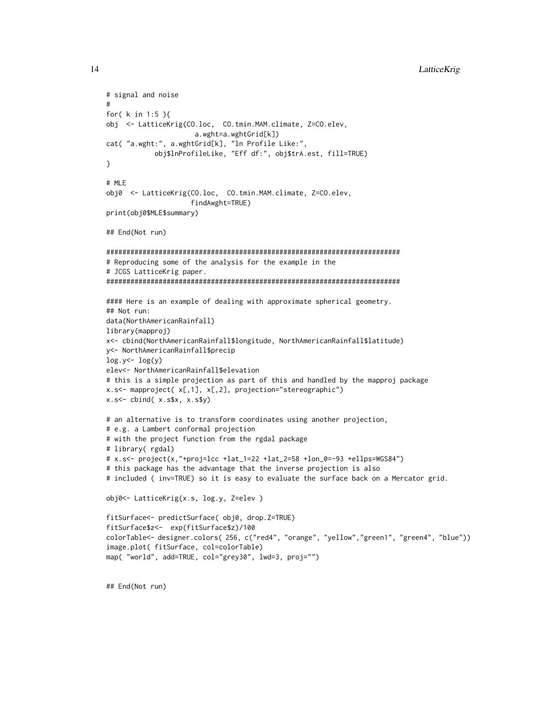```
# signal and noise
#
for( k in 1:5 ){
obj <- LatticeKrig(CO.loc, CO.tmin.MAM.climate, Z=CO.elev,
                      a.wght=a.wghtGrid[k])
cat( "a.wght:", a.wghtGrid[k], "ln Profile Like:",
            obj$lnProfileLike, "Eff df:", obj$trA.est, fill=TRUE)
}
# MLE
obj0 <- LatticeKrig(CO.loc, CO.tmin.MAM.climate, Z=CO.elev,
                     findAwght=TRUE)
print(obj0$MLE$summary)
## End(Not run)
#########################################################################
# Reproducing some of the analysis for the example in the
# JCGS LatticeKrig paper.
#########################################################################
#### Here is an example of dealing with approximate spherical geometry.
## Not run:
data(NorthAmericanRainfall)
library(mapproj)
x<- cbind(NorthAmericanRainfall$longitude, NorthAmericanRainfall$latitude)
y<- NorthAmericanRainfall$precip
log.y < - log(y)elev<- NorthAmericanRainfall$elevation
# this is a simple projection as part of this and handled by the mapproj package
x.s<- mapproject( x[,1], x[,2], projection="stereographic")
x.s \leftarrow \text{cbind}(x.s x, x.s xy)# an alternative is to transform coordinates using another projection,
# e.g. a Lambert conformal projection
# with the project function from the rgdal package
# library( rgdal)
# x.s<- project(x,"+proj=lcc +lat_1=22 +lat_2=58 +lon_0=-93 +ellps=WGS84")
# this package has the advantage that the inverse projection is also
# included ( inv=TRUE) so it is easy to evaluate the surface back on a Mercator grid.
obj0<- LatticeKrig(x.s, log.y, Z=elev )
fitSurface<- predictSurface( obj0, drop.Z=TRUE)
fitSurface$z<- exp(fitSurface$z)/100
colorTable<- designer.colors( 256, c("red4", "orange", "yellow","green1", "green4", "blue"))
image.plot( fitSurface, col=colorTable)
map( "world", add=TRUE, col="grey30", lwd=3, proj="")
```
## End(Not run)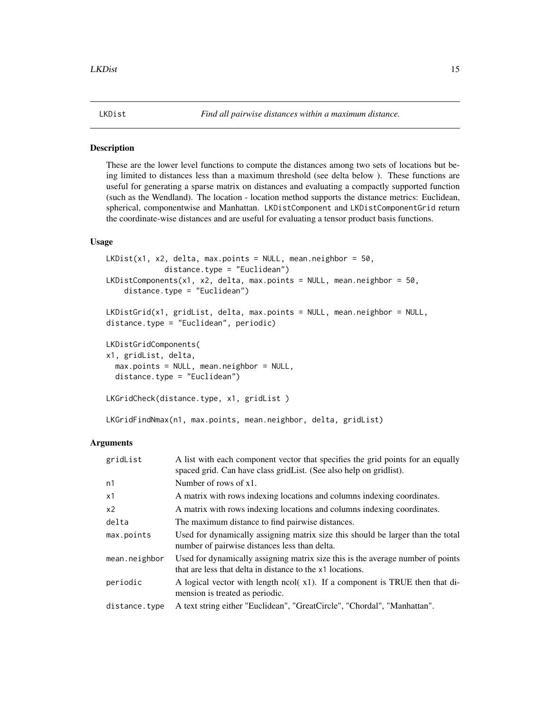# <span id="page-14-0"></span>**Description**

These are the lower level functions to compute the distances among two sets of locations but being limited to distances less than a maximum threshold (see delta below ). These functions are useful for generating a sparse matrix on distances and evaluating a compactly supported function (such as the Wendland). The location - location method supports the distance metrics: Euclidean, spherical, componentwise and Manhattan. LKDistComponent and LKDistComponentGrid return the coordinate-wise distances and are useful for evaluating a tensor product basis functions.

### Usage

```
LKDist(x1, x2, delta, max.points = NULL, mean.neighbor = 50.distance.type = "Euclidean")
LKDistComponents(x1, x2, delta, max.points = NULL, mean.neighbor = 50,
    distance.type = "Euclidean")
LKDistGrid(x1, gridList, delta, max.points = NULL, mean.neighbor = NULL,
distance.type = "Euclidean", periodic)
LKDistGridComponents(
x1, gridList, delta,
  max.points = NULL, mean.neighbor = NULL,
  distance.type = "Euclidean")
LKGridCheck(distance.type, x1, gridList )
LKGridFindNmax(n1, max.points, mean.neighbor, delta, gridList)
```
#### Arguments

| gridList      | A list with each component vector that specifies the grid points for an equally<br>spaced grid. Can have class gridList. (See also help on gridlist). |
|---------------|-------------------------------------------------------------------------------------------------------------------------------------------------------|
| n1            | Number of rows of x1.                                                                                                                                 |
| x1            | A matrix with rows indexing locations and columns indexing coordinates.                                                                               |
| x2            | A matrix with rows indexing locations and columns indexing coordinates.                                                                               |
| delta         | The maximum distance to find pairwise distances.                                                                                                      |
| max.points    | Used for dynamically assigning matrix size this should be larger than the total<br>number of pairwise distances less than delta.                      |
| mean.neighbor | Used for dynamically assigning matrix size this is the average number of points<br>that are less that delta in distance to the x1 locations.          |
| periodic      | A logical vector with length ncol(x1). If a component is TRUE then that di-<br>mension is treated as periodic.                                        |
| distance.type | A text string either "Euclidean", "GreatCircle", "Chordal", "Manhattan".                                                                              |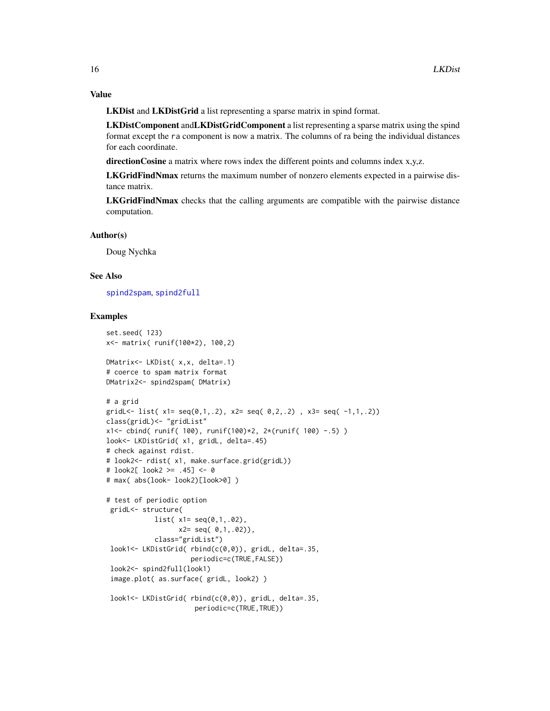# Value

LKDist and LKDistGrid a list representing a sparse matrix in spind format.

LKDistComponent andLKDistGridComponent a list representing a sparse matrix using the spind format except the ra component is now a matrix. The columns of ra being the individual distances for each coordinate.

directionCosine a matrix where rows index the different points and columns index x,y,z.

LKGridFindNmax returns the maximum number of nonzero elements expected in a pairwise distance matrix.

LKGridFindNmax checks that the calling arguments are compatible with the pairwise distance computation.

#### Author(s)

Doug Nychka

# See Also

[spind2spam](#page-0-0), [spind2full](#page-0-0)

#### Examples

```
set.seed( 123)
x<- matrix( runif(100*2), 100,2)
DMatrix<- LKDist( x,x, delta=.1)
# coerce to spam matrix format
DMatrix2<- spind2spam( DMatrix)
# a grid
gridL <- list(x1 = \text{seq}(0,1,.2), x2 = \text{seq}(0,2,.2), x3 = \text{seq}(-1,1,.2))
class(gridL)<- "gridList"
x1<- cbind( runif( 100), runif(100)*2, 2*(runif( 100) -.5) )
look<- LKDistGrid( x1, gridL, delta=.45)
# check against rdist.
# look2<- rdist( x1, make.surface.grid(gridL))
# look2[ look2 >= .45] <- 0
# max( abs(look- look2)[look>0] )
# test of periodic option
 gridL<- structure(
            list( x1= seq(0,1,.02),
                  x2= seq( 0,1,.02)),
            class="gridList")
 look1<- LKDistGrid( rbind(c(0,0)), gridL, delta=.35,
                     periodic=c(TRUE,FALSE))
 look2<- spind2full(look1)
 image.plot( as.surface( gridL, look2) )
 look1<- LKDistGrid( rbind(c(0,0)), gridL, delta=.35,
                      periodic=c(TRUE,TRUE))
```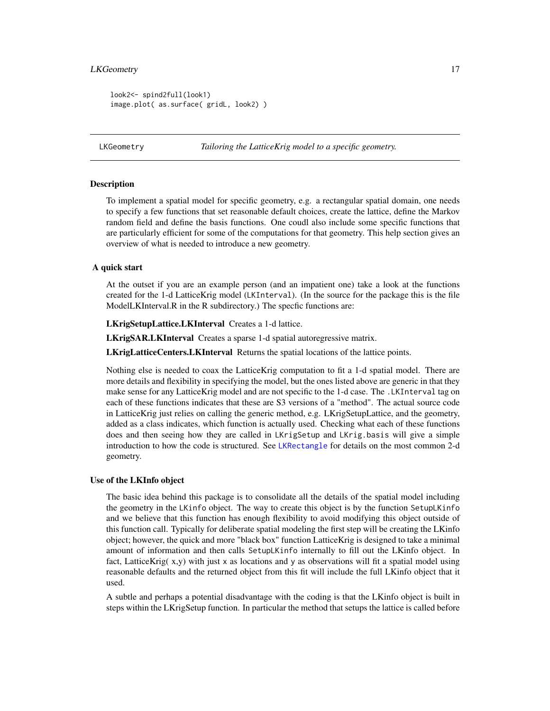#### <span id="page-16-0"></span>LKGeometry 17

```
look2<- spind2full(look1)
image.plot( as.surface( gridL, look2) )
```
<span id="page-16-1"></span>LKGeometry *Tailoring the LatticeKrig model to a specific geometry.*

## <span id="page-16-2"></span>**Description**

To implement a spatial model for specific geometry, e.g. a rectangular spatial domain, one needs to specify a few functions that set reasonable default choices, create the lattice, define the Markov random field and define the basis functions. One coudl also include some specific functions that are particularly efficient for some of the computations for that geometry. This help section gives an overview of what is needed to introduce a new geometry.

#### A quick start

At the outset if you are an example person (and an impatient one) take a look at the functions created for the 1-d LatticeKrig model (LKInterval). (In the source for the package this is the file ModelLKInterval.R in the R subdirectory.) The specfic functions are:

LKrigSetupLattice.LKInterval Creates a 1-d lattice.

LKrigSAR.LKInterval Creates a sparse 1-d spatial autoregressive matrix.

LKrigLatticeCenters.LKInterval Returns the spatial locations of the lattice points.

Nothing else is needed to coax the LatticeKrig computation to fit a 1-d spatial model. There are more details and flexibility in specifying the model, but the ones listed above are generic in that they make sense for any LatticeKrig model and are not specific to the 1-d case. The .LKInterval tag on each of these functions indicates that these are S3 versions of a "method". The actual source code in LatticeKrig just relies on calling the generic method, e.g. LKrigSetupLattice, and the geometry, added as a class indicates, which function is actually used. Checking what each of these functions does and then seeing how they are called in LKrigSetup and LKrig.basis will give a simple introduction to how the code is structured. See [LKRectangle](#page-20-1) for details on the most common 2-d geometry.

#### Use of the LKInfo object

The basic idea behind this package is to consolidate all the details of the spatial model including the geometry in the LKinfo object. The way to create this object is by the function SetupLKinfo and we believe that this function has enough flexibility to avoid modifying this object outside of this function call. Typically for deliberate spatial modeling the first step will be creating the LKinfo object; however, the quick and more "black box" function LatticeKrig is designed to take a minimal amount of information and then calls SetupLKinfo internally to fill out the LKinfo object. In fact, LatticeKrig( $x,y$ ) with just x as locations and y as observations will fit a spatial model using reasonable defaults and the returned object from this fit will include the full LKinfo object that it used.

A subtle and perhaps a potential disadvantage with the coding is that the LKinfo object is built in steps within the LKrigSetup function. In particular the method that setups the lattice is called before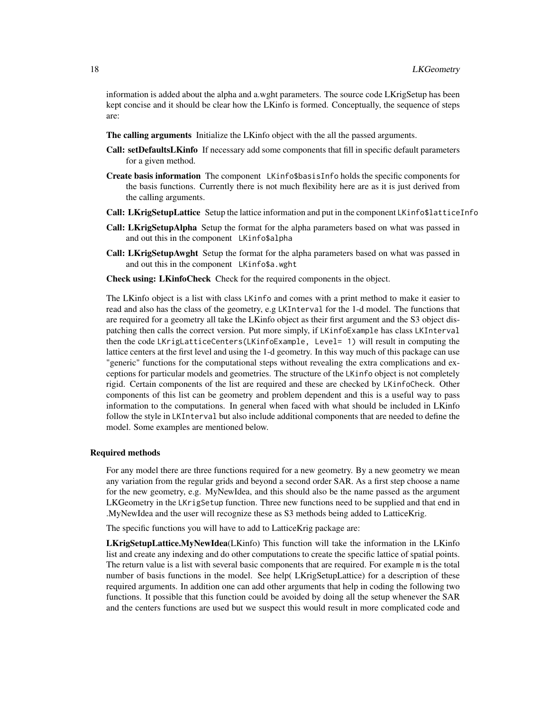information is added about the alpha and a.wght parameters. The source code LKrigSetup has been kept concise and it should be clear how the LKinfo is formed. Conceptually, the sequence of steps are:

- The calling arguments Initialize the LKinfo object with the all the passed arguments.
- Call: setDefaultsLKinfo If necessary add some components that fill in specific default parameters for a given method.
- Create basis information The component LKinfo\$basisInfo holds the specific components for the basis functions. Currently there is not much flexibility here are as it is just derived from the calling arguments.
- Call: LKrigSetupLattice Setup the lattice information and put in the component LKinfo\$latticeInfo
- Call: LKrigSetupAlpha Setup the format for the alpha parameters based on what was passed in and out this in the component LKinfo\$alpha
- Call: LKrigSetupAwght Setup the format for the alpha parameters based on what was passed in and out this in the component LKinfo\$a.wght

Check using: LKinfoCheck Check for the required components in the object.

The LKinfo object is a list with class LKinfo and comes with a print method to make it easier to read and also has the class of the geometry, e.g LKInterval for the 1-d model. The functions that are required for a geometry all take the LKinfo object as their first argument and the S3 object dispatching then calls the correct version. Put more simply, if LKinfoExample has class LKInterval then the code LKrigLatticeCenters(LKinfoExample, Level= 1) will result in computing the lattice centers at the first level and using the 1-d geometry. In this way much of this package can use "generic" functions for the computational steps without revealing the extra complications and exceptions for particular models and geometries. The structure of the LKinfo object is not completely rigid. Certain components of the list are required and these are checked by LKinfoCheck. Other components of this list can be geometry and problem dependent and this is a useful way to pass information to the computations. In general when faced with what should be included in LKinfo follow the style in LKInterval but also include additional components that are needed to define the model. Some examples are mentioned below.

#### Required methods

For any model there are three functions required for a new geometry. By a new geometry we mean any variation from the regular grids and beyond a second order SAR. As a first step choose a name for the new geometry, e.g. MyNewIdea, and this should also be the name passed as the argument LKGeometry in the LKrigSetup function. Three new functions need to be supplied and that end in .MyNewIdea and the user will recognize these as S3 methods being added to LatticeKrig.

The specific functions you will have to add to LatticeKrig package are:

LKrigSetupLattice.MyNewIdea(LKinfo) This function will take the information in the LKinfo list and create any indexing and do other computations to create the specific lattice of spatial points. The return value is a list with several basic components that are required. For example m is the total number of basis functions in the model. See help( LKrigSetupLattice) for a description of these required arguments. In addition one can add other arguments that help in coding the following two functions. It possible that this function could be avoided by doing all the setup whenever the SAR and the centers functions are used but we suspect this would result in more complicated code and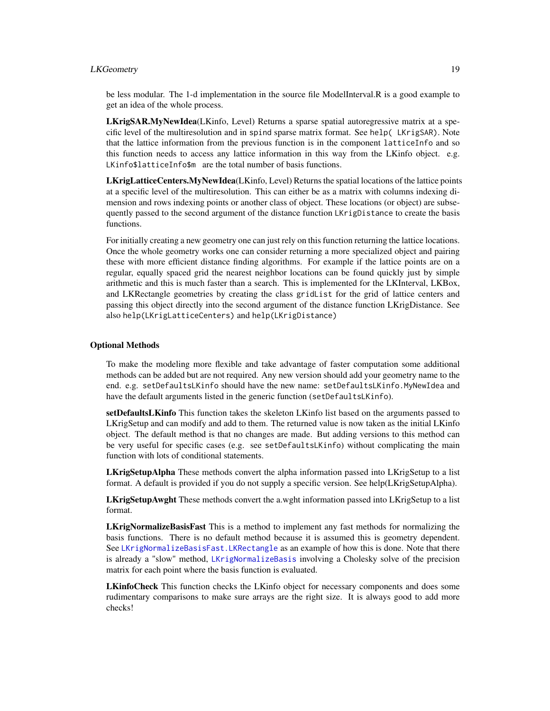# LKGeometry 19

be less modular. The 1-d implementation in the source file ModelInterval.R is a good example to get an idea of the whole process.

LKrigSAR.MyNewIdea(LKinfo, Level) Returns a sparse spatial autoregressive matrix at a specific level of the multiresolution and in spind sparse matrix format. See help( LKrigSAR). Note that the lattice information from the previous function is in the component latticeInfo and so this function needs to access any lattice information in this way from the LKinfo object. e.g. LKinfo\$latticeInfo\$m are the total number of basis functions.

LKrigLatticeCenters.MyNewIdea(LKinfo, Level) Returns the spatial locations of the lattice points at a specific level of the multiresolution. This can either be as a matrix with columns indexing dimension and rows indexing points or another class of object. These locations (or object) are subsequently passed to the second argument of the distance function LKrigDistance to create the basis functions.

For initially creating a new geometry one can just rely on this function returning the lattice locations. Once the whole geometry works one can consider returning a more specialized object and pairing these with more efficient distance finding algorithms. For example if the lattice points are on a regular, equally spaced grid the nearest neighbor locations can be found quickly just by simple arithmetic and this is much faster than a search. This is implemented for the LKInterval, LKBox, and LKRectangle geometries by creating the class gridList for the grid of lattice centers and passing this object directly into the second argument of the distance function LKrigDistance. See also help(LKrigLatticeCenters) and help(LKrigDistance)

# Optional Methods

To make the modeling more flexible and take advantage of faster computation some additional methods can be added but are not required. Any new version should add your geometry name to the end. e.g. setDefaultsLKinfo should have the new name: setDefaultsLKinfo.MyNewIdea and have the default arguments listed in the generic function (setDefaultsLKinfo).

setDefaultsLKinfo This function takes the skeleton LKinfo list based on the arguments passed to LKrigSetup and can modify and add to them. The returned value is now taken as the initial LKinfo object. The default method is that no changes are made. But adding versions to this method can be very useful for specific cases (e.g. see setDefaultsLKinfo) without complicating the main function with lots of conditional statements.

LKrigSetupAlpha These methods convert the alpha information passed into LKrigSetup to a list format. A default is provided if you do not supply a specific version. See help(LKrigSetupAlpha).

LKrigSetupAwght These methods convert the a.wght information passed into LKrigSetup to a list format.

LKrigNormalizeBasisFast This is a method to implement any fast methods for normalizing the basis functions. There is no default method because it is assumed this is geometry dependent. See [LKrigNormalizeBasisFast.LKRectangle](#page-68-1) as an example of how this is done. Note that there is already a "slow" method, [LKrigNormalizeBasis](#page-68-2) involving a Cholesky solve of the precision matrix for each point where the basis function is evaluated.

LKinfoCheck This function checks the LKinfo object for necessary components and does some rudimentary comparisons to make sure arrays are the right size. It is always good to add more checks!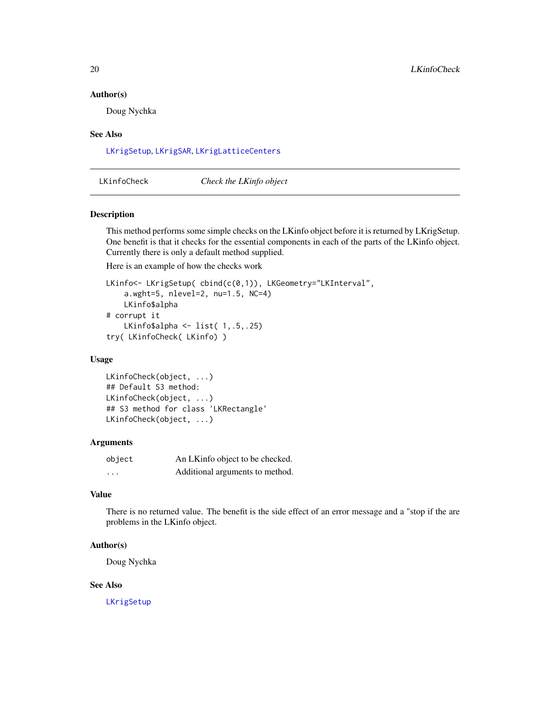#### <span id="page-19-0"></span>Author(s)

Doug Nychka

#### See Also

[LKrigSetup](#page-71-2), [LKrigSAR](#page-70-1), [LKrigLatticeCenters](#page-66-1)

LKinfoCheck *Check the LKinfo object*

#### Description

This method performs some simple checks on the LKinfo object before it is returned by LKrigSetup. One benefit is that it checks for the essential components in each of the parts of the LKinfo object. Currently there is only a default method supplied.

Here is an example of how the checks work

```
LKinfo<- LKrigSetup( cbind(c(0,1)), LKGeometry="LKInterval",
    a.wght=5, nlevel=2, nu=1.5, NC=4)
   LKinfo$alpha
# corrupt it
   LKinfo$alpha <- list( 1,.5,.25)
try( LKinfoCheck( LKinfo) )
```
#### Usage

```
LKinfoCheck(object, ...)
## Default S3 method:
LKinfoCheck(object, ...)
## S3 method for class 'LKRectangle'
LKinfoCheck(object, ...)
```
#### Arguments

| object   | An LKinfo object to be checked. |
|----------|---------------------------------|
| $\cdots$ | Additional arguments to method. |

# Value

There is no returned value. The benefit is the side effect of an error message and a "stop if the are problems in the LKinfo object.

#### Author(s)

Doug Nychka

#### See Also

[LKrigSetup](#page-71-2)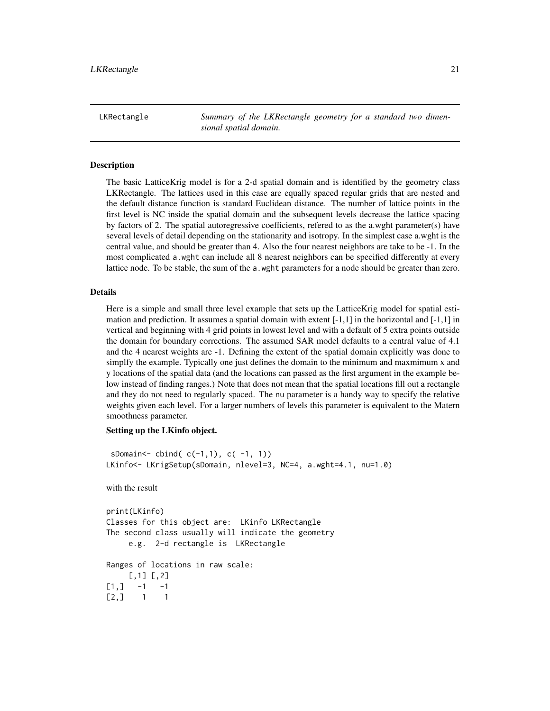<span id="page-20-1"></span><span id="page-20-0"></span>LKRectangle *Summary of the LKRectangle geometry for a standard two dimensional spatial domain.*

#### **Description**

The basic LatticeKrig model is for a 2-d spatial domain and is identified by the geometry class LKRectangle. The lattices used in this case are equally spaced regular grids that are nested and the default distance function is standard Euclidean distance. The number of lattice points in the first level is NC inside the spatial domain and the subsequent levels decrease the lattice spacing by factors of 2. The spatial autoregressive coefficients, refered to as the a.wght parameter(s) have several levels of detail depending on the stationarity and isotropy. In the simplest case a.wght is the central value, and should be greater than 4. Also the four nearest neighbors are take to be -1. In the most complicated a.wght can include all 8 nearest neighbors can be specified differently at every lattice node. To be stable, the sum of the a.wght parameters for a node should be greater than zero.

# Details

Here is a simple and small three level example that sets up the LatticeKrig model for spatial estimation and prediction. It assumes a spatial domain with extent  $[-1,1]$  in the horizontal and  $[-1,1]$  in vertical and beginning with 4 grid points in lowest level and with a default of 5 extra points outside the domain for boundary corrections. The assumed SAR model defaults to a central value of 4.1 and the 4 nearest weights are -1. Defining the extent of the spatial domain explicitly was done to simplfy the example. Typically one just defines the domain to the minimum and maxmimum x and y locations of the spatial data (and the locations can passed as the first argument in the example below instead of finding ranges.) Note that does not mean that the spatial locations fill out a rectangle and they do not need to regularly spaced. The nu parameter is a handy way to specify the relative weights given each level. For a larger numbers of levels this parameter is equivalent to the Matern smoothness parameter.

#### Setting up the LKinfo object.

```
sDomain <- cbind(c(-1,1), c(-1, 1))
LKinfo<- LKrigSetup(sDomain, nlevel=3, NC=4, a.wght=4.1, nu=1.0)
with the result
print(LKinfo)
Classes for this object are: LKinfo LKRectangle
The second class usually will indicate the geometry
    e.g. 2-d rectangle is LKRectangle
Ranges of locations in raw scale:
    [0.1] [0.2][1,] -1 -1[2,] 1 1
```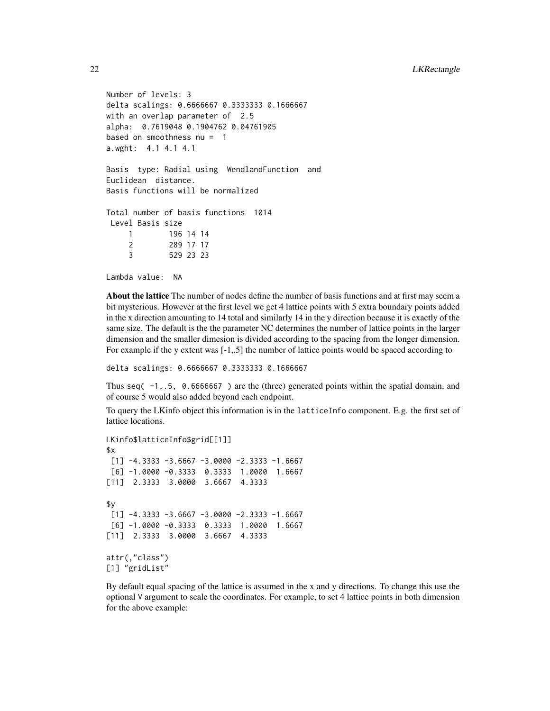```
Number of levels: 3
delta scalings: 0.6666667 0.3333333 0.1666667
with an overlap parameter of 2.5
alpha: 0.7619048 0.1904762 0.04761905
based on smoothness nu = 1
a.wght: 4.1 4.1 4.1
Basis type: Radial using WendlandFunction and
Euclidean distance.
Basis functions will be normalized
Total number of basis functions 1014
Level Basis size
    1 196 14 14
    2 289 17 17
    3 529 23 23
```
Lambda value: NA

About the lattice The number of nodes define the number of basis functions and at first may seem a bit mysterious. However at the first level we get 4 lattice points with 5 extra boundary points added in the x direction amounting to 14 total and similarly 14 in the y direction because it is exactly of the same size. The default is the the parameter NC determines the number of lattice points in the larger dimension and the smaller dimesion is divided according to the spacing from the longer dimension. For example if the y extent was [-1,.5] the number of lattice points would be spaced according to

delta scalings: 0.6666667 0.3333333 0.1666667

Thus seq  $(-1, 5, 0.6666667)$  are the (three) generated points within the spatial domain, and of course 5 would also added beyond each endpoint.

To query the LKinfo object this information is in the latticeInfo component. E.g. the first set of lattice locations.

```
LKinfo$latticeInfo$grid[[1]]
x[1] -4.3333 -3.6667 -3.0000 -2.3333 -1.6667
[6] -1.0000 -0.3333 0.3333 1.0000 1.6667
[11] 2.3333 3.0000 3.6667 4.3333
$y
[1] -4.3333 -3.6667 -3.0000 -2.3333 -1.6667
[6] -1.0000 -0.3333 0.3333 1.0000 1.6667
[11] 2.3333 3.0000 3.6667 4.3333
attr(,"class")
[1] "gridList"
```
By default equal spacing of the lattice is assumed in the x and y directions. To change this use the optional V argument to scale the coordinates. For example, to set 4 lattice points in both dimension for the above example: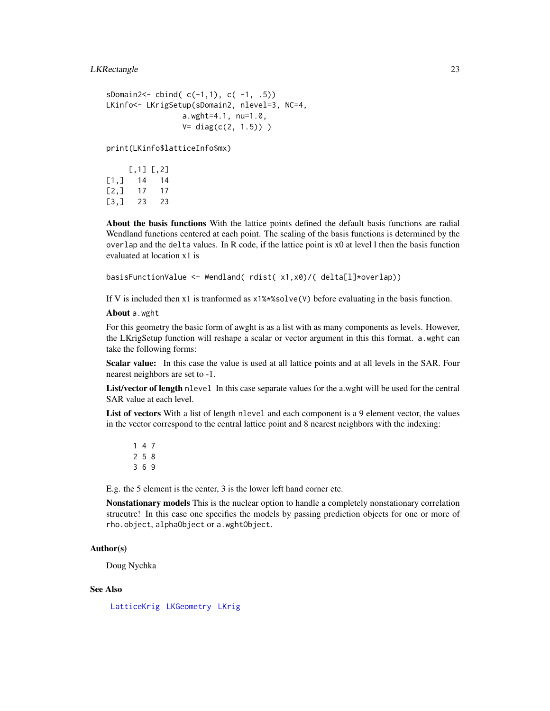#### LKRectangle 23

```
sDomain2<- cbind( c(-1,1), c(-1, .5))LKinfo<- LKrigSetup(sDomain2, nlevel=3, NC=4,
                a.wght=4.1, nu=1.0,
                V = diag(c(2, 1.5)))
```
print(LKinfo\$latticeInfo\$mx)

|                    | $[0.1]$ $[0.2]$ |    |
|--------------------|-----------------|----|
| $\left[1, \right]$ | 14              | 14 |
| [2,1]              | 17              | 17 |
| [3,1]              | 23              | 23 |

About the basis functions With the lattice points defined the default basis functions are radial Wendland functions centered at each point. The scaling of the basis functions is determined by the overlap and the delta values. In R code, if the lattice point is x0 at level l then the basis function evaluated at location x1 is

basisFunctionValue <- Wendland( rdist( x1,x0)/( delta[l]\*overlap))

If V is included then x1 is tranformed as  $x1\$ \*  $x\$ solve(V) before evaluating in the basis function.

About a.wght

For this geometry the basic form of awght is as a list with as many components as levels. However, the LKrigSetup function will reshape a scalar or vector argument in this this format. a.wght can take the following forms:

Scalar value: In this case the value is used at all lattice points and at all levels in the SAR. Four nearest neighbors are set to -1.

List/vector of length nlevel In this case separate values for the a.wght will be used for the central SAR value at each level.

List of vectors With a list of length nlevel and each component is a 9 element vector, the values in the vector correspond to the central lattice point and 8 nearest neighbors with the indexing:

E.g. the 5 element is the center, 3 is the lower left hand corner etc.

Nonstationary models This is the nuclear option to handle a completely nonstationary correlation strucutre! In this case one specifies the models by passing prediction objects for one or more of rho.object, alphaObject or a.wghtObject.

# Author(s)

Doug Nychka

#### See Also

[LatticeKrig](#page-6-1) [LKGeometry](#page-16-1) [LKrig](#page-23-2)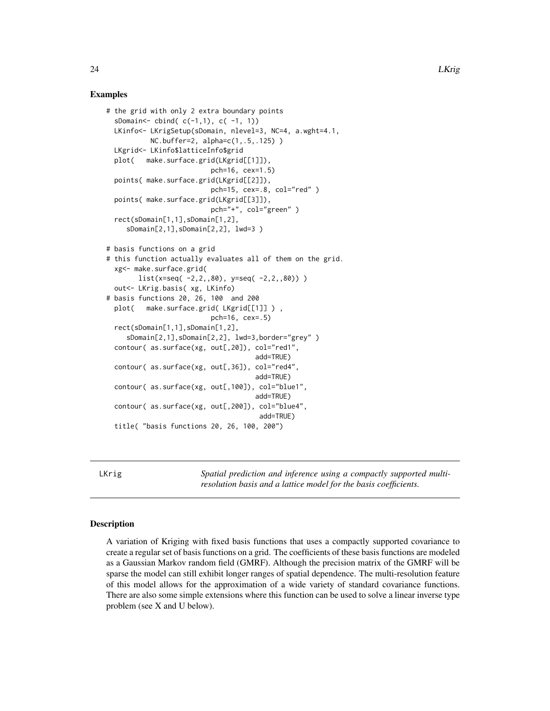# Examples

```
# the grid with only 2 extra boundary points
 sDomain <- cbind(c(-1,1), c(-1, 1))
 LKinfo<- LKrigSetup(sDomain, nlevel=3, NC=4, a.wght=4.1,
          NC.buffer=2, alpha=c(1,.5,.125) )
 LKgrid<- LKinfo$latticeInfo$grid
 plot( make.surface.grid(LKgrid[[1]]),
                          pch=16, cex=1.5)
 points( make.surface.grid(LKgrid[[2]]),
                          pch=15, cex=.8, col="red" )
 points( make.surface.grid(LKgrid[[3]]),
                          pch="+", col="green" )
 rect(sDomain[1,1],sDomain[1,2],
     sDomain[2,1],sDomain[2,2], lwd=3 )
# basis functions on a grid
# this function actually evaluates all of them on the grid.
 xg<- make.surface.grid(
       list(x=seq(-2, 2, 0.80), y=seq(-2, 2, 0.80))out<- LKrig.basis( xg, LKinfo)
# basis functions 20, 26, 100 and 200
 plot( make.surface.grid( LKgrid[[1]] ) ,
                          pch=16, cex=.5)
 rect(sDomain[1,1],sDomain[1,2],
     sDomain[2,1],sDomain[2,2], lwd=3,border="grey" )
 contour( as.surface(xg, out[,20]), col="red1",
                                     add=TRUE)
 contour( as.surface(xg, out[,36]), col="red4",
                                     add=TRUE)
 contour( as.surface(xg, out[,100]), col="blue1",
                                     add=TRUE)
 contour( as.surface(xg, out[,200]), col="blue4",
                                      add=TRUE)
 title( "basis functions 20, 26, 100, 200")
```
<span id="page-23-2"></span>LKrig *Spatial prediction and inference using a compactly supported multiresolution basis and a lattice model for the basis coefficients.*

# <span id="page-23-1"></span>**Description**

A variation of Kriging with fixed basis functions that uses a compactly supported covariance to create a regular set of basis functions on a grid. The coefficients of these basis functions are modeled as a Gaussian Markov random field (GMRF). Although the precision matrix of the GMRF will be sparse the model can still exhibit longer ranges of spatial dependence. The multi-resolution feature of this model allows for the approximation of a wide variety of standard covariance functions. There are also some simple extensions where this function can be used to solve a linear inverse type problem (see X and U below).

<span id="page-23-0"></span>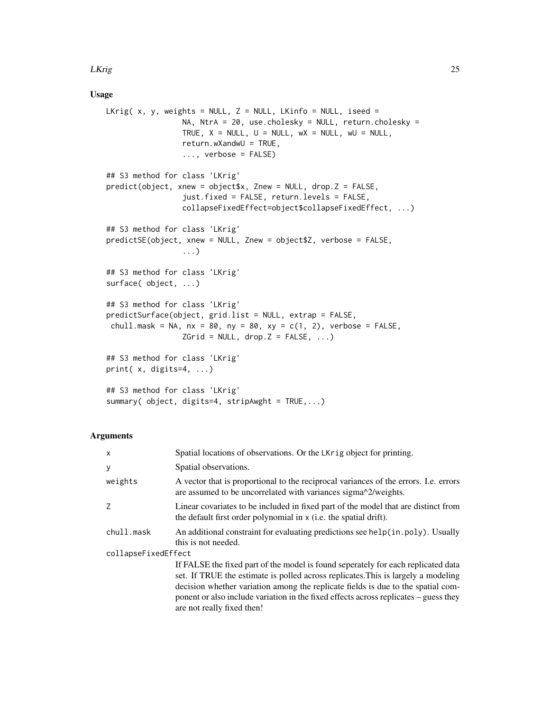#### LKrig 25

### Usage

```
LKrig( x, y, weights = NULL, Z = NULL, LKinfo = NULL, iseed =
                 NA, NtrA = 20, use.cholesky = NULL, return.cholesky =
                 TRUE, X = NULL, U = NULL, WX = NULL, wU = NULL,
                 return.wXandwU = TRUE,
                 ..., verbose = FALSE)
## S3 method for class 'LKrig'
predict(object, xnew = object$x, Znew = NULL, drop.Z = FALSE,
                 just.fixed = FALSE, return.levels = FALSE,
                 collapseFixedEffect=object$collapseFixedEffect, ...)
## S3 method for class 'LKrig'
predictSE(object, xnew = NULL, Znew = object$Z, verbose = FALSE,
                 ...)
## S3 method for class 'LKrig'
surface( object, ...)
## S3 method for class 'LKrig'
predictSurface(object, grid.list = NULL, extrap = FALSE,
chull.mask = NA, nx = 80, ny = 80, xy = c(1, 2), verbose = FALSE,
                 ZGrid = NULL, drop.Z = FALSE, ...)## S3 method for class 'LKrig'
print( x, digits=4, ...)
## S3 method for class 'LKrig'
summary( object, digits=4, stripAwght = TRUE,...)
```
#### Arguments

| X                   | Spatial locations of observations. Or the LKrig object for printing.                                                                                                                                                                                                                                                                                                             |  |
|---------------------|----------------------------------------------------------------------------------------------------------------------------------------------------------------------------------------------------------------------------------------------------------------------------------------------------------------------------------------------------------------------------------|--|
| У                   | Spatial observations.                                                                                                                                                                                                                                                                                                                                                            |  |
| weights             | A vector that is proportional to the reciprocal variances of the errors. I.e. errors<br>are assumed to be uncorrelated with variances sigma $\frac{\text{log}n}{2}$ weights.                                                                                                                                                                                                     |  |
| Z                   | Linear covariates to be included in fixed part of the model that are distinct from<br>the default first order polynomial in x (i.e. the spatial drift).                                                                                                                                                                                                                          |  |
| chull.mask          | An additional constraint for evaluating predictions see help $(in.poly)$ . Usually<br>this is not needed.                                                                                                                                                                                                                                                                        |  |
| collapseFixedEffect |                                                                                                                                                                                                                                                                                                                                                                                  |  |
|                     | If FALSE the fixed part of the model is found seperately for each replicated data<br>set. If TRUE the estimate is polled across replicates. This is largely a modeling<br>decision whether variation among the replicate fields is due to the spatial com-<br>ponent or also include variation in the fixed effects across replicates – guess they<br>are not really fixed then! |  |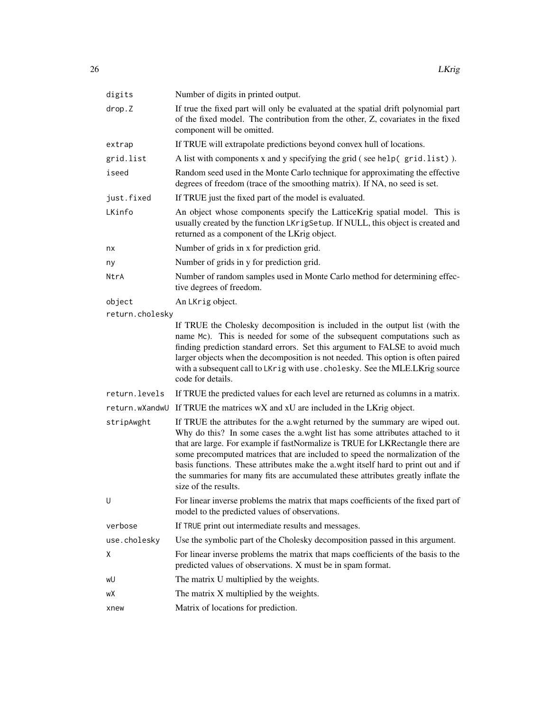| digits          | Number of digits in printed output.                                                                                                                                                                                                                                                                                                                                                                                                                                                                                               |
|-----------------|-----------------------------------------------------------------------------------------------------------------------------------------------------------------------------------------------------------------------------------------------------------------------------------------------------------------------------------------------------------------------------------------------------------------------------------------------------------------------------------------------------------------------------------|
| drop.Z          | If true the fixed part will only be evaluated at the spatial drift polynomial part<br>of the fixed model. The contribution from the other, Z, covariates in the fixed<br>component will be omitted.                                                                                                                                                                                                                                                                                                                               |
| extrap          | If TRUE will extrapolate predictions beyond convex hull of locations.                                                                                                                                                                                                                                                                                                                                                                                                                                                             |
| grid.list       | A list with components x and y specifying the grid (see help(grid.list)).                                                                                                                                                                                                                                                                                                                                                                                                                                                         |
| iseed           | Random seed used in the Monte Carlo technique for approximating the effective<br>degrees of freedom (trace of the smoothing matrix). If NA, no seed is set.                                                                                                                                                                                                                                                                                                                                                                       |
| just.fixed      | If TRUE just the fixed part of the model is evaluated.                                                                                                                                                                                                                                                                                                                                                                                                                                                                            |
| LKinfo          | An object whose components specify the LatticeKrig spatial model. This is<br>usually created by the function LKrigSetup. If NULL, this object is created and<br>returned as a component of the LKrig object.                                                                                                                                                                                                                                                                                                                      |
| nx              | Number of grids in x for prediction grid.                                                                                                                                                                                                                                                                                                                                                                                                                                                                                         |
| ny              | Number of grids in y for prediction grid.                                                                                                                                                                                                                                                                                                                                                                                                                                                                                         |
| NtrA            | Number of random samples used in Monte Carlo method for determining effec-<br>tive degrees of freedom.                                                                                                                                                                                                                                                                                                                                                                                                                            |
| object          | An LKrig object.                                                                                                                                                                                                                                                                                                                                                                                                                                                                                                                  |
| return.cholesky |                                                                                                                                                                                                                                                                                                                                                                                                                                                                                                                                   |
|                 | If TRUE the Cholesky decomposition is included in the output list (with the<br>name Mc). This is needed for some of the subsequent computations such as<br>finding prediction standard errors. Set this argument to FALSE to avoid much<br>larger objects when the decomposition is not needed. This option is often paired<br>with a subsequent call to LKrig with use. cholesky. See the MLE.LKrig source<br>code for details.                                                                                                  |
| return.levels   | If TRUE the predicted values for each level are returned as columns in a matrix.                                                                                                                                                                                                                                                                                                                                                                                                                                                  |
| return.wXandwU  | If TRUE the matrices wX and xU are included in the LKrig object.                                                                                                                                                                                                                                                                                                                                                                                                                                                                  |
| stripAwght      | If TRUE the attributes for the a.wght returned by the summary are wiped out.<br>Why do this? In some cases the a.wght list has some attributes attached to it<br>that are large. For example if fastNormalize is TRUE for LKRectangle there are<br>some precomputed matrices that are included to speed the normalization of the<br>basis functions. These attributes make the a wght itself hard to print out and if<br>the summaries for many fits are accumulated these attributes greatly inflate the<br>size of the results. |
| U               | For linear inverse problems the matrix that maps coefficients of the fixed part of<br>model to the predicted values of observations.                                                                                                                                                                                                                                                                                                                                                                                              |
| verbose         | If TRUE print out intermediate results and messages.                                                                                                                                                                                                                                                                                                                                                                                                                                                                              |
| use.cholesky    | Use the symbolic part of the Cholesky decomposition passed in this argument.                                                                                                                                                                                                                                                                                                                                                                                                                                                      |
| Χ               | For linear inverse problems the matrix that maps coefficients of the basis to the<br>predicted values of observations. X must be in spam format.                                                                                                                                                                                                                                                                                                                                                                                  |
| wU              | The matrix U multiplied by the weights.                                                                                                                                                                                                                                                                                                                                                                                                                                                                                           |
| wХ              | The matrix X multiplied by the weights.                                                                                                                                                                                                                                                                                                                                                                                                                                                                                           |
| xnew            | Matrix of locations for prediction.                                                                                                                                                                                                                                                                                                                                                                                                                                                                                               |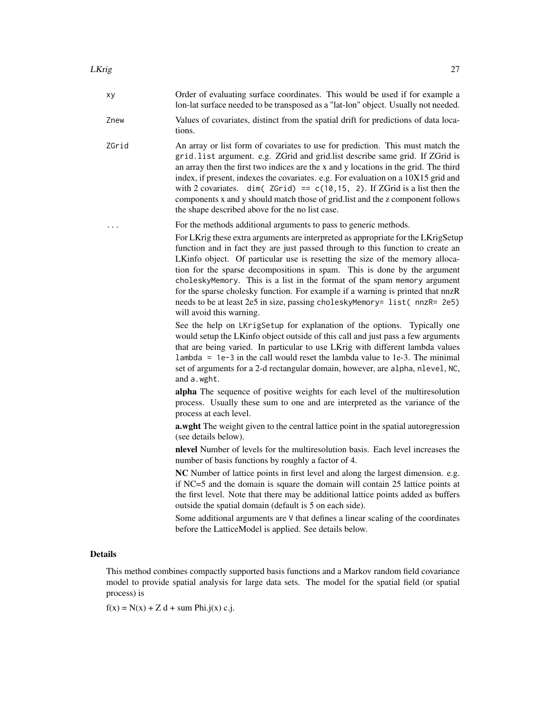- xy Order of evaluating surface coordinates. This would be used if for example a lon-lat surface needed to be transposed as a "lat-lon" object. Usually not needed.
- Znew Values of covariates, distinct from the spatial drift for predictions of data locations.
- ZGrid An array or list form of covariates to use for prediction. This must match the grid.list argument. e.g. ZGrid and grid.list describe same grid. If ZGrid is an array then the first two indices are the x and y locations in the grid. The third index, if present, indexes the covariates. e.g. For evaluation on a 10X15 grid and with 2 covariates. dim( $ZGrid$ ) ==  $c(10, 15, 2)$ . If ZGrid is a list then the components x and y should match those of grid.list and the z component follows the shape described above for the no list case.
- ... For the methods additional arguments to pass to generic methods.

For LKrig these extra arguments are interpreted as appropriate for the LKrigSetup function and in fact they are just passed through to this function to create an LKinfo object. Of particular use is resetting the size of the memory allocation for the sparse decompositions in spam. This is done by the argument choleskyMemory. This is a list in the format of the spam memory argument for the sparse cholesky function. For example if a warning is printed that nnzR needs to be at least 2e5 in size, passing choleskyMemory= list(nnzR= 2e5) will avoid this warning.

See the help on LKrigSetup for explanation of the options. Typically one would setup the LKinfo object outside of this call and just pass a few arguments that are being varied. In particular to use LKrig with different lambda values lambda = 1e-3 in the call would reset the lambda value to 1e-3. The minimal set of arguments for a 2-d rectangular domain, however, are alpha, nlevel, NC, and a.wght.

alpha The sequence of positive weights for each level of the multiresolution process. Usually these sum to one and are interpreted as the variance of the process at each level.

a.wght The weight given to the central lattice point in the spatial autoregression (see details below).

nlevel Number of levels for the multiresolution basis. Each level increases the number of basis functions by roughly a factor of 4.

NC Number of lattice points in first level and along the largest dimension. e.g. if NC=5 and the domain is square the domain will contain 25 lattice points at the first level. Note that there may be additional lattice points added as buffers outside the spatial domain (default is 5 on each side).

Some additional arguments are V that defines a linear scaling of the coordinates before the LatticeModel is applied. See details below.

#### Details

This method combines compactly supported basis functions and a Markov random field covariance model to provide spatial analysis for large data sets. The model for the spatial field (or spatial process) is

 $f(x) = N(x) + Z d + \text{ sum Phi}.j(x) c.j.$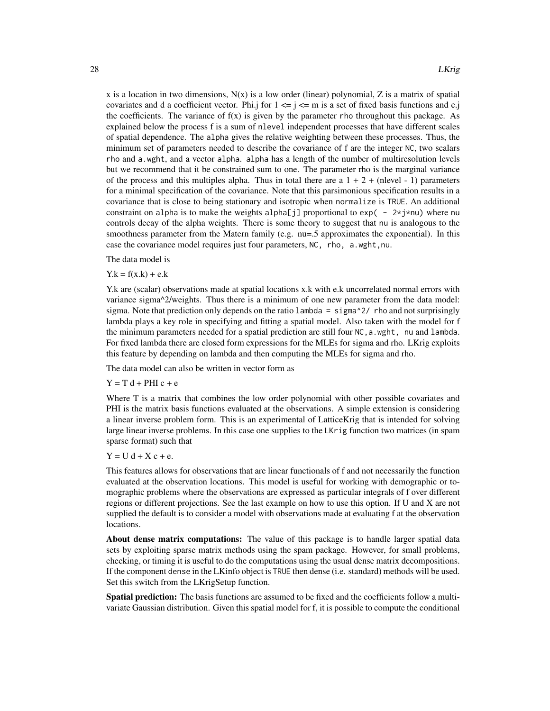x is a location in two dimensions,  $N(x)$  is a low order (linear) polynomial, Z is a matrix of spatial covariates and d a coefficient vector. Phi.j for  $1 \le i \le m$  is a set of fixed basis functions and c.j the coefficients. The variance of  $f(x)$  is given by the parameter rho throughout this package. As explained below the process f is a sum of nlevel independent processes that have different scales of spatial dependence. The alpha gives the relative weighting between these processes. Thus, the minimum set of parameters needed to describe the covariance of f are the integer NC, two scalars rho and a.wght, and a vector alpha. alpha has a length of the number of multiresolution levels but we recommend that it be constrained sum to one. The parameter rho is the marginal variance of the process and this multiples alpha. Thus in total there are a  $1 + 2 +$  (nlevel - 1) parameters for a minimal specification of the covariance. Note that this parsimonious specification results in a covariance that is close to being stationary and isotropic when normalize is TRUE. An additional constraint on alpha is to make the weights alpha[j] proportional to  $exp(-2 \times j \times nu)$  where nu controls decay of the alpha weights. There is some theory to suggest that nu is analogous to the smoothness parameter from the Matern family (e.g. nu=.5 approximates the exponential). In this case the covariance model requires just four parameters, NC, rho, a.wght,nu.

The data model is

 $Y.k = f(x.k) + e.k$ 

Y.k are (scalar) observations made at spatial locations x.k with e.k uncorrelated normal errors with variance sigma^2/weights. Thus there is a minimum of one new parameter from the data model: sigma. Note that prediction only depends on the ratio lambda =  $signa^2/$  rho and not surprisingly lambda plays a key role in specifying and fitting a spatial model. Also taken with the model for f the minimum parameters needed for a spatial prediction are still four NC, a. wght, nu and lambda. For fixed lambda there are closed form expressions for the MLEs for sigma and rho. LKrig exploits this feature by depending on lambda and then computing the MLEs for sigma and rho.

The data model can also be written in vector form as

 $Y = T d + PHI c + e$ 

Where T is a matrix that combines the low order polynomial with other possible covariates and PHI is the matrix basis functions evaluated at the observations. A simple extension is considering a linear inverse problem form. This is an experimental of LatticeKrig that is intended for solving large linear inverse problems. In this case one supplies to the LKrig function two matrices (in spam sparse format) such that

 $Y = U d + X c + e$ .

This features allows for observations that are linear functionals of f and not necessarily the function evaluated at the observation locations. This model is useful for working with demographic or tomographic problems where the observations are expressed as particular integrals of f over different regions or different projections. See the last example on how to use this option. If U and X are not supplied the default is to consider a model with observations made at evaluating f at the observation locations.

About dense matrix computations: The value of this package is to handle larger spatial data sets by exploiting sparse matrix methods using the spam package. However, for small problems, checking, or timing it is useful to do the computations using the usual dense matrix decompositions. If the component dense in the LKinfo object is TRUE then dense (i.e. standard) methods will be used. Set this switch from the LKrigSetup function.

Spatial prediction: The basis functions are assumed to be fixed and the coefficients follow a multivariate Gaussian distribution. Given this spatial model for f, it is possible to compute the conditional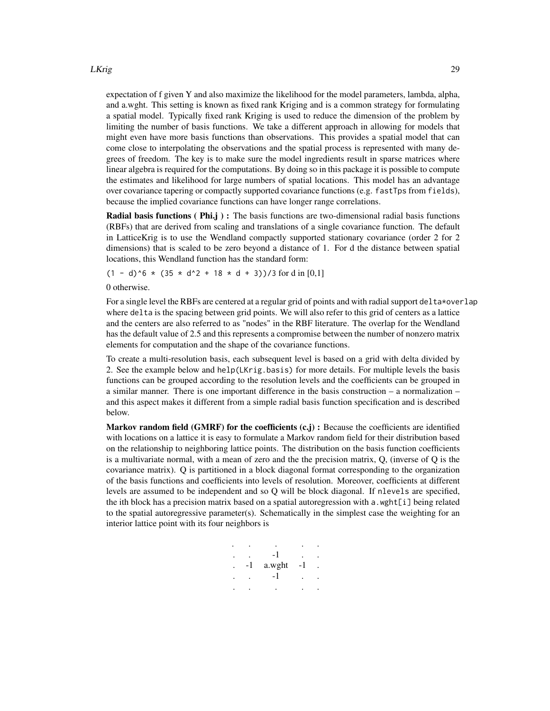#### LKrig 29

expectation of f given Y and also maximize the likelihood for the model parameters, lambda, alpha, and a.wght. This setting is known as fixed rank Kriging and is a common strategy for formulating a spatial model. Typically fixed rank Kriging is used to reduce the dimension of the problem by limiting the number of basis functions. We take a different approach in allowing for models that might even have more basis functions than observations. This provides a spatial model that can come close to interpolating the observations and the spatial process is represented with many degrees of freedom. The key is to make sure the model ingredients result in sparse matrices where linear algebra is required for the computations. By doing so in this package it is possible to compute the estimates and likelihood for large numbers of spatial locations. This model has an advantage over covariance tapering or compactly supported covariance functions (e.g. fastTps from fields), because the implied covariance functions can have longer range correlations.

**Radial basis functions ( Phi.j ) :** The basis functions are two-dimensional radial basis functions (RBFs) that are derived from scaling and translations of a single covariance function. The default in LatticeKrig is to use the Wendland compactly supported stationary covariance (order 2 for 2 dimensions) that is scaled to be zero beyond a distance of 1. For d the distance between spatial locations, this Wendland function has the standard form:

 $(1 - d)^6$  \*  $(35 \times d^2 + 18 \times d + 3)$ )/3 for d in [0,1]

0 otherwise.

For a single level the RBFs are centered at a regular grid of points and with radial support delta\*overlap where delta is the spacing between grid points. We will also refer to this grid of centers as a lattice and the centers are also referred to as "nodes" in the RBF literature. The overlap for the Wendland has the default value of 2.5 and this represents a compromise between the number of nonzero matrix elements for computation and the shape of the covariance functions.

To create a multi-resolution basis, each subsequent level is based on a grid with delta divided by 2. See the example below and help(LKrig.basis) for more details. For multiple levels the basis functions can be grouped according to the resolution levels and the coefficients can be grouped in a similar manner. There is one important difference in the basis construction – a normalization – and this aspect makes it different from a simple radial basis function specification and is described below.

Markov random field  $(GMRF)$  for the coefficients  $(c,j)$ : Because the coefficients are identified with locations on a lattice it is easy to formulate a Markov random field for their distribution based on the relationship to neighboring lattice points. The distribution on the basis function coefficients is a multivariate normal, with a mean of zero and the the precision matrix,  $Q$ , (inverse of  $Q$  is the covariance matrix). Q is partitioned in a block diagonal format corresponding to the organization of the basis functions and coefficients into levels of resolution. Moreover, coefficients at different levels are assumed to be independent and so Q will be block diagonal. If nlevels are specified, the ith block has a precision matrix based on a spatial autoregression with a wght[i] being related to the spatial autoregressive parameter(s). Schematically in the simplest case the weighting for an interior lattice point with its four neighbors is

| -1 | a.wght | - 1 |  |
|----|--------|-----|--|
|    |        |     |  |
|    |        |     |  |
|    |        |     |  |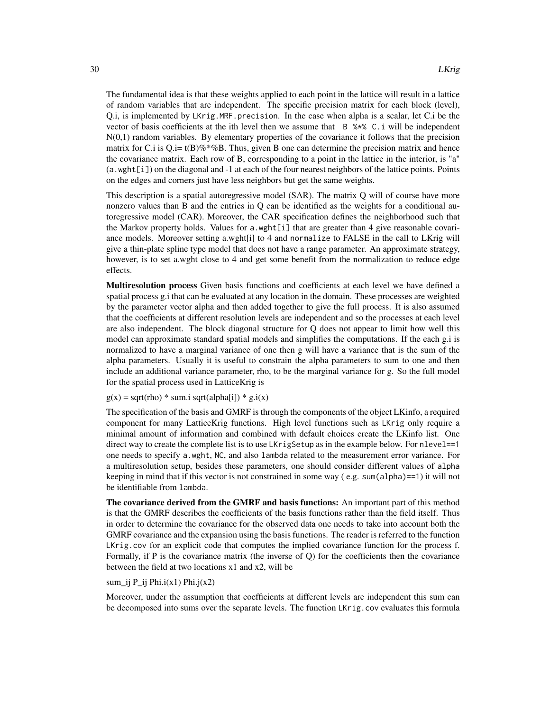The fundamental idea is that these weights applied to each point in the lattice will result in a lattice of random variables that are independent. The specific precision matrix for each block (level), Q.i, is implemented by LKrig.MRF.precision. In the case when alpha is a scalar, let C.i be the vector of basis coefficients at the ith level then we assume that B %\*% C.i will be independent N(0,1) random variables. By elementary properties of the covariance it follows that the precision matrix for C.i is  $Q$ .i= t(B)%\*%B. Thus, given B one can determine the precision matrix and hence the covariance matrix. Each row of B, corresponding to a point in the lattice in the interior, is "a" (a.wght[i]) on the diagonal and -1 at each of the four nearest neighbors of the lattice points. Points on the edges and corners just have less neighbors but get the same weights.

This description is a spatial autoregressive model (SAR). The matrix Q will of course have more nonzero values than B and the entries in Q can be identified as the weights for a conditional autoregressive model (CAR). Moreover, the CAR specification defines the neighborhood such that the Markov property holds. Values for a.wght[i] that are greater than 4 give reasonable covariance models. Moreover setting a.wght[i] to 4 and normalize to FALSE in the call to LKrig will give a thin-plate spline type model that does not have a range parameter. An approximate strategy, however, is to set a.wght close to 4 and get some benefit from the normalization to reduce edge effects.

Multiresolution process Given basis functions and coefficients at each level we have defined a spatial process g.i that can be evaluated at any location in the domain. These processes are weighted by the parameter vector alpha and then added together to give the full process. It is also assumed that the coefficients at different resolution levels are independent and so the processes at each level are also independent. The block diagonal structure for Q does not appear to limit how well this model can approximate standard spatial models and simplifies the computations. If the each g.i is normalized to have a marginal variance of one then g will have a variance that is the sum of the alpha parameters. Usually it is useful to constrain the alpha parameters to sum to one and then include an additional variance parameter, rho, to be the marginal variance for g. So the full model for the spatial process used in LatticeKrig is

 $g(x) =$ sqrt(rho) \* sum.i sqrt(alpha[i]) \* g.i(x)

The specification of the basis and GMRF is through the components of the object LKinfo, a required component for many LatticeKrig functions. High level functions such as LKrig only require a minimal amount of information and combined with default choices create the LKinfo list. One direct way to create the complete list is to use LKrigSetup as in the example below. For nlevel==1 one needs to specify a.wght, NC, and also lambda related to the measurement error variance. For a multiresolution setup, besides these parameters, one should consider different values of alpha keeping in mind that if this vector is not constrained in some way  $(e.g.,\text{ sum}(alpha)=1)$  it will not be identifiable from lambda.

The covariance derived from the GMRF and basis functions: An important part of this method is that the GMRF describes the coefficients of the basis functions rather than the field itself. Thus in order to determine the covariance for the observed data one needs to take into account both the GMRF covariance and the expansion using the basis functions. The reader is referred to the function LKrig.cov for an explicit code that computes the implied covariance function for the process f. Formally, if P is the covariance matrix (the inverse of Q) for the coefficients then the covariance between the field at two locations x1 and x2, will be

#### sum\_ij P\_ij Phi.i(x1) Phi.j(x2)

Moreover, under the assumption that coefficients at different levels are independent this sum can be decomposed into sums over the separate levels. The function LKrig.cov evaluates this formula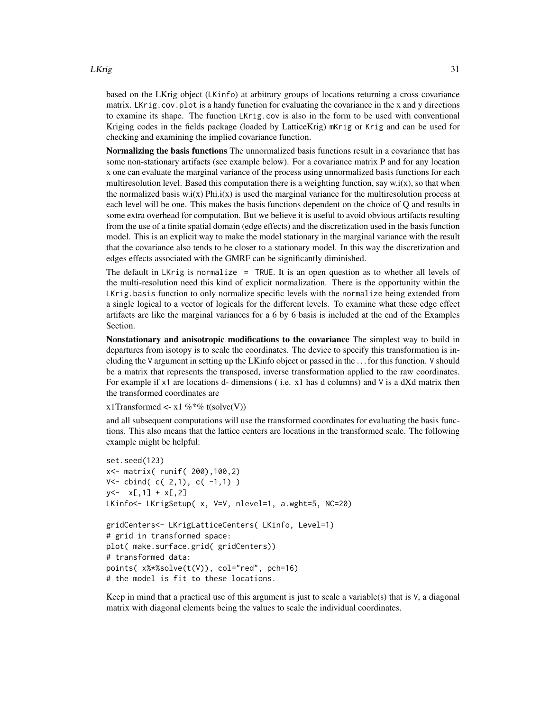#### LKrig 31

based on the LKrig object (LKinfo) at arbitrary groups of locations returning a cross covariance matrix. LKrig.cov.plot is a handy function for evaluating the covariance in the x and y directions to examine its shape. The function LKrig.cov is also in the form to be used with conventional Kriging codes in the fields package (loaded by LatticeKrig) mKrig or Krig and can be used for checking and examining the implied covariance function.

Normalizing the basis functions The unnormalized basis functions result in a covariance that has some non-stationary artifacts (see example below). For a covariance matrix P and for any location x one can evaluate the marginal variance of the process using unnormalized basis functions for each multiresolution level. Based this computation there is a weighting function, say  $w.i(x)$ , so that when the normalized basis  $w_i(x)$  Phi.i(x) is used the marginal variance for the multiresolution process at each level will be one. This makes the basis functions dependent on the choice of Q and results in some extra overhead for computation. But we believe it is useful to avoid obvious artifacts resulting from the use of a finite spatial domain (edge effects) and the discretization used in the basis function model. This is an explicit way to make the model stationary in the marginal variance with the result that the covariance also tends to be closer to a stationary model. In this way the discretization and edges effects associated with the GMRF can be significantly diminished.

The default in LKrig is normalize = TRUE. It is an open question as to whether all levels of the multi-resolution need this kind of explicit normalization. There is the opportunity within the LKrig.basis function to only normalize specific levels with the normalize being extended from a single logical to a vector of logicals for the different levels. To examine what these edge effect artifacts are like the marginal variances for a 6 by 6 basis is included at the end of the Examples Section.

Nonstationary and anisotropic modifications to the covariance The simplest way to build in departures from isotopy is to scale the coordinates. The device to specify this transformation is including the V argument in setting up the LKinfo object or passed in the . . . for this function. V should be a matrix that represents the transposed, inverse transformation applied to the raw coordinates. For example if  $x1$  are locations d- dimensions (i.e.  $x1$  has d columns) and V is a dXd matrix then the transformed coordinates are

x1Transformed <- x1 %  $\%$  t(solve(V))

and all subsequent computations will use the transformed coordinates for evaluating the basis functions. This also means that the lattice centers are locations in the transformed scale. The following example might be helpful:

```
set.seed(123)
x<- matrix( runif( 200),100,2)
V<- cbind( c( 2,1), c( -1,1) )
y \leftarrow x[, 1] + x[, 2]LKinfo<- LKrigSetup( x, V=V, nlevel=1, a.wght=5, NC=20)
gridCenters<- LKrigLatticeCenters( LKinfo, Level=1)
# grid in transformed space:
plot( make.surface.grid( gridCenters))
# transformed data:
points( x%*%solve(t(V)), col="red", pch=16)
# the model is fit to these locations.
```
Keep in mind that a practical use of this argument is just to scale a variable(s) that is V, a diagonal matrix with diagonal elements being the values to scale the individual coordinates.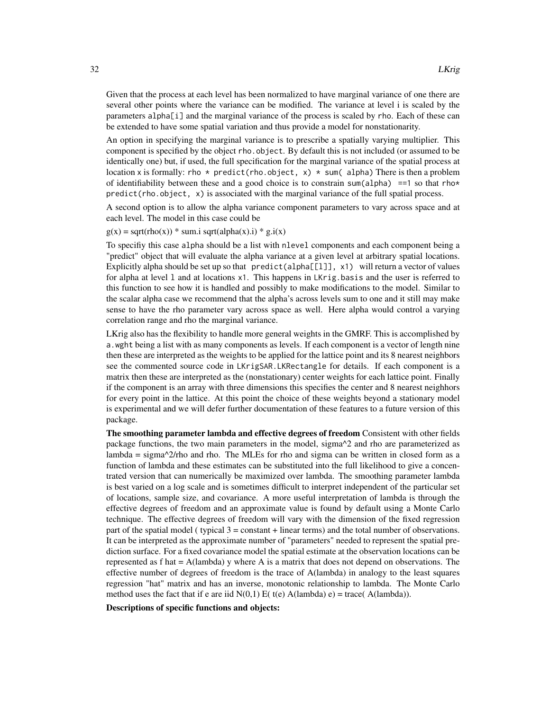Given that the process at each level has been normalized to have marginal variance of one there are several other points where the variance can be modified. The variance at level i is scaled by the parameters alpha[i] and the marginal variance of the process is scaled by rho. Each of these can be extended to have some spatial variation and thus provide a model for nonstationarity.

An option in specifying the marginal variance is to prescribe a spatially varying multiplier. This component is specified by the object rho.object. By default this is not included (or assumed to be identically one) but, if used, the full specification for the marginal variance of the spatial process at location x is formally: rho  $\star$  predict(rho.object, x)  $\star$  sum(alpha) There is then a problem of identifiability between these and a good choice is to constrain sum(alpha) ==1 so that rho\* predict(rho.object, x) is associated with the marginal variance of the full spatial process.

A second option is to allow the alpha variance component parameters to vary across space and at each level. The model in this case could be

 $g(x) = sqrt(rho(x)) * sum.i sqrt(alpha(x).i) * g.i(x)$ 

To specifiy this case alpha should be a list with nlevel components and each component being a "predict" object that will evaluate the alpha variance at a given level at arbitrary spatial locations. Explicitly alpha should be set up so that predict (alpha $[1]$ ], x1) will return a vector of values for alpha at level l and at locations x1. This happens in LKrig.basis and the user is referred to this function to see how it is handled and possibly to make modifications to the model. Similar to the scalar alpha case we recommend that the alpha's across levels sum to one and it still may make sense to have the rho parameter vary across space as well. Here alpha would control a varying correlation range and rho the marginal variance.

LKrig also has the flexibility to handle more general weights in the GMRF. This is accomplished by a.wght being a list with as many components as levels. If each component is a vector of length nine then these are interpreted as the weights to be applied for the lattice point and its 8 nearest neighbors see the commented source code in LKrigSAR.LKRectangle for details. If each component is a matrix then these are interpreted as the (nonstationary) center weights for each lattice point. Finally if the component is an array with three dimensions this specifies the center and 8 nearest neighhors for every point in the lattice. At this point the choice of these weights beyond a stationary model is experimental and we will defer further documentation of these features to a future version of this package.

The smoothing parameter lambda and effective degrees of freedom Consistent with other fields package functions, the two main parameters in the model, sigma^2 and rho are parameterized as lambda = sigma $\alpha$ 2/rho and rho. The MLEs for rho and sigma can be written in closed form as a function of lambda and these estimates can be substituted into the full likelihood to give a concentrated version that can numerically be maximized over lambda. The smoothing parameter lambda is best varied on a log scale and is sometimes difficult to interpret independent of the particular set of locations, sample size, and covariance. A more useful interpretation of lambda is through the effective degrees of freedom and an approximate value is found by default using a Monte Carlo technique. The effective degrees of freedom will vary with the dimension of the fixed regression part of the spatial model ( typical  $3 = constant + linear terms$ ) and the total number of observations. It can be interpreted as the approximate number of "parameters" needed to represent the spatial prediction surface. For a fixed covariance model the spatial estimate at the observation locations can be represented as  $f$  hat  $= A$ (lambda) y where A is a matrix that does not depend on observations. The effective number of degrees of freedom is the trace of A(lambda) in analogy to the least squares regression "hat" matrix and has an inverse, monotonic relationship to lambda. The Monte Carlo method uses the fact that if e are iid  $N(0,1)$  E( t(e) A(lambda) e) = trace( A(lambda)).

Descriptions of specific functions and objects: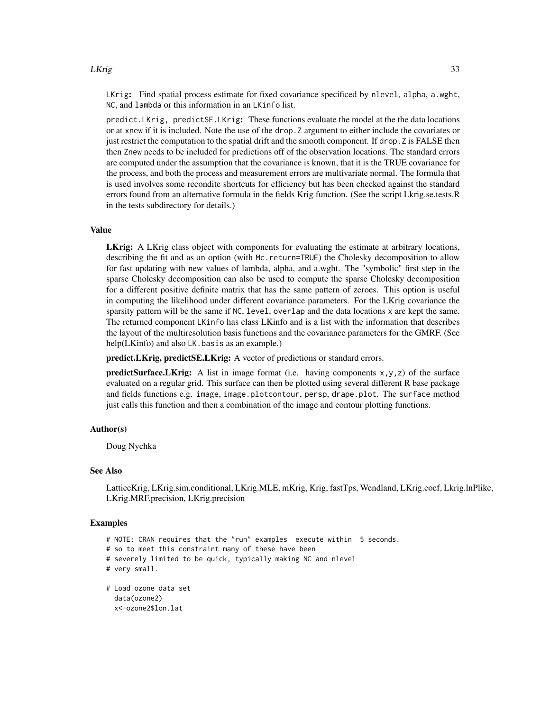#### LKrig 33

LKrig: Find spatial process estimate for fixed covariance specificed by nlevel, alpha, a.wght, NC, and lambda or this information in an LKinfo list.

predict.LKrig, predictSE.LKrig: These functions evaluate the model at the the data locations or at xnew if it is included. Note the use of the drop.Z argument to either include the covariates or just restrict the computation to the spatial drift and the smooth component. If drop.Z is FALSE then then Znew needs to be included for predictions off of the observation locations. The standard errors are computed under the assumption that the covariance is known, that it is the TRUE covariance for the process, and both the process and measurement errors are multivariate normal. The formula that is used involves some recondite shortcuts for efficiency but has been checked against the standard errors found from an alternative formula in the fields Krig function. (See the script Lkrig.se.tests.R in the tests subdirectory for details.)

#### Value

LKrig: A LKrig class object with components for evaluating the estimate at arbitrary locations, describing the fit and as an option (with Mc.return=TRUE) the Cholesky decomposition to allow for fast updating with new values of lambda, alpha, and a.wght. The "symbolic" first step in the sparse Cholesky decomposition can also be used to compute the sparse Cholesky decomposition for a different positive definite matrix that has the same pattern of zeroes. This option is useful in computing the likelihood under different covariance parameters. For the LKrig covariance the sparsity pattern will be the same if NC, level, overlap and the data locations x are kept the same. The returned component LKinfo has class LKinfo and is a list with the information that describes the layout of the multiresolution basis functions and the covariance parameters for the GMRF. (See help(LKinfo) and also LK.basis as an example.)

predict.LKrig, predictSE.LKrig: A vector of predictions or standard errors.

**predictSurface.LKrig:** A list in image format (i.e. having components  $x, y, z$ ) of the surface evaluated on a regular grid. This surface can then be plotted using several different R base package and fields functions e.g. image, image.plotcontour, persp, drape.plot. The surface method just calls this function and then a combination of the image and contour plotting functions.

#### Author(s)

Doug Nychka

#### See Also

LatticeKrig, LKrig.sim.conditional, LKrig.MLE, mKrig, Krig, fastTps, Wendland, LKrig.coef, Lkrig.lnPlike, LKrig.MRF.precision, LKrig.precision

## Examples

- # NOTE: CRAN requires that the "run" examples execute within 5 seconds.
- # so to meet this constraint many of these have been
- # severely limited to be quick, typically making NC and nlevel
- # very small.

```
# Load ozone data set
 data(ozone2)
 x<-ozone2$lon.lat
```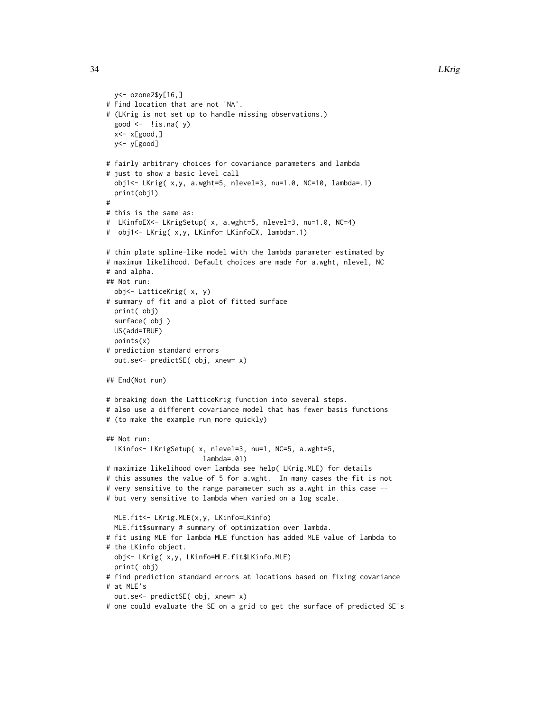```
y<- ozone2$y[16,]
# Find location that are not 'NA'.
# (LKrig is not set up to handle missing observations.)
 good \leftarrow !is.na( y)
 x < -x[good, ]y<- y[good]
# fairly arbitrary choices for covariance parameters and lambda
# just to show a basic level call
 obj1<- LKrig( x,y, a.wght=5, nlevel=3, nu=1.0, NC=10, lambda=.1)
 print(obj1)
#
# this is the same as:
# LKinfoEX<- LKrigSetup( x, a.wght=5, nlevel=3, nu=1.0, NC=4)
# obj1<- LKrig( x,y, LKinfo= LKinfoEX, lambda=.1)
# thin plate spline-like model with the lambda parameter estimated by
# maximum likelihood. Default choices are made for a.wght, nlevel, NC
# and alpha.
## Not run:
 obj<- LatticeKrig( x, y)
# summary of fit and a plot of fitted surface
 print( obj)
 surface( obj )
 US(add=TRUE)
 points(x)
# prediction standard errors
 out.se<- predictSE( obj, xnew= x)
## End(Not run)
# breaking down the LatticeKrig function into several steps.
# also use a different covariance model that has fewer basis functions
# (to make the example run more quickly)
## Not run:
 LKinfo<- LKrigSetup( x, nlevel=3, nu=1, NC=5, a.wght=5,
                        lambda=.01)
# maximize likelihood over lambda see help( LKrig.MLE) for details
# this assumes the value of 5 for a.wght. In many cases the fit is not
# very sensitive to the range parameter such as a.wght in this case --
# but very sensitive to lambda when varied on a log scale.
 MLE.fit<- LKrig.MLE(x,y, LKinfo=LKinfo)
 MLE.fit$summary # summary of optimization over lambda.
# fit using MLE for lambda MLE function has added MLE value of lambda to
# the LKinfo object.
 obj<- LKrig( x,y, LKinfo=MLE.fit$LKinfo.MLE)
 print( obj)
# find prediction standard errors at locations based on fixing covariance
# at MLE's
 out.se<- predictSE( obj, xnew= x)
# one could evaluate the SE on a grid to get the surface of predicted SE's
```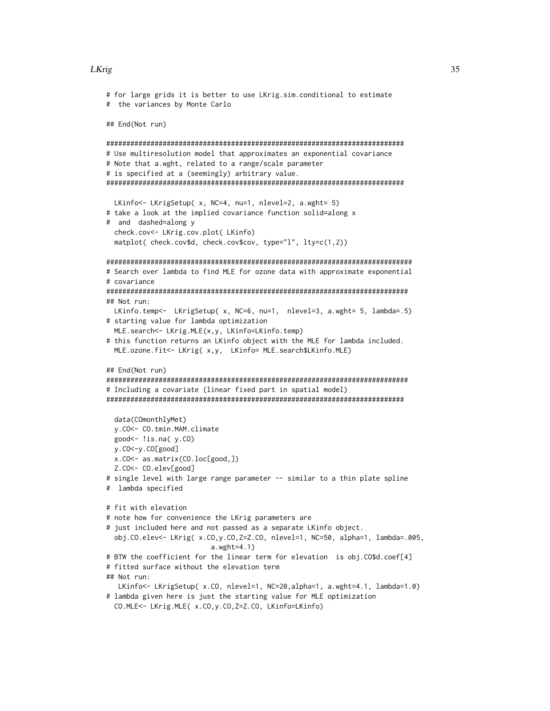#### LKrig 35

```
# for large grids it is better to use LKrig.sim.conditional to estimate
# the variances by Monte Carlo
## End(Not run)
##########################################################################
# Use multiresolution model that approximates an exponential covariance
# Note that a.wght, related to a range/scale parameter
# is specified at a (seemingly) arbitrary value.
##########################################################################
 LKinfo<- LKrigSetup( x, NC=4, nu=1, nlevel=2, a.wght= 5)
# take a look at the implied covariance function solid=along x
# and dashed=along y
 check.cov<- LKrig.cov.plot( LKinfo)
 matplot( check.cov$d, check.cov$cov, type="l", lty=c(1,2))
############################################################################
# Search over lambda to find MLE for ozone data with approximate exponential
# covariance
###########################################################################
## Not run:
 LKinfo.temp<- LKrigSetup( x, NC=6, nu=1, nlevel=3, a.wght= 5, lambda=.5)
# starting value for lambda optimization
 MLE.search<- LKrig.MLE(x,y, LKinfo=LKinfo.temp)
# this function returns an LKinfo object with the MLE for lambda included.
 MLE.ozone.fit<- LKrig( x,y, LKinfo= MLE.search$LKinfo.MLE)
## End(Not run)
###########################################################################
# Including a covariate (linear fixed part in spatial model)
##########################################################################
 data(COmonthlyMet)
 y.CO<- CO.tmin.MAM.climate
 good<- !is.na( y.CO)
 y.CO<-y.CO[good]
 x.CO<- as.matrix(CO.loc[good,])
  Z.CO<- CO.elev[good]
# single level with large range parameter -- similar to a thin plate spline
# lambda specified
# fit with elevation
# note how for convenience the LKrig parameters are
# just included here and not passed as a separate LKinfo object.
 obj.CO.elev<- LKrig( x.CO,y.CO,Z=Z.CO, nlevel=1, NC=50, alpha=1, lambda=.005,
                          a.wght=4.1)
# BTW the coefficient for the linear term for elevation is obj.CO$d.coef[4]
# fitted surface without the elevation term
## Not run:
  LKinfo<- LKrigSetup( x.CO, nlevel=1, NC=20,alpha=1, a.wght=4.1, lambda=1.0)
# lambda given here is just the starting value for MLE optimization
 CO.MLE<- LKrig.MLE( x.CO,y.CO,Z=Z.CO, LKinfo=LKinfo)
```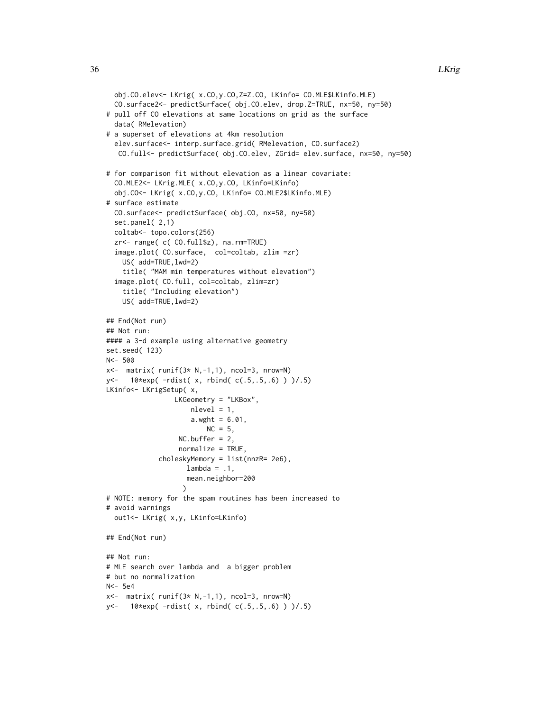```
obj.CO.elev<- LKrig( x.CO,y.CO,Z=Z.CO, LKinfo= CO.MLE$LKinfo.MLE)
  CO.surface2<- predictSurface( obj.CO.elev, drop.Z=TRUE, nx=50, ny=50)
# pull off CO elevations at same locations on grid as the surface
  data( RMelevation)
# a superset of elevations at 4km resolution
  elev.surface<- interp.surface.grid( RMelevation, CO.surface2)
   CO.full<- predictSurface( obj.CO.elev, ZGrid= elev.surface, nx=50, ny=50)
# for comparison fit without elevation as a linear covariate:
  CO.MLE2<- LKrig.MLE( x.CO,y.CO, LKinfo=LKinfo)
  obj.CO<- LKrig( x.CO,y.CO, LKinfo= CO.MLE2$LKinfo.MLE)
# surface estimate
  CO.surface<- predictSurface( obj.CO, nx=50, ny=50)
  set.panel( 2,1)
  coltab<- topo.colors(256)
  zr<- range( c( CO.full$z), na.rm=TRUE)
  image.plot( CO.surface, col=coltab, zlim =zr)
    US( add=TRUE, lwd=2)
    title( "MAM min temperatures without elevation")
  image.plot( CO.full, col=coltab, zlim=zr)
    title( "Including elevation")
    US( add=TRUE, lwd=2)
## End(Not run)
## Not run:
#### a 3-d example using alternative geometry
set.seed( 123)
N<- 500
x<- matrix( runif(3* N,-1,1), ncol=3, nrow=N)
y<- 10*exp( -rdist( x, rbind( c(.5,.5,.6) ) )/.5)
LKinfo<- LKrigSetup( x,
                 LKGeometry = "LKBox",
                     nlevel = 1,
                     a.wyht = 6.01,
                         NC = 5,
                  NC.buffer = 2,
                  normalize = TRUE,
             choleskyMemory = list(nnzR= 2e6),
                    lambda = .1,
                    mean.neighbor=200
                   )
# NOTE: memory for the spam routines has been increased to
# avoid warnings
  out1<- LKrig( x,y, LKinfo=LKinfo)
## End(Not run)
## Not run:
# MLE search over lambda and a bigger problem
# but no normalization
N<- 5e4
x < - matrix( runif(3 * N, -1, 1), ncol=3, nrow=N)
y<- 10*exp( -rdist( x, rbind( c(.5,.5,.6) ) )/.5)
```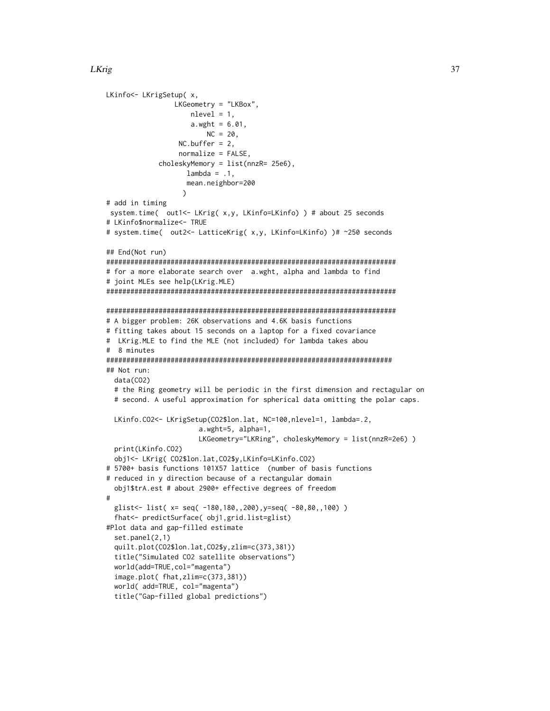```
LKinfo<- LKrigSetup( x,
                 LKGeometry = "LKBox",
                    nlevel = 1,
                     a.wyht = 6.01,NC = 20,
                  NC.buffer = 2,
                  normalize = FALSE,
             choleskyMemory = list(nnzR= 25e6),
                   lambda = .1,
                   mean.neighbor=200
                   )
# add in timing
 system.time( out1<- LKrig( x,y, LKinfo=LKinfo) ) # about 25 seconds
# LKinfo$normalize<- TRUE
# system.time( out2<- LatticeKrig( x,y, LKinfo=LKinfo) )# ~250 seconds
## End(Not run)
########################################################################
# for a more elaborate search over a.wght, alpha and lambda to find
# joint MLEs see help(LKrig.MLE)
########################################################################
########################################################################
# A bigger problem: 26K observations and 4.6K basis functions
# fitting takes about 15 seconds on a laptop for a fixed covariance
# LKrig.MLE to find the MLE (not included) for lambda takes abou
# 8 minutes
#######################################################################
## Not run:
 data(CO2)
 # the Ring geometry will be periodic in the first dimension and rectagular on
 # second. A useful approximation for spherical data omitting the polar caps.
 LKinfo.CO2<- LKrigSetup(CO2$lon.lat, NC=100,nlevel=1, lambda=.2,
                       a.wght=5, alpha=1,
                       LKGeometry="LKRing", choleskyMemory = list(nnzR=2e6) )
 print(LKinfo.CO2)
 obj1<- LKrig( CO2$lon.lat,CO2$y,LKinfo=LKinfo.CO2)
# 5700+ basis functions 101X57 lattice (number of basis functions
# reduced in y direction because of a rectangular domain
 obj1$trA.est # about 2900+ effective degrees of freedom
#
 glist<- list( x= seq( -180,180,,200),y=seq( -80,80,,100) )
 fhat<- predictSurface( obj1,grid.list=glist)
#Plot data and gap-filled estimate
 set.panel(2,1)
 quilt.plot(CO2$lon.lat,CO2$y,zlim=c(373,381))
 title("Simulated CO2 satellite observations")
 world(add=TRUE,col="magenta")
 image.plot( fhat,zlim=c(373,381))
 world( add=TRUE, col="magenta")
  title("Gap-filled global predictions")
```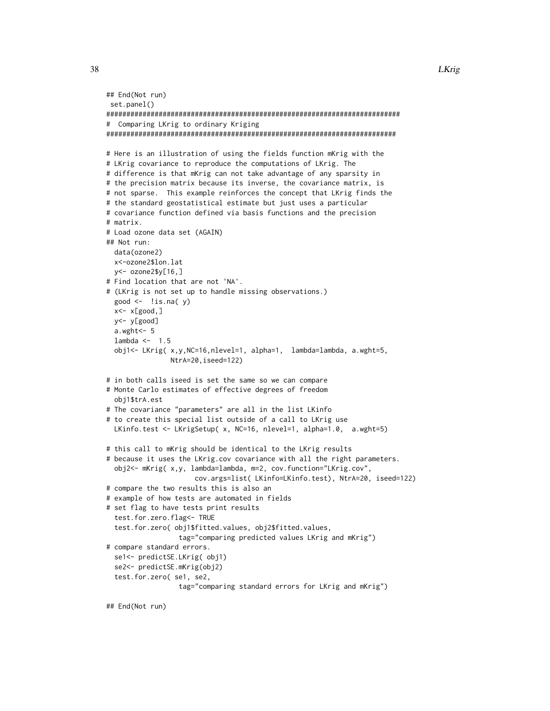```
## End(Not run)
set.panel()
#########################################################################
# Comparing LKrig to ordinary Kriging
########################################################################
# Here is an illustration of using the fields function mKrig with the
# LKrig covariance to reproduce the computations of LKrig. The
# difference is that mKrig can not take advantage of any sparsity in
# the precision matrix because its inverse, the covariance matrix, is
# not sparse. This example reinforces the concept that LKrig finds the
# the standard geostatistical estimate but just uses a particular
# covariance function defined via basis functions and the precision
# matrix.
# Load ozone data set (AGAIN)
## Not run:
 data(ozone2)
 x<-ozone2$lon.lat
 y<- ozone2$y[16,]
# Find location that are not 'NA'.
# (LKrig is not set up to handle missing observations.)
 good \leftarrow !is.na(v)
 x<- x[good,]
 y<- y[good]
 a.wght<- 5
 lambda \leftarrow 1.5
 obj1<- LKrig( x,y,NC=16,nlevel=1, alpha=1, lambda=lambda, a.wght=5,
                NtrA=20,iseed=122)
# in both calls iseed is set the same so we can compare
# Monte Carlo estimates of effective degrees of freedom
 obj1$trA.est
# The covariance "parameters" are all in the list LKinfo
# to create this special list outside of a call to LKrig use
 LKinfo.test <- LKrigSetup( x, NC=16, nlevel=1, alpha=1.0, a.wght=5)
# this call to mKrig should be identical to the LKrig results
# because it uses the LKrig.cov covariance with all the right parameters.
 obj2<- mKrig( x,y, lambda=lambda, m=2, cov.function="LKrig.cov",
                      cov.args=list( LKinfo=LKinfo.test), NtrA=20, iseed=122)
# compare the two results this is also an
# example of how tests are automated in fields
# set flag to have tests print results
 test.for.zero.flag<- TRUE
 test.for.zero( obj1$fitted.values, obj2$fitted.values,
                  tag="comparing predicted values LKrig and mKrig")
# compare standard errors.
 se1<- predictSE.LKrig( obj1)
 se2<- predictSE.mKrig(obj2)
 test.for.zero( se1, se2,
                  tag="comparing standard errors for LKrig and mKrig")
## End(Not run)
```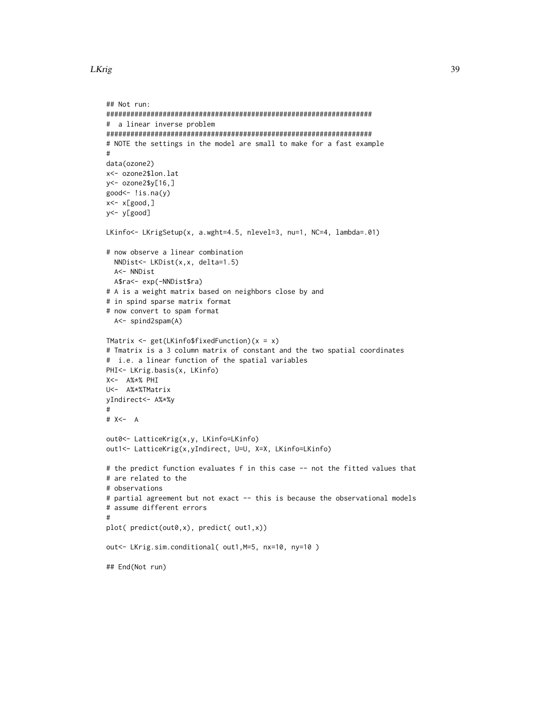```
## Not run:
##################################################################
# a linear inverse problem
##################################################################
# NOTE the settings in the model are small to make for a fast example
#
data(ozone2)
x<- ozone2$lon.lat
y<- ozone2$y[16,]
good<- !is.na(y)
x < -x[good,]
y<- y[good]
LKinfo<- LKrigSetup(x, a.wght=4.5, nlevel=3, nu=1, NC=4, lambda=.01)
# now observe a linear combination
  NNDist<- LKDist(x,x, delta=1.5)
  A<- NNDist
 A$ra<- exp(-NNDist$ra)
# A is a weight matrix based on neighbors close by and
# in spind sparse matrix format
# now convert to spam format
 A<- spind2spam(A)
TMatrix <- get(LKinfo$fixedFunction)(x = x)
# Tmatrix is a 3 column matrix of constant and the two spatial coordinates
# i.e. a linear function of the spatial variables
PHI<- LKrig.basis(x, LKinfo)
X<- A%*% PHI
U<- A%*%TMatrix
yIndirect<- A%*%y
#
# X<- A
out0<- LatticeKrig(x,y, LKinfo=LKinfo)
out1<- LatticeKrig(x,yIndirect, U=U, X=X, LKinfo=LKinfo)
# the predict function evaluates f in this case -- not the fitted values that
# are related to the
# observations
# partial agreement but not exact -- this is because the observational models
# assume different errors
#
plot( predict(out0,x), predict( out1,x))
out<- LKrig.sim.conditional( out1,M=5, nx=10, ny=10 )
## End(Not run)
```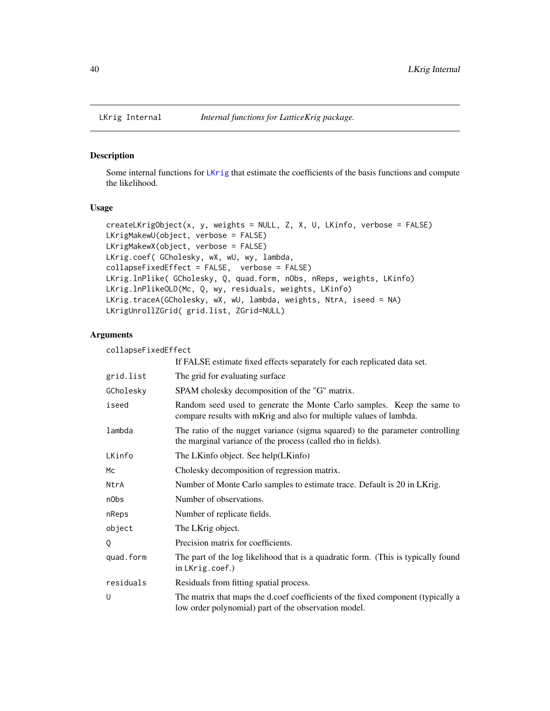### Description

Some internal functions for [LKrig](#page-23-0) that estimate the coefficients of the basis functions and compute the likelihood.

# Usage

```
createLKrigObject(x, y, weights = NULL, Z, X, U, LKinfo, verbose = FALSE)
LKrigMakewU(object, verbose = FALSE)
LKrigMakewX(object, verbose = FALSE)
LKrig.coef( GCholesky, wX, wU, wy, lambda,
collapseFixedEffect = FALSE, verbose = FALSE)
LKrig.lnPlike( GCholesky, Q, quad.form, nObs, nReps, weights, LKinfo)
LKrig.lnPlikeOLD(Mc, Q, wy, residuals, weights, LKinfo)
LKrig.traceA(GCholesky, wX, wU, lambda, weights, NtrA, iseed = NA)
LKrigUnrollZGrid( grid.list, ZGrid=NULL)
```
# Arguments

| collapseFixedEffect |                                                                                                                                               |
|---------------------|-----------------------------------------------------------------------------------------------------------------------------------------------|
|                     | If FALSE estimate fixed effects separately for each replicated data set.                                                                      |
| grid.list           | The grid for evaluating surface                                                                                                               |
| GCholesky           | SPAM cholesky decomposition of the "G" matrix.                                                                                                |
| iseed               | Random seed used to generate the Monte Carlo samples. Keep the same to<br>compare results with mKrig and also for multiple values of lambda.  |
| lambda              | The ratio of the nugget variance (sigma squared) to the parameter controlling<br>the marginal variance of the process (called rho in fields). |
| LKinfo              | The LKinfo object. See help(LKinfo)                                                                                                           |
| <b>Mc</b>           | Cholesky decomposition of regression matrix.                                                                                                  |
| NtrA                | Number of Monte Carlo samples to estimate trace. Default is 20 in LKrig.                                                                      |
| n0bs                | Number of observations.                                                                                                                       |
| nReps               | Number of replicate fields.                                                                                                                   |
| object              | The LKrig object.                                                                                                                             |
| Q                   | Precision matrix for coefficients.                                                                                                            |
| quad.form           | The part of the log likelihood that is a quadratic form. (This is typically found<br>in LKrig.coef.)                                          |
| residuals           | Residuals from fitting spatial process.                                                                                                       |
| U                   | The matrix that maps the d.coef coefficients of the fixed component (typically a<br>low order polynomial) part of the observation model.      |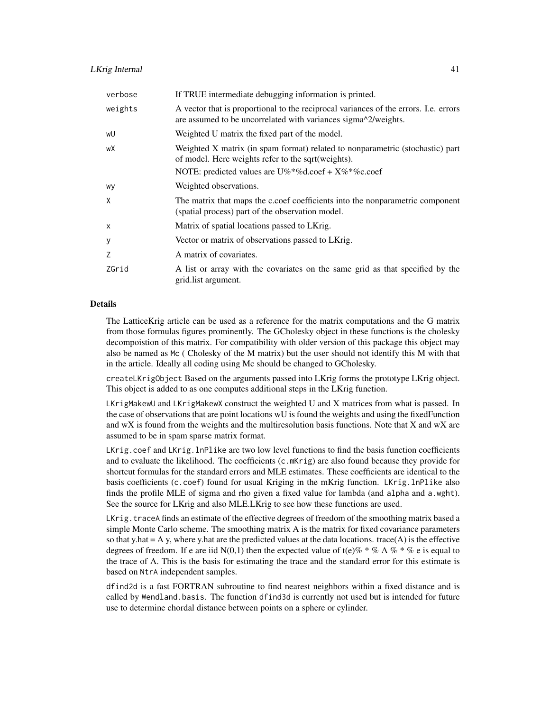| verbose | If TRUE intermediate debugging information is printed.                                                                                                 |
|---------|--------------------------------------------------------------------------------------------------------------------------------------------------------|
| weights | A vector that is proportional to the reciprocal variances of the errors. I.e. errors<br>are assumed to be uncorrelated with variances sigma^2/weights. |
| wU      | Weighted U matrix the fixed part of the model.                                                                                                         |
| wХ      | Weighted X matrix (in spam format) related to nonparametric (stochastic) part<br>of model. Here weights refer to the sqrt(weights).                    |
|         | NOTE: predicted values are $U\%^*\%d.coef + X\%^*\%c.coef$                                                                                             |
| wy      | Weighted observations.                                                                                                                                 |
| X       | The matrix that maps the c.coef coefficients into the nonparametric component<br>(spatial process) part of the observation model.                      |
| X       | Matrix of spatial locations passed to LKrig.                                                                                                           |
| У       | Vector or matrix of observations passed to LKrig.                                                                                                      |
| Z       | A matrix of covariates.                                                                                                                                |
| ZGrid   | A list or array with the covariates on the same grid as that specified by the<br>grid. list argument.                                                  |

### Details

The LatticeKrig article can be used as a reference for the matrix computations and the G matrix from those formulas figures prominently. The GCholesky object in these functions is the cholesky decompoistion of this matrix. For compatibility with older version of this package this object may also be named as Mc ( Cholesky of the M matrix) but the user should not identify this M with that in the article. Ideally all coding using Mc should be changed to GCholesky.

createLKrigObject Based on the arguments passed into LKrig forms the prototype LKrig object. This object is added to as one computes additional steps in the LKrig function.

LKrigMakewU and LKrigMakewX construct the weighted U and X matrices from what is passed. In the case of observations that are point locations wU is found the weights and using the fixedFunction and wX is found from the weights and the multiresolution basis functions. Note that X and wX are assumed to be in spam sparse matrix format.

LKrig.coef and LKrig.lnPlike are two low level functions to find the basis function coefficients and to evaluate the likelihood. The coefficients (c.mKrig) are also found because they provide for shortcut formulas for the standard errors and MLE estimates. These coefficients are identical to the basis coefficients (c.coef) found for usual Kriging in the mKrig function. LKrig.lnPlike also finds the profile MLE of sigma and rho given a fixed value for lambda (and alpha and a.wght). See the source for LKrig and also MLE.LKrig to see how these functions are used.

LKrig.traceA finds an estimate of the effective degrees of freedom of the smoothing matrix based a simple Monte Carlo scheme. The smoothing matrix A is the matrix for fixed covariance parameters so that y.hat  $= A y$ , where y.hat are the predicted values at the data locations. trace(A) is the effective degrees of freedom. If e are iid N(0,1) then the expected value of t(e)%  $*$  % A %  $*$  % e is equal to the trace of A. This is the basis for estimating the trace and the standard error for this estimate is based on NtrA independent samples.

dfind2d is a fast FORTRAN subroutine to find nearest neighbors within a fixed distance and is called by Wendland.basis. The function dfind3d is currently not used but is intended for future use to determine chordal distance between points on a sphere or cylinder.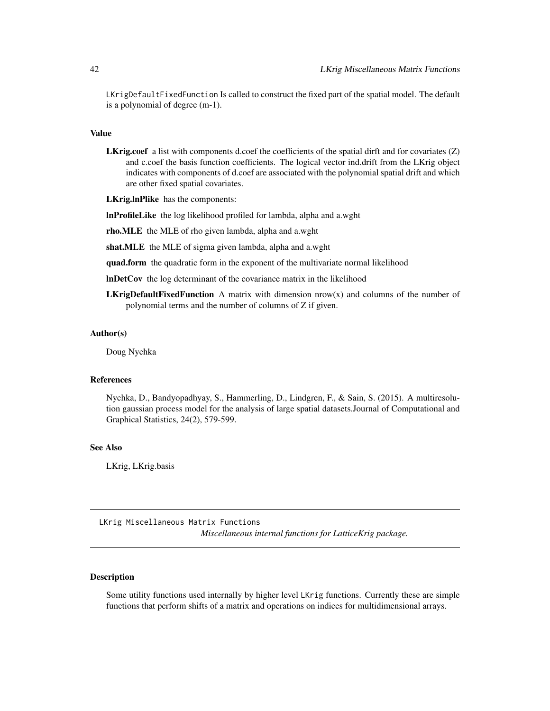LKrigDefaultFixedFunction Is called to construct the fixed part of the spatial model. The default is a polynomial of degree (m-1).

### Value

L**Krig.coef** a list with components d.coef the coefficients of the spatial dirft and for covariates (Z) and c.coef the basis function coefficients. The logical vector ind.drift from the LKrig object indicates with components of d.coef are associated with the polynomial spatial drift and which are other fixed spatial covariates.

LKrig.lnPlike has the components:

lnProfileLike the log likelihood profiled for lambda, alpha and a.wght

rho.MLE the MLE of rho given lambda, alpha and a.wght

shat.MLE the MLE of sigma given lambda, alpha and a.wght

quad.form the quadratic form in the exponent of the multivariate normal likelihood

lnDetCov the log determinant of the covariance matrix in the likelihood

**LKrigDefaultFixedFunction** A matrix with dimension  $now(x)$  and columns of the number of polynomial terms and the number of columns of Z if given.

#### Author(s)

Doug Nychka

# References

Nychka, D., Bandyopadhyay, S., Hammerling, D., Lindgren, F., & Sain, S. (2015). A multiresolution gaussian process model for the analysis of large spatial datasets.Journal of Computational and Graphical Statistics, 24(2), 579-599.

#### See Also

LKrig, LKrig.basis

LKrig Miscellaneous Matrix Functions *Miscellaneous internal functions for LatticeKrig package.*

# Description

Some utility functions used internally by higher level LKrig functions. Currently these are simple functions that perform shifts of a matrix and operations on indices for multidimensional arrays.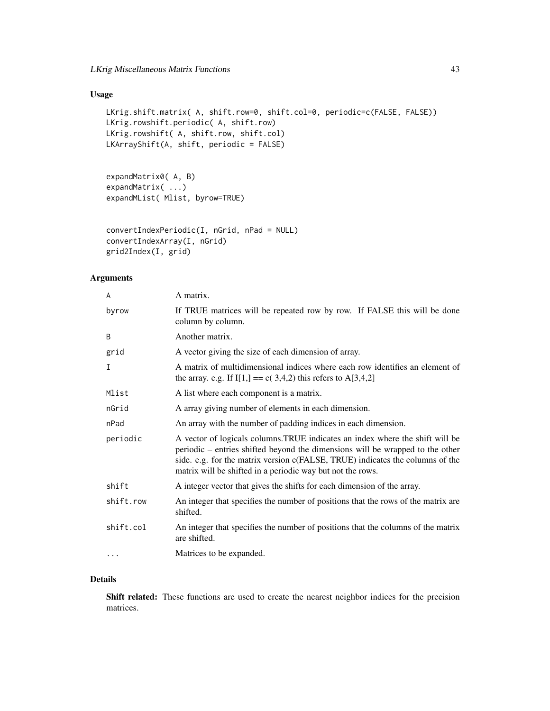# Usage

```
LKrig.shift.matrix( A, shift.row=0, shift.col=0, periodic=c(FALSE, FALSE))
LKrig.rowshift.periodic( A, shift.row)
LKrig.rowshift( A, shift.row, shift.col)
LKArrayShift(A, shift, periodic = FALSE)
```

```
expandMatrix0( A, B)
expandMatrix( ...)
expandMList( Mlist, byrow=TRUE)
```

```
convertIndexPeriodic(I, nGrid, nPad = NULL)
convertIndexArray(I, nGrid)
grid2Index(I, grid)
```
# Arguments

| A         | A matrix.                                                                                                                                                                                                                                                                                                     |
|-----------|---------------------------------------------------------------------------------------------------------------------------------------------------------------------------------------------------------------------------------------------------------------------------------------------------------------|
| byrow     | If TRUE matrices will be repeated row by row. If FALSE this will be done<br>column by column.                                                                                                                                                                                                                 |
| B         | Another matrix.                                                                                                                                                                                                                                                                                               |
| grid      | A vector giving the size of each dimension of array.                                                                                                                                                                                                                                                          |
| I         | A matrix of multidimensional indices where each row identifies an element of<br>the array. e.g. If $I[1] == c(3,4,2)$ this refers to A[3,4,2]                                                                                                                                                                 |
| Mlist     | A list where each component is a matrix.                                                                                                                                                                                                                                                                      |
| nGrid     | A array giving number of elements in each dimension.                                                                                                                                                                                                                                                          |
| nPad      | An array with the number of padding indices in each dimension.                                                                                                                                                                                                                                                |
| periodic  | A vector of logicals columns. TRUE indicates an index where the shift will be<br>periodic – entries shifted beyond the dimensions will be wrapped to the other<br>side. e.g. for the matrix version c(FALSE, TRUE) indicates the columns of the<br>matrix will be shifted in a periodic way but not the rows. |
| shift     | A integer vector that gives the shifts for each dimension of the array.                                                                                                                                                                                                                                       |
| shift.row | An integer that specifies the number of positions that the rows of the matrix are<br>shifted.                                                                                                                                                                                                                 |
| shift.col | An integer that specifies the number of positions that the columns of the matrix<br>are shifted.                                                                                                                                                                                                              |
| $\cdots$  | Matrices to be expanded.                                                                                                                                                                                                                                                                                      |
|           |                                                                                                                                                                                                                                                                                                               |

# Details

Shift related: These functions are used to create the nearest neighbor indices for the precision matrices.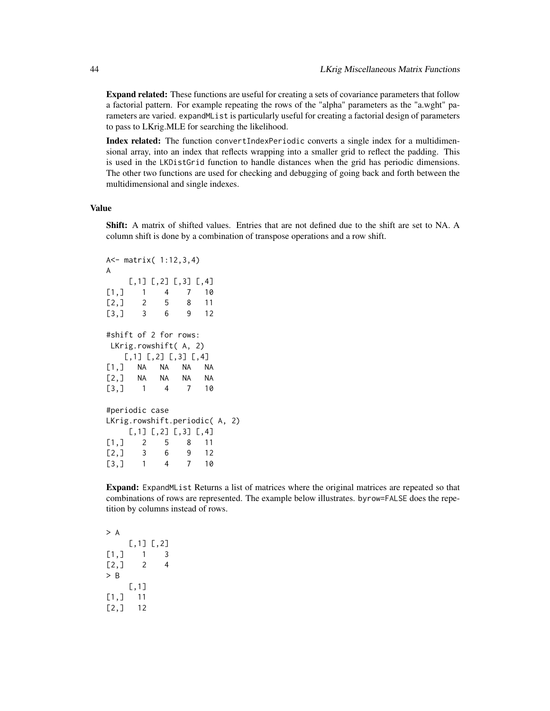Expand related: These functions are useful for creating a sets of covariance parameters that follow a factorial pattern. For example repeating the rows of the "alpha" parameters as the "a.wght" parameters are varied. expandMList is particularly useful for creating a factorial design of parameters to pass to LKrig.MLE for searching the likelihood.

Index related: The function convertIndexPeriodic converts a single index for a multidimensional array, into an index that reflects wrapping into a smaller grid to reflect the padding. This is used in the LKDistGrid function to handle distances when the grid has periodic dimensions. The other two functions are used for checking and debugging of going back and forth between the multidimensional and single indexes.

#### Value

Shift: A matrix of shifted values. Entries that are not defined due to the shift are set to NA. A column shift is done by a combination of transpose operations and a row shift.

```
A<- matrix( 1:12,3,4)
A
   [,1] [,2] [,3] [,4]
[1,] 1 4 7 10
[2,] 2 5 8 11
[3,] 3 6 9 12
#shift of 2 for rows:
LKrig.rowshift( A, 2)
   [,1] [,2] [,3] [,4]
[1,] NA NA NA NA
[2,] NA NA NA NA
[3,] 1 4 7 10
#periodic case
LKrig.rowshift.periodic( A, 2)
   [,1] [,2] [,3] [,4]
[1,] 2 5 8 11
[2,] 3 6 9 12
[3,] 1 4 7 10
```
Expand: ExpandMList Returns a list of matrices where the original matrices are repeated so that combinations of rows are represented. The example below illustrates. byrow=FALSE does the repetition by columns instead of rows.

> A [,1] [,2]  $[1,] 1 3$  $[2, 1 2 4$ > B [,1] [1,] 11 [2,] 12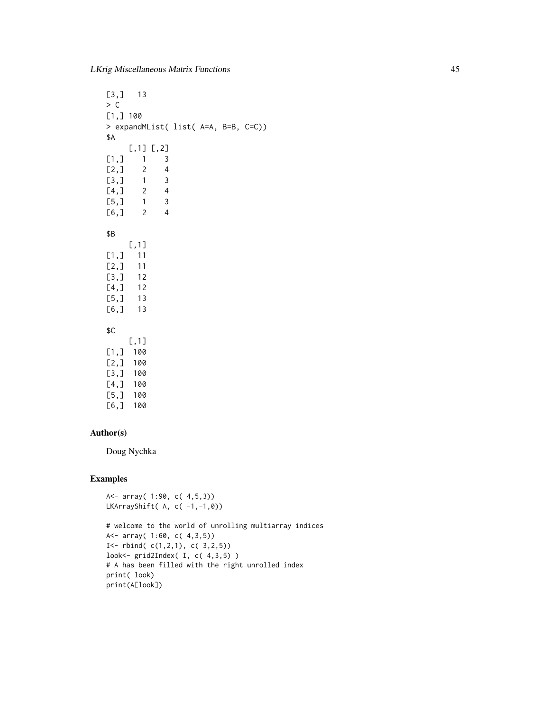LKrig Miscellaneous Matrix Functions 45

[3,] 13  $> C$ [1,] 100 > expandMList( list( A=A, B=B, C=C)) \$A [,1] [,2]  $[1,]$  1 3  $[2, 1 2 4$ [3,] 1 3  $[4,]$  2 4 [5,] 1 3 [6,] 2 4 \$B [,1] [1,] 11 [2,] 11 [3,] 12 [4,] 12 [5,] 13 [6,] 13 \$C [,1] [1,] 100 [2,] 100 [3,] 100 [4,] 100 [5,] 100 [6,] 100

# Author(s)

Doug Nychka

A<- array( 1:90, c( 4,5,3))

# Examples

```
LKArrayShift( A, c( -1,-1,0))
# welcome to the world of unrolling multiarray indices
A<- array( 1:60, c( 4,3,5))
I <- rbind(C(1,2,1), C(3,2,5))look<- grid2Index( I, c( 4,3,5) )
# A has been filled with the right unrolled index
print( look)
print(A[look])
```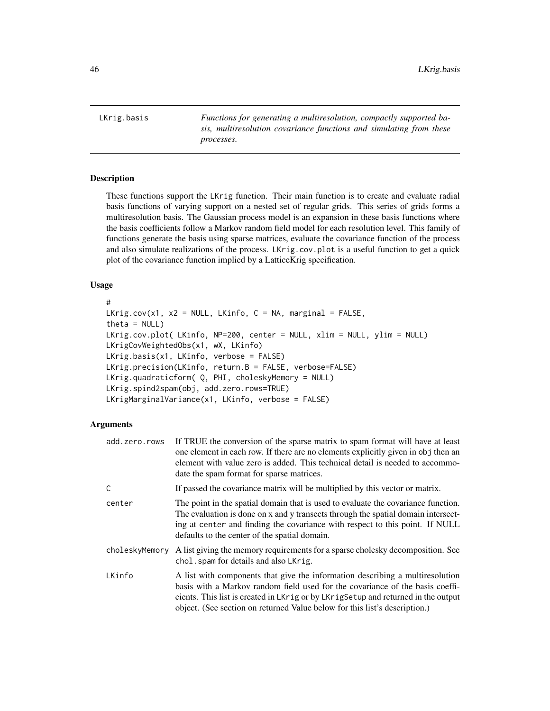<span id="page-45-0"></span>LKrig.basis *Functions for generating a multiresolution, compactly supported basis, multiresolution covariance functions and simulating from these processes.*

# <span id="page-45-1"></span>Description

These functions support the LKrig function. Their main function is to create and evaluate radial basis functions of varying support on a nested set of regular grids. This series of grids forms a multiresolution basis. The Gaussian process model is an expansion in these basis functions where the basis coefficients follow a Markov random field model for each resolution level. This family of functions generate the basis using sparse matrices, evaluate the covariance function of the process and also simulate realizations of the process. LKrig.cov.plot is a useful function to get a quick plot of the covariance function implied by a LatticeKrig specification.

# Usage

```
#
LKrig.cov(x1, x2 = NULL, LKinfo, C = NA, marginal = FALSE,
theta = NULL)
LKrig.cov.plot( LKinfo, NP=200, center = NULL, xlim = NULL, ylim = NULL)
LKrigCovWeightedObs(x1, wX, LKinfo)
LKrig.basis(x1, LKinfo, verbose = FALSE)
LKrig.precision(LKinfo, return.B = FALSE, verbose=FALSE)
LKrig.quadraticform( Q, PHI, choleskyMemory = NULL)
LKrig.spind2spam(obj, add.zero.rows=TRUE)
LKrigMarginalVariance(x1, LKinfo, verbose = FALSE)
```
### Arguments

| add.zero.rows  | If TRUE the conversion of the sparse matrix to spam format will have at least<br>one element in each row. If there are no elements explicitly given in obj then an<br>element with value zero is added. This technical detail is needed to accommo-<br>date the spam format for sparse matrices.                                   |
|----------------|------------------------------------------------------------------------------------------------------------------------------------------------------------------------------------------------------------------------------------------------------------------------------------------------------------------------------------|
| C              | If passed the covariance matrix will be multiplied by this vector or matrix.                                                                                                                                                                                                                                                       |
| center         | The point in the spatial domain that is used to evaluate the covariance function.<br>The evaluation is done on x and y transects through the spatial domain intersect-<br>ing at center and finding the covariance with respect to this point. If NULL<br>defaults to the center of the spatial domain.                            |
| choleskyMemory | A list giving the memory requirements for a sparse cholesky decomposition. See<br>chol. spam for details and also LKrig.                                                                                                                                                                                                           |
| LKinfo         | A list with components that give the information describing a multiresolution<br>basis with a Markov random field used for the covariance of the basis coeffi-<br>cients. This list is created in LKrig or by LKrig Setup and returned in the output<br>object. (See section on returned Value below for this list's description.) |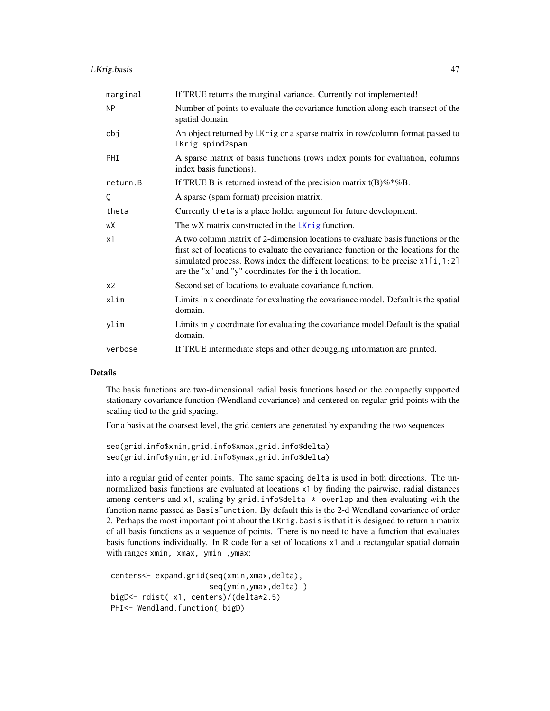| marginal       | If TRUE returns the marginal variance. Currently not implemented!                                                                                                                                                                                                                                                     |
|----------------|-----------------------------------------------------------------------------------------------------------------------------------------------------------------------------------------------------------------------------------------------------------------------------------------------------------------------|
| <b>NP</b>      | Number of points to evaluate the covariance function along each transect of the<br>spatial domain.                                                                                                                                                                                                                    |
| obj            | An object returned by LKrig or a sparse matrix in row/column format passed to<br>LKrig.spind2spam.                                                                                                                                                                                                                    |
| PHI            | A sparse matrix of basis functions (rows index points for evaluation, columns<br>index basis functions).                                                                                                                                                                                                              |
| return.B       | If TRUE B is returned instead of the precision matrix $t(B)\%*\%B$ .                                                                                                                                                                                                                                                  |
| Q              | A sparse (spam format) precision matrix.                                                                                                                                                                                                                                                                              |
| theta          | Currently theta is a place holder argument for future development.                                                                                                                                                                                                                                                    |
| wX             | The wX matrix constructed in the LKrig function.                                                                                                                                                                                                                                                                      |
| x1             | A two column matrix of 2-dimension locations to evaluate basis functions or the<br>first set of locations to evaluate the covariance function or the locations for the<br>simulated process. Rows index the different locations: to be precise $x1[i, 1:2]$<br>are the "x" and "y" coordinates for the i th location. |
| x <sub>2</sub> | Second set of locations to evaluate covariance function.                                                                                                                                                                                                                                                              |
| xlim           | Limits in x coordinate for evaluating the covariance model. Default is the spatial<br>domain.                                                                                                                                                                                                                         |
| ylim           | Limits in y coordinate for evaluating the covariance model. Default is the spatial<br>domain.                                                                                                                                                                                                                         |
| verbose        | If TRUE intermediate steps and other debugging information are printed.                                                                                                                                                                                                                                               |

# **Details**

The basis functions are two-dimensional radial basis functions based on the compactly supported stationary covariance function (Wendland covariance) and centered on regular grid points with the scaling tied to the grid spacing.

For a basis at the coarsest level, the grid centers are generated by expanding the two sequences

```
seq(grid.info$xmin,grid.info$xmax,grid.info$delta)
seq(grid.info$ymin,grid.info$ymax,grid.info$delta)
```
into a regular grid of center points. The same spacing delta is used in both directions. The unnormalized basis functions are evaluated at locations x1 by finding the pairwise, radial distances among centers and  $x1$ , scaling by grid.info\$delta  $*$  overlap and then evaluating with the function name passed as BasisFunction. By default this is the 2-d Wendland covariance of order 2. Perhaps the most important point about the LKrig.basis is that it is designed to return a matrix of all basis functions as a sequence of points. There is no need to have a function that evaluates basis functions individually. In R code for a set of locations x1 and a rectangular spatial domain with ranges xmin, xmax, ymin ,ymax:

```
centers<- expand.grid(seq(xmin,xmax,delta),
                      seq(ymin,ymax,delta) )
bigD<- rdist( x1, centers)/(delta*2.5)
PHI<- Wendland.function( bigD)
```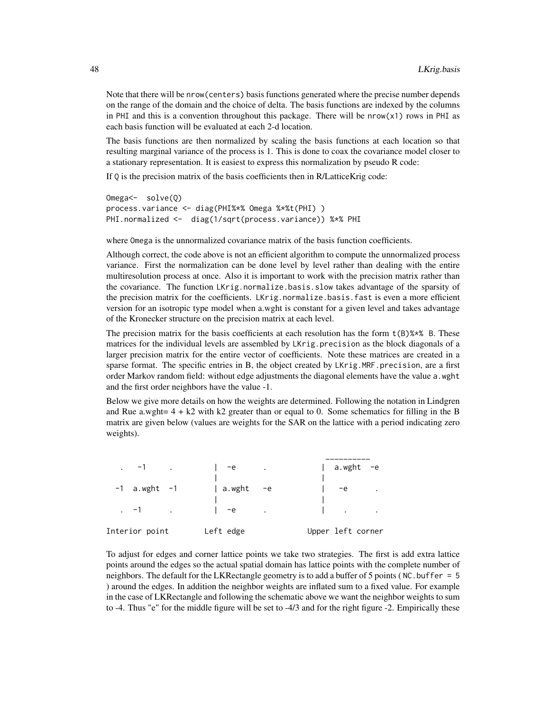Note that there will be nrow(centers) basis functions generated where the precise number depends on the range of the domain and the choice of delta. The basis functions are indexed by the columns in PHI and this is a convention throughout this package. There will be nrow( $x1$ ) rows in PHI as each basis function will be evaluated at each 2-d location.

The basis functions are then normalized by scaling the basis functions at each location so that resulting marginal variance of the process is 1. This is done to coax the covariance model closer to a stationary representation. It is easiest to express this normalization by pseudo R code:

If Q is the precision matrix of the basis coefficients then in R/LatticeKrig code:

```
Omega<- solve(Q)
process.variance <- diag(PHI%*% Omega %*%t(PHI) )
PHI.normalized <- diag(1/sqrt(process.variance)) %*% PHI
```
where Omega is the unnormalized covariance matrix of the basis function coefficients.

Although correct, the code above is not an efficient algorithm to compute the unnormalized process variance. First the normalization can be done level by level rather than dealing with the entire multiresolution process at once. Also it is important to work with the precision matrix rather than the covariance. The function LKrig.normalize.basis.slow takes advantage of the sparsity of the precision matrix for the coefficients. LKrig.normalize.basis.fast is even a more efficient version for an isotropic type model when a.wght is constant for a given level and takes advantage of the Kronecker structure on the precision matrix at each level.

The precision matrix for the basis coefficients at each resolution has the form  $t(B)$ % B. These matrices for the individual levels are assembled by LKrig.precision as the block diagonals of a larger precision matrix for the entire vector of coefficients. Note these matrices are created in a sparse format. The specific entries in B, the object created by LKrig.MRF.precision, are a first order Markov random field: without edge adjustments the diagonal elements have the value a.wght and the first order neighbors have the value -1.

Below we give more details on how the weights are determined. Following the notation in Lindgren and Rue a.wght=  $4 + k2$  with k2 greater than or equal to 0. Some schematics for filling in the B matrix are given below (values are weights for the SAR on the lattice with a period indicating zero weights).

| $\sim$ -1 $\sim$ $\sim$ | $1 -e$    | $\bullet$               | $ $ a.wght -e                                        |                  |
|-------------------------|-----------|-------------------------|------------------------------------------------------|------------------|
| $-1$ a.wght $-1$        | a.wght    | $-e$                    | $-e$                                                 | $\sim 100$ $\mu$ |
| $-1$ $-1$               | $1 - e$   | $\sim 100$ km s $^{-1}$ | $\Gamma$ , $\Gamma$ , $\Gamma$ , $\Gamma$ , $\Gamma$ |                  |
| Interior point          | Left edge |                         | Upper left corner                                    |                  |

To adjust for edges and corner lattice points we take two strategies. The first is add extra lattice points around the edges so the actual spatial domain has lattice points with the complete number of neighbors. The default for the LKR ectangle geometry is to add a buffer of 5 points ( $NC$  buffer = 5 ) around the edges. In addition the neighbor weights are inflated sum to a fixed value. For example in the case of LKRectangle and following the schematic above we want the neighbor weights to sum to -4. Thus "e" for the middle figure will be set to -4/3 and for the right figure -2. Empirically these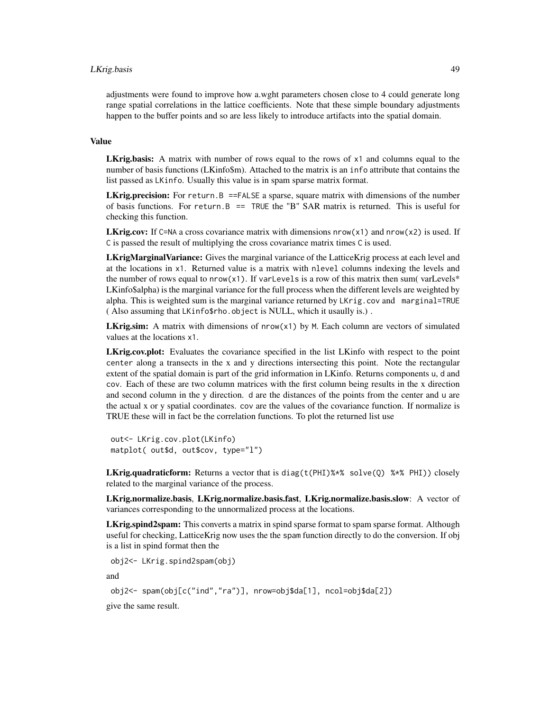# LKrig.basis 49

adjustments were found to improve how a.wght parameters chosen close to 4 could generate long range spatial correlations in the lattice coefficients. Note that these simple boundary adjustments happen to the buffer points and so are less likely to introduce artifacts into the spatial domain.

#### Value

LKrig.basis: A matrix with number of rows equal to the rows of x1 and columns equal to the number of basis functions (LKinfo\$m). Attached to the matrix is an info attribute that contains the list passed as LKinfo. Usually this value is in spam sparse matrix format.

**LKrig.precision:** For return. B ==FALSE a sparse, square matrix with dimensions of the number of basis functions. For return.B  $==$  TRUE the "B" SAR matrix is returned. This is useful for checking this function.

**LKrig.cov:** If C=NA a cross covariance matrix with dimensions  $nrow(x1)$  and  $nrow(x2)$  is used. If C is passed the result of multiplying the cross covariance matrix times C is used.

LKrigMarginalVariance: Gives the marginal variance of the LatticeKrig process at each level and at the locations in x1. Returned value is a matrix with nlevel columns indexing the levels and the number of rows equal to nrow( $x1$ ). If varLevels is a row of this matrix then sum(varLevels\* LKinfo\$alpha) is the marginal variance for the full process when the different levels are weighted by alpha. This is weighted sum is the marginal variance returned by LKrig.cov and marginal=TRUE ( Also assuming that LKinfo\$rho.object is NULL, which it usaully is.) .

**LKrig.sim:** A matrix with dimensions of  $nrow(x1)$  by M. Each column are vectors of simulated values at the locations x1.

LKrig.cov.plot: Evaluates the covariance specified in the list LKinfo with respect to the point center along a transects in the x and y directions intersecting this point. Note the rectangular extent of the spatial domain is part of the grid information in LKinfo. Returns components u, d and cov. Each of these are two column matrices with the first column being results in the x direction and second column in the y direction. d are the distances of the points from the center and u are the actual x or y spatial coordinates. cov are the values of the covariance function. If normalize is TRUE these will in fact be the correlation functions. To plot the returned list use

out<- LKrig.cov.plot(LKinfo) matplot( out\$d, out\$cov, type="l")

**LKrig.quadraticform:** Returns a vector that is diag(t(PHI)% $*$ % solve(Q) % $*$ % PHI)) closely related to the marginal variance of the process.

LKrig.normalize.basis, LKrig.normalize.basis.fast, LKrig.normalize.basis.slow: A vector of variances corresponding to the unnormalized process at the locations.

LKrig.spind2spam: This converts a matrix in spind sparse format to spam sparse format. Although useful for checking, LatticeKrig now uses the the spam function directly to do the conversion. If obj is a list in spind format then the

obj2<- LKrig.spind2spam(obj)

and

obj2<- spam(obj[c("ind","ra")], nrow=obj\$da[1], ncol=obj\$da[2])

give the same result.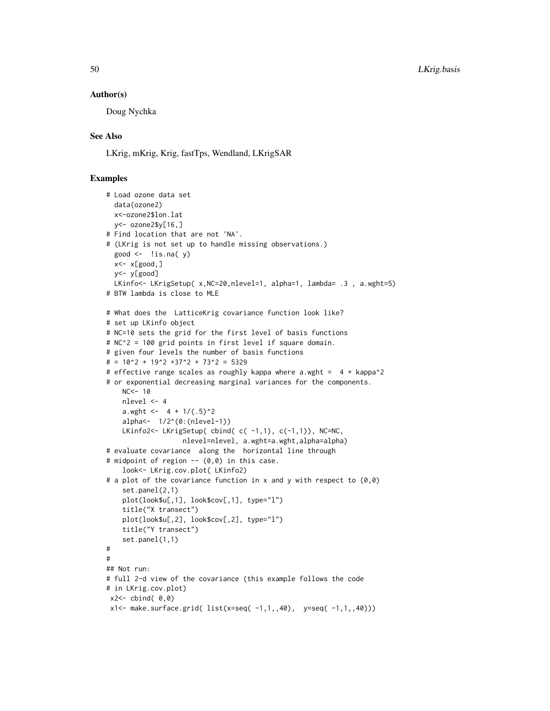### Author(s)

Doug Nychka

# See Also

LKrig, mKrig, Krig, fastTps, Wendland, LKrigSAR

# Examples

```
# Load ozone data set
 data(ozone2)
 x<-ozone2$lon.lat
 y<- ozone2$y[16,]
# Find location that are not 'NA'.
# (LKrig is not set up to handle missing observations.)
 good \leftarrow !is.na( y)
 x<- x[good,]
 y<- y[good]
 LKinfo<- LKrigSetup( x, NC=20, nlevel=1, alpha=1, lambda= .3, a.wght=5)
# BTW lambda is close to MLE
# What does the LatticeKrig covariance function look like?
# set up LKinfo object
# NC=10 sets the grid for the first level of basis functions
# NC^2 = 100 grid points in first level if square domain.
# given four levels the number of basis functions
\# = 10^2 + 19^2 + 37^2 + 73^2 = 5329# effective range scales as roughly kappa where a.wght = 4 + kappa2# or exponential decreasing marginal variances for the components.
   NC < - 10nlevel <- 4
   a.wght <- 4 + 1/(.5)^2alpha<- 1/2^(0:(nlevel-1))
   LKinfo2<- LKrigSetup( cbind( c( -1,1), c(-1,1)), NC=NC,
                   nlevel=nlevel, a.wght=a.wght,alpha=alpha)
# evaluate covariance along the horizontal line through
# midpoint of region -- (0,0) in this case.
    look<- LKrig.cov.plot( LKinfo2)
# a plot of the covariance function in x and y with respect to (0,0)
   set.panel(2,1)
   plot(look$u[,1], look$cov[,1], type="l")
   title("X transect")
   plot(look$u[,2], look$cov[,2], type="l")
   title("Y transect")
    set.panel(1,1)
#
#
## Not run:
# full 2-d view of the covariance (this example follows the code
# in LKrig.cov.plot)
x2 < - cbind( 0, 0)
x1<- make.surface.grid( list(x=seq( -1,1,,40), y=seq( -1,1,,40)))
```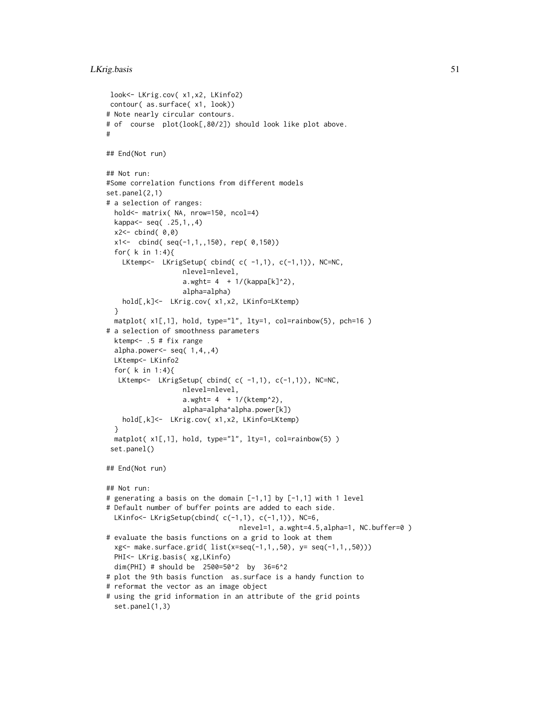```
look<- LKrig.cov( x1,x2, LKinfo2)
contour( as.surface( x1, look))
# Note nearly circular contours.
# of course plot(look[,80/2]) should look like plot above.
#
## End(Not run)
## Not run:
#Some correlation functions from different models
set.panel(2,1)
# a selection of ranges:
 hold<- matrix( NA, nrow=150, ncol=4)
 kappa<- seq( .25,1,,4)
 x2 < - cbind( 0, 0)
 x1<- cbind( seq(-1,1,,150), rep( 0,150))
 for( k in 1:4){
   LKtemp<- LKrigSetup(cbind(c(-1,1),c(-1,1)),NC=NC,
                   nlevel=nlevel,
                   a.wght= 4 + 1/(kappa[<b>k</b>]<sup>2</sup>),alpha=alpha)
   hold[,k]<- LKrig.cov( x1,x2, LKinfo=LKtemp)
 }
 matplot(x1[,1], hold, type="l", lty=1, col=rainbow(5), pch=16)
# a selection of smoothness parameters
 ktemp<- .5 # fix range
 alpha.power<-seq(1,4,4)LKtemp<- LKinfo2
 for( k in 1:4){
  LKtemp<- LKrigSetup( cbind( c( -1,1), c(-1,1)), NC=NC,
                  nlevel=nlevel,
                   a.wght= 4 + 1/(ktemp^2),
                   alpha=alpha^alpha.power[k])
   hold[,k]<- LKrig.cov( x1,x2, LKinfo=LKtemp)
 }
 matplot( x1[,1], hold, type="l", lty=1, col=rainbow(5) )
 set.panel()
## End(Not run)
## Not run:
# generating a basis on the domain [-1,1] by [-1,1] with 1 level
# Default number of buffer points are added to each side.
 LKinfo<- LKrigSetup(cbind( c(-1,1), c(-1,1)), NC=6,
                                 nlevel=1, a.wght=4.5,alpha=1, NC.buffer=0 )
# evaluate the basis functions on a grid to look at them
 xg<- make.surface.grid( list(x=seq(-1,1,,50), y= seq(-1,1,,50)))
 PHI<- LKrig.basis( xg,LKinfo)
 dim(PHI) # should be 2500=50^2 by 36=6^2
# plot the 9th basis function as.surface is a handy function to
# reformat the vector as an image object
# using the grid information in an attribute of the grid points
 set.panel(1,3)
```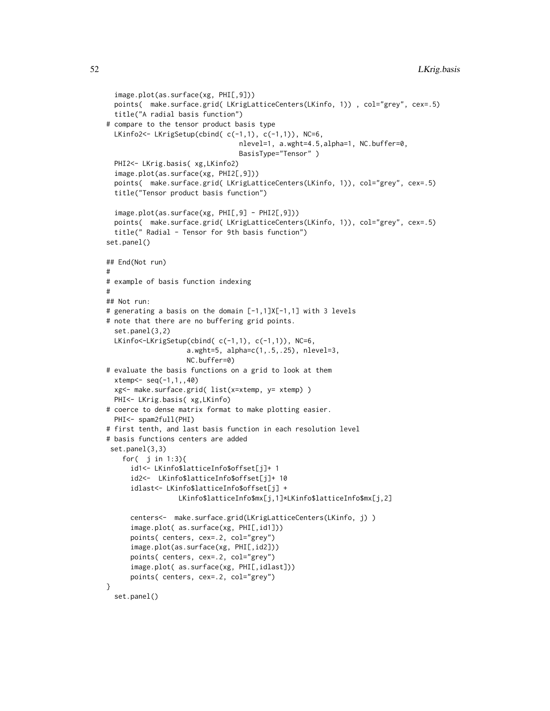```
image.plot(as.surface(xg, PHI[,9]))
  points( make.surface.grid( LKrigLatticeCenters(LKinfo, 1)) , col="grey", cex=.5)
  title("A radial basis function")
# compare to the tensor product basis type
  LKinfo2<- LKrigSetup(cbind( c(-1,1), c(-1,1)), NC=6,
                                 nlevel=1, a.wght=4.5,alpha=1, NC.buffer=0,
                                 BasisType="Tensor" )
  PHI2<- LKrig.basis( xg,LKinfo2)
  image.plot(as.surface(xg, PHI2[,9]))
  points( make.surface.grid( LKrigLatticeCenters(LKinfo, 1)), col="grey", cex=.5)
  title("Tensor product basis function")
  image.plot(as.surface(xg, PHI[,9] - PHI2[,9]))
  points( make.surface.grid( LKrigLatticeCenters(LKinfo, 1)), col="grey", cex=.5)
  title(" Radial - Tensor for 9th basis function")
set.panel()
## End(Not run)
#
# example of basis function indexing
#
## Not run:
# generating a basis on the domain [-1,1]X[-1,1] with 3 levels
# note that there are no buffering grid points.
  set.panel(3,2)
  LKinfo<-LKrigSetup(cbind( c(-1,1), c(-1,1)), NC=6,
                    a.wght=5, alpha=c(1,.5,.25), nlevel=3,
                    NC.buffer=0)
# evaluate the basis functions on a grid to look at them
  xtemp<- seq(-1,1,,40)
  xg<- make.surface.grid( list(x=xtemp, y= xtemp) )
  PHI<- LKrig.basis( xg,LKinfo)
# coerce to dense matrix format to make plotting easier.
  PHI<- spam2full(PHI)
# first tenth, and last basis function in each resolution level
# basis functions centers are added
 set.panel(3,3)
    for( j in 1:3){
      id1<- LKinfo$latticeInfo$offset[j]+ 1
      id2<- LKinfo$latticeInfo$offset[j]+ 10
      idlast<- LKinfo$latticeInfo$offset[j] +
                  LKinfo$latticeInfo$mx[j,1]*LKinfo$latticeInfo$mx[j,2]
      centers<- make.surface.grid(LKrigLatticeCenters(LKinfo, j) )
      image.plot( as.surface(xg, PHI[,id1]))
      points( centers, cex=.2, col="grey")
      image.plot(as.surface(xg, PHI[,id2]))
      points( centers, cex=.2, col="grey")
      image.plot( as.surface(xg, PHI[,idlast]))
      points( centers, cex=.2, col="grey")
}
  set.panel()
```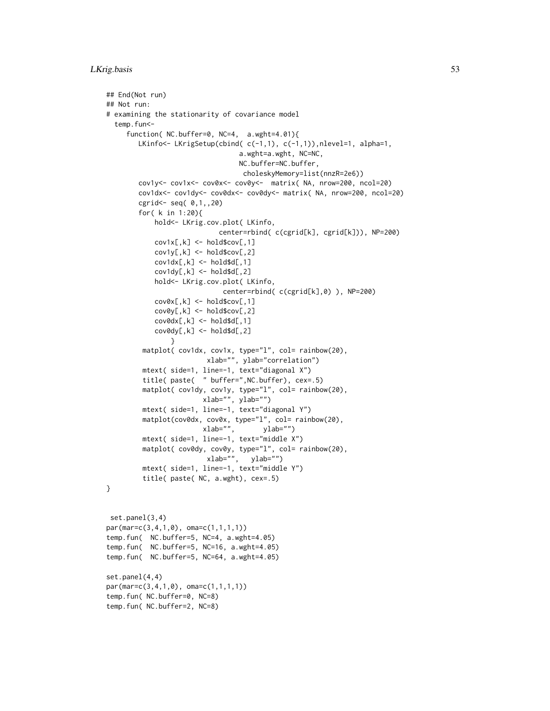```
## End(Not run)
## Not run:
# examining the stationarity of covariance model
 temp.fun<-
     function( NC.buffer=0, NC=4, a.wght=4.01){
        LKinfo<- LKrigSetup(cbind( c(-1,1), c(-1,1)),nlevel=1, alpha=1,
                                  a.wght=a.wght, NC=NC,
                                  NC.buffer=NC.buffer,
                                   choleskyMemory=list(nnzR=2e6))
        cov1y<- cov1x<- cov0x<- cov0y<- matrix( NA, nrow=200, ncol=20)
        cov1dx<- cov1dy<- cov0dx<- cov0dy<- matrix( NA, nrow=200, ncol=20)
        cgrid<- seq( 0,1,,20)
        for( k in 1:20){
            hold<- LKrig.cov.plot( LKinfo,
                             center=rbind( c(cgrid[k], cgrid[k])), NP=200)
            cov1x[,k] <- hold$cov[,1]cov1y[, k] \leftarrow holdScov[, 2]cov1dx[, k] \leftarrow hold\d[, 1]cov1dy[, k] < - \text{hold}$d[, 2]hold<- LKrig.cov.plot( LKinfo,
                              center=rbind( c(cgrid[k],0) ), NP=200)
            cov@x[, k] \le - \text{hold}scov[, 1]cov0y[,k] <- hold$cov[,2]
            cov0dx[, k] < - \text{hold}d([0, 1])cov@dy[, k] < - \text{hold}$d[, 2]}
         matplot( cov1dx, cov1x, type="l", col= rainbow(20),
                         xlab="", ylab="correlation")
         mtext( side=1, line=-1, text="diagonal X")
         title( paste( " buffer=",NC.buffer), cex=.5)
         matplot(cov1dy, cov1y, type="l", col= rainbow(20),
                        xlab="", ylab="")
         mtext( side=1, line=-1, text="diagonal Y")
         matplot(cov0dx, cov0x, type="l", col= rainbow(20),
                        xlab="", ylab="")
         mtext( side=1, line=-1, text="middle X")
         matplot(cov0dy, cov0y, type="l", col= rainbow(20),
                          xlab="", ylab="")
         mtext( side=1, line=-1, text="middle Y")
         title( paste( NC, a.wght), cex=.5)
}
set.panel(3,4)
par(mar=c(3,4,1,0), oma=c(1,1,1,1))
temp.fun( NC.buffer=5, NC=4, a.wght=4.05)
temp.fun( NC.buffer=5, NC=16, a.wght=4.05)
temp.fun( NC.buffer=5, NC=64, a.wght=4.05)
set.panel(4,4)
par(mar=c(3,4,1,0), oma=c(1,1,1,1))
temp.fun( NC.buffer=0, NC=8)
```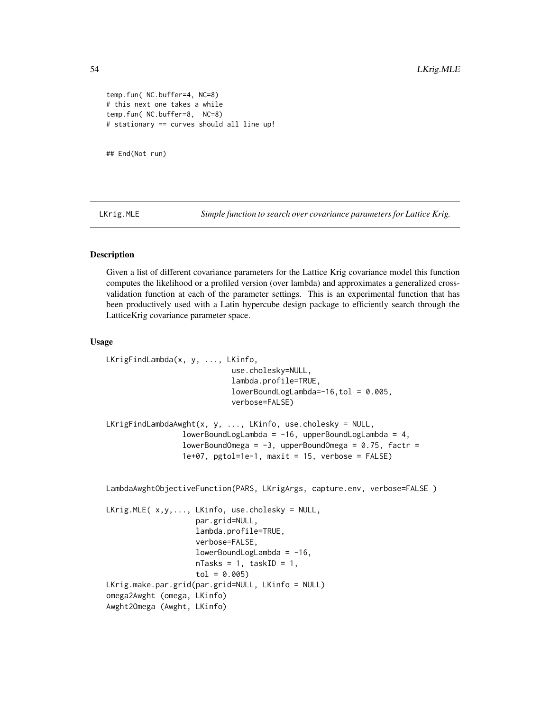```
temp.fun( NC.buffer=4, NC=8)
# this next one takes a while
temp.fun( NC.buffer=8, NC=8)
# stationary == curves should all line up!
```
## End(Not run)

LKrig.MLE *Simple function to search over covariance parameters for Lattice Krig.*

## Description

Given a list of different covariance parameters for the Lattice Krig covariance model this function computes the likelihood or a profiled version (over lambda) and approximates a generalized crossvalidation function at each of the parameter settings. This is an experimental function that has been productively used with a Latin hypercube design package to efficiently search through the LatticeKrig covariance parameter space.

### Usage

```
LKrigFindLambda(x, y, ..., LKinfo,
                            use.cholesky=NULL,
                            lambda.profile=TRUE,
                            lowerBoundLogLambda=-16, tol = 0.005,verbose=FALSE)
LKrigFindLambdaAwght(x, y, ..., LKinfo, use.cholesky = NULL,
                 lowerBoundLogLambda = -16, upperBoundLogLambda = 4,
                 lowerBoundOmega = -3, upperBoundOmega = 0.75, factr =
                 1e+07, pgtol=1e-1, maxit = 15, verbose = FALSE)
LambdaAwghtObjectiveFunction(PARS, LKrigArgs, capture.env, verbose=FALSE)
LKrig.MLE( x,y,..., LKinfo, use.cholesky = NULL,
                    par.grid=NULL,
                    lambda.profile=TRUE,
                    verbose=FALSE,
                    lowerBoundLogLambda = -16,
                    nTasks = 1, taskID = 1,
                    tol = 0.005LKrig.make.par.grid(par.grid=NULL, LKinfo = NULL)
omega2Awght (omega, LKinfo)
```

```
Awght2Omega (Awght, LKinfo)
```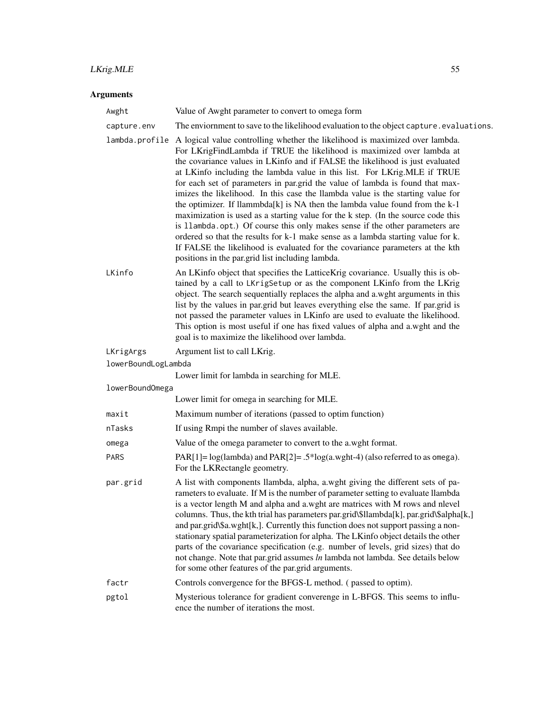# LKrig.MLE 55

# Arguments

| Awght               | Value of Awght parameter to convert to omega form                                                                                                                                                                                                                                                                                                                                                                                                                                                                                                                                                                                                                                                                                                                                                                                                                                                                                                                                    |
|---------------------|--------------------------------------------------------------------------------------------------------------------------------------------------------------------------------------------------------------------------------------------------------------------------------------------------------------------------------------------------------------------------------------------------------------------------------------------------------------------------------------------------------------------------------------------------------------------------------------------------------------------------------------------------------------------------------------------------------------------------------------------------------------------------------------------------------------------------------------------------------------------------------------------------------------------------------------------------------------------------------------|
| capture.env         | The enviornment to save to the likelihood evaluation to the object capture . evaluations.                                                                                                                                                                                                                                                                                                                                                                                                                                                                                                                                                                                                                                                                                                                                                                                                                                                                                            |
|                     | lambda.profile A logical value controlling whether the likelihood is maximized over lambda.<br>For LKrigFindLambda if TRUE the likelihood is maximized over lambda at<br>the covariance values in LKinfo and if FALSE the likelihood is just evaluated<br>at LKinfo including the lambda value in this list. For LKrig.MLE if TRUE<br>for each set of parameters in par.grid the value of lambda is found that max-<br>imizes the likelihood. In this case the llambda value is the starting value for<br>the optimizer. If llammbda[k] is NA then the lambda value found from the k-1<br>maximization is used as a starting value for the k step. (In the source code this<br>is 11ambda.opt.) Of course this only makes sense if the other parameters are<br>ordered so that the results for k-1 make sense as a lambda starting value for k.<br>If FALSE the likelihood is evaluated for the covariance parameters at the kth<br>positions in the par.grid list including lambda. |
| LKinfo              | An LKinfo object that specifies the LatticeKrig covariance. Usually this is ob-<br>tained by a call to LKrigSetup or as the component LKinfo from the LKrig<br>object. The search sequentially replaces the alpha and a.wght arguments in this<br>list by the values in par.grid but leaves everything else the same. If par.grid is<br>not passed the parameter values in LKinfo are used to evaluate the likelihood.<br>This option is most useful if one has fixed values of alpha and a.wght and the<br>goal is to maximize the likelihood over lambda.                                                                                                                                                                                                                                                                                                                                                                                                                          |
| LKrigArgs           | Argument list to call LKrig.                                                                                                                                                                                                                                                                                                                                                                                                                                                                                                                                                                                                                                                                                                                                                                                                                                                                                                                                                         |
| lowerBoundLogLambda |                                                                                                                                                                                                                                                                                                                                                                                                                                                                                                                                                                                                                                                                                                                                                                                                                                                                                                                                                                                      |
|                     | Lower limit for lambda in searching for MLE.                                                                                                                                                                                                                                                                                                                                                                                                                                                                                                                                                                                                                                                                                                                                                                                                                                                                                                                                         |
| lowerBoundOmega     | Lower limit for omega in searching for MLE.                                                                                                                                                                                                                                                                                                                                                                                                                                                                                                                                                                                                                                                                                                                                                                                                                                                                                                                                          |
| maxit               | Maximum number of iterations (passed to optim function)                                                                                                                                                                                                                                                                                                                                                                                                                                                                                                                                                                                                                                                                                                                                                                                                                                                                                                                              |
| nTasks              | If using Rmpi the number of slaves available.                                                                                                                                                                                                                                                                                                                                                                                                                                                                                                                                                                                                                                                                                                                                                                                                                                                                                                                                        |
| omega               | Value of the omega parameter to convert to the a.wght format.                                                                                                                                                                                                                                                                                                                                                                                                                                                                                                                                                                                                                                                                                                                                                                                                                                                                                                                        |
| PARS                | PAR[1]= $log(lambda)$ and PAR[2]= .5* $log(a. wght-4)$ (also referred to as omega).<br>For the LKRectangle geometry.                                                                                                                                                                                                                                                                                                                                                                                                                                                                                                                                                                                                                                                                                                                                                                                                                                                                 |
| par.grid            | A list with components llambda, alpha, a.wght giving the different sets of pa-<br>rameters to evaluate. If M is the number of parameter setting to evaluate llambda<br>is a vector length M and alpha and a.wght are matrices with M rows and nlevel<br>columns. Thus, the kth trial has parameters par.grid\\$llambda[k], par.grid\\$alpha[k,]<br>and par.grid\\$a.wght[k,]. Currently this function does not support passing a non-<br>stationary spatial parameterization for alpha. The LKinfo object details the other<br>parts of the covariance specification (e.g. number of levels, grid sizes) that do<br>not change. Note that par.grid assumes ln lambda not lambda. See details below<br>for some other features of the par.grid arguments.                                                                                                                                                                                                                             |
| factr               | Controls convergence for the BFGS-L method. (passed to optim).                                                                                                                                                                                                                                                                                                                                                                                                                                                                                                                                                                                                                                                                                                                                                                                                                                                                                                                       |
| pgtol               | Mysterious tolerance for gradient converenge in L-BFGS. This seems to influ-<br>ence the number of iterations the most.                                                                                                                                                                                                                                                                                                                                                                                                                                                                                                                                                                                                                                                                                                                                                                                                                                                              |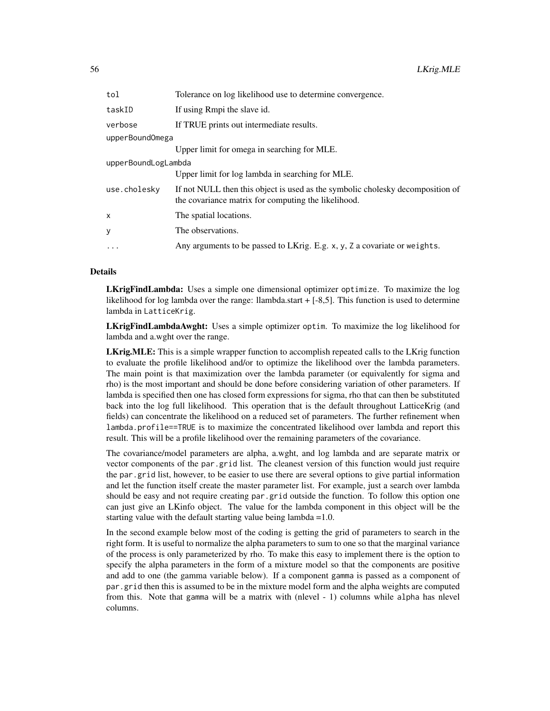| tol                 | Tolerance on log likelihood use to determine convergence.                                                                             |  |
|---------------------|---------------------------------------------------------------------------------------------------------------------------------------|--|
| taskID              | If using Rmpi the slave id.                                                                                                           |  |
| verbose             | If TRUE prints out intermediate results.                                                                                              |  |
| upperBoundOmega     |                                                                                                                                       |  |
|                     | Upper limit for omega in searching for MLE.                                                                                           |  |
| upperBoundLogLambda |                                                                                                                                       |  |
|                     | Upper limit for log lambda in searching for MLE.                                                                                      |  |
| use.cholesky        | If not NULL then this object is used as the symbolic cholesky decomposition of<br>the covariance matrix for computing the likelihood. |  |
| x                   | The spatial locations.                                                                                                                |  |
| У                   | The observations.                                                                                                                     |  |
| $\cdots$            | Any arguments to be passed to LKrig. E.g. x, y, Z a covariate or weights.                                                             |  |

# Details

LKrigFindLambda: Uses a simple one dimensional optimizer optimize. To maximize the log likelihood for log lambda over the range: llambda.start  $+$  [-8,5]. This function is used to determine lambda in LatticeKrig.

LKrigFindLambdaAwght: Uses a simple optimizer optim. To maximize the log likelihood for lambda and a.wght over the range.

LKrig.MLE: This is a simple wrapper function to accomplish repeated calls to the LKrig function to evaluate the profile likelihood and/or to optimize the likelihood over the lambda parameters. The main point is that maximization over the lambda parameter (or equivalently for sigma and rho) is the most important and should be done before considering variation of other parameters. If lambda is specified then one has closed form expressions for sigma, rho that can then be substituted back into the log full likelihood. This operation that is the default throughout LatticeKrig (and fields) can concentrate the likelihood on a reduced set of parameters. The further refinement when lambda.profile==TRUE is to maximize the concentrated likelihood over lambda and report this result. This will be a profile likelihood over the remaining parameters of the covariance.

The covariance/model parameters are alpha, a.wght, and log lambda and are separate matrix or vector components of the par.grid list. The cleanest version of this function would just require the par.grid list, however, to be easier to use there are several options to give partial information and let the function itself create the master parameter list. For example, just a search over lambda should be easy and not require creating par.grid outside the function. To follow this option one can just give an LKinfo object. The value for the lambda component in this object will be the starting value with the default starting value being lambda =1.0.

In the second example below most of the coding is getting the grid of parameters to search in the right form. It is useful to normalize the alpha parameters to sum to one so that the marginal variance of the process is only parameterized by rho. To make this easy to implement there is the option to specify the alpha parameters in the form of a mixture model so that the components are positive and add to one (the gamma variable below). If a component gamma is passed as a component of par.grid then this is assumed to be in the mixture model form and the alpha weights are computed from this. Note that gamma will be a matrix with (nlevel - 1) columns while alpha has nlevel columns.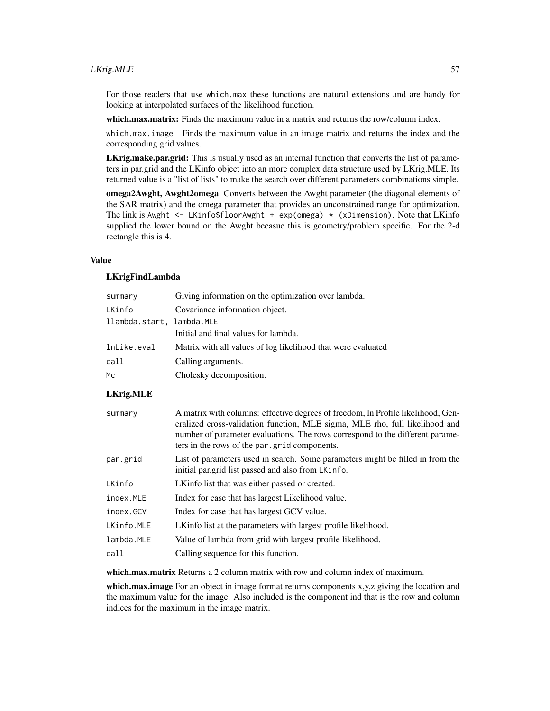# LKrig.MLE 57

For those readers that use which.max these functions are natural extensions and are handy for looking at interpolated surfaces of the likelihood function.

which.max.matrix: Finds the maximum value in a matrix and returns the row/column index.

which.max.image Finds the maximum value in an image matrix and returns the index and the corresponding grid values.

LKrig.make.par.grid: This is usually used as an internal function that converts the list of parameters in par.grid and the LKinfo object into an more complex data structure used by LKrig.MLE. Its returned value is a "list of lists" to make the search over different parameters combinations simple.

**omega2Awght, Awght2omega** Converts between the Awght parameter (the diagonal elements of the SAR matrix) and the omega parameter that provides an unconstrained range for optimization. The link is Awght  $\leq$  LKinfo\$floorAwght + exp(omega)  $\star$  (xDimension). Note that LKinfo supplied the lower bound on the Awght becasue this is geometry/problem specific. For the 2-d rectangle this is 4.

### Value

### LKrigFindLambda

| summary                   | Giving information on the optimization over lambda.          |
|---------------------------|--------------------------------------------------------------|
| LKinfo                    | Covariance information object.                               |
| llambda.start, lambda.MLE |                                                              |
|                           | Initial and final values for lambda.                         |
| lnLike.eval               | Matrix with all values of log likelihood that were evaluated |
| call                      | Calling arguments.                                           |
| Mc                        | Cholesky decomposition.                                      |

# LKrig.MLE

| summary    | A matrix with columns: effective degrees of freedom, In Profile likelihood, Gen-<br>eralized cross-validation function, MLE sigma, MLE rho, full likelihood and<br>number of parameter evaluations. The rows correspond to the different parame-<br>ters in the rows of the par grid components. |
|------------|--------------------------------------------------------------------------------------------------------------------------------------------------------------------------------------------------------------------------------------------------------------------------------------------------|
| par.grid   | List of parameters used in search. Some parameters might be filled in from the<br>initial par.grid list passed and also from LKinfo.                                                                                                                                                             |
| LKinfo     | LKinfo list that was either passed or created.                                                                                                                                                                                                                                                   |
| index.MLE  | Index for case that has largest Likelihood value.                                                                                                                                                                                                                                                |
| index.GCV  | Index for case that has largest GCV value.                                                                                                                                                                                                                                                       |
| LKinfo.MLE | LKinfo list at the parameters with largest profile likelihood.                                                                                                                                                                                                                                   |
| lambda.MLE | Value of lambda from grid with largest profile likelihood.                                                                                                                                                                                                                                       |
| call       | Calling sequence for this function.                                                                                                                                                                                                                                                              |
|            |                                                                                                                                                                                                                                                                                                  |

which.max.matrix Returns a 2 column matrix with row and column index of maximum.

which.max.image For an object in image format returns components x,y,z giving the location and the maximum value for the image. Also included is the component ind that is the row and column indices for the maximum in the image matrix.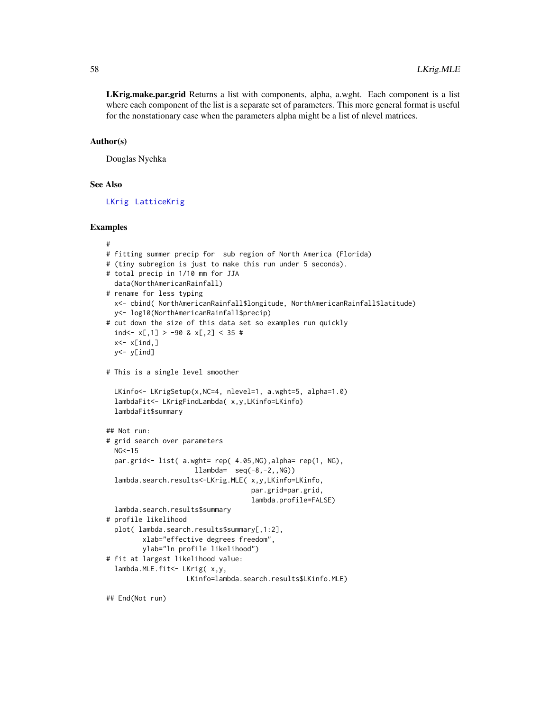LKrig.make.par.grid Returns a list with components, alpha, a.wght. Each component is a list where each component of the list is a separate set of parameters. This more general format is useful for the nonstationary case when the parameters alpha might be a list of nlevel matrices.

### Author(s)

Douglas Nychka

### See Also

[LKrig](#page-23-0) [LatticeKrig](#page-6-0)

# Examples

```
#
# fitting summer precip for sub region of North America (Florida)
# (tiny subregion is just to make this run under 5 seconds).
# total precip in 1/10 mm for JJA
  data(NorthAmericanRainfall)
# rename for less typing
  x<- cbind( NorthAmericanRainfall$longitude, NorthAmericanRainfall$latitude)
  y<- log10(NorthAmericanRainfall$precip)
# cut down the size of this data set so examples run quickly
  ind <- x[,1] > -90 & x[,2] < 35 #
  x<- x[ind,]
  y<- y[ind]
# This is a single level smoother
  LKinfo<- LKrigSetup(x,NC=4, nlevel=1, a.wght=5, alpha=1.0)
  lambdaFit<- LKrigFindLambda( x,y,LKinfo=LKinfo)
  lambdaFit$summary
## Not run:
# grid search over parameters
  NG < -15par.grid<- list( a.wght= rep( 4.05,NG),alpha= rep(1, NG),
                      llambda= seq(-8,-2,,NG))
  lambda.search.results<-LKrig.MLE( x,y,LKinfo=LKinfo,
                                    par.grid=par.grid,
                                    lambda.profile=FALSE)
  lambda.search.results$summary
# profile likelihood
  plot( lambda.search.results$summary[,1:2],
         xlab="effective degrees freedom",
         ylab="ln profile likelihood")
# fit at largest likelihood value:
  lambda.MLE.fit<- LKrig( x,y,
                    LKinfo=lambda.search.results$LKinfo.MLE)
```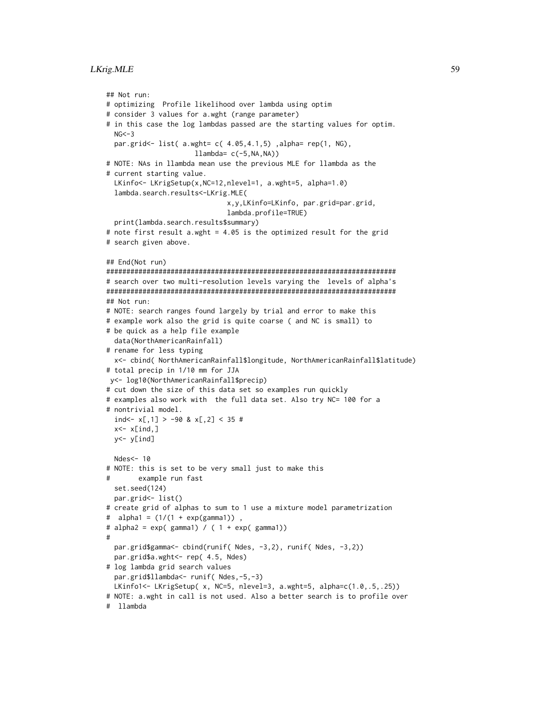# LKrig.MLE 59

```
## Not run:
# optimizing Profile likelihood over lambda using optim
# consider 3 values for a.wght (range parameter)
# in this case the log lambdas passed are the starting values for optim.
 NG < -3par.grid<- list( a.wght= c( 4.05,4.1,5) ,alpha= rep(1, NG),
                      llambda = c(-5, NA, NA))# NOTE: NAs in llambda mean use the previous MLE for llambda as the
# current starting value.
 LKinfo<- LKrigSetup(x,NC=12,nlevel=1, a.wght=5, alpha=1.0)
 lambda.search.results<-LKrig.MLE(
                              x,y,LKinfo=LKinfo, par.grid=par.grid,
                              lambda.profile=TRUE)
 print(lambda.search.results$summary)
# note first result a.wght = 4.05 is the optimized result for the grid
# search given above.
## End(Not run)
########################################################################
# search over two multi-resolution levels varying the levels of alpha's
########################################################################
## Not run:
# NOTE: search ranges found largely by trial and error to make this
# example work also the grid is quite coarse ( and NC is small) to
# be quick as a help file example
 data(NorthAmericanRainfall)
# rename for less typing
 x<- cbind( NorthAmericanRainfall$longitude, NorthAmericanRainfall$latitude)
# total precip in 1/10 mm for JJA
y<- log10(NorthAmericanRainfall$precip)
# cut down the size of this data set so examples run quickly
# examples also work with the full data set. Also try NC= 100 for a
# nontrivial model.
 ind <- x[,1] > -90 & x[,2] < 35 #
 x < -x[ind,]
 y<- y[ind]
 Ndes<- 10
# NOTE: this is set to be very small just to make this
# example run fast
 set.seed(124)
 par.grid<- list()
# create grid of alphas to sum to 1 use a mixture model parametrization
# alpha1 = (1/(1 + exp(gamma1)) ,
# alpha2 = exp( gamma1) / ( 1 + exp( gamma1))
#
 par.grid$gamma<- cbind(runif( Ndes, -3,2), runif( Ndes, -3,2))
 par.grid$a.wght<- rep( 4.5, Ndes)
# log lambda grid search values
 par.grid$llambda<- runif( Ndes,-5,-3)
 LKinfo1<- LKrigSetup( x, NC=5, nlevel=3, a.wght=5, alpha=c(1.0,.5,.25))
# NOTE: a.wght in call is not used. Also a better search is to profile over
# llambda
```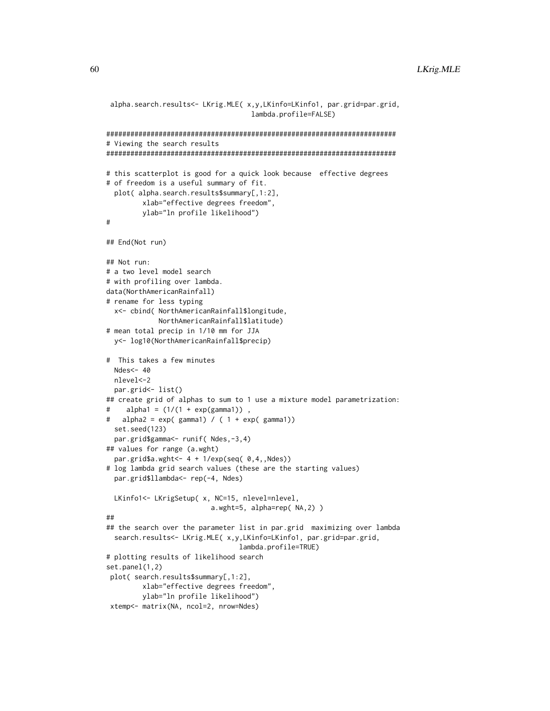```
alpha.search.results<- LKrig.MLE( x,y,LKinfo=LKinfo1, par.grid=par.grid,
                                    lambda.profile=FALSE)
########################################################################
# Viewing the search results
########################################################################
# this scatterplot is good for a quick look because effective degrees
# of freedom is a useful summary of fit.
 plot( alpha.search.results$summary[,1:2],
        xlab="effective degrees freedom",
        ylab="ln profile likelihood")
#
## End(Not run)
## Not run:
# a two level model search
# with profiling over lambda.
data(NorthAmericanRainfall)
# rename for less typing
 x<- cbind( NorthAmericanRainfall$longitude,
            NorthAmericanRainfall$latitude)
# mean total precip in 1/10 mm for JJA
 y<- log10(NorthAmericanRainfall$precip)
# This takes a few minutes
 Ndes<- 40
 nlevel<-2
 par.grid<- list()
## create grid of alphas to sum to 1 use a mixture model parametrization:
# alpha1 = (1/(1 + exp(gamma1)),
# alpha2 = exp( gamma1) / ( 1 + exp( gamma1))
 set.seed(123)
 par.grid$gamma<- runif( Ndes,-3,4)
## values for range (a.wght)
 par.grid$a.wght <- 4 + 1/exp(seq( 0,4,,Ndes))
# log lambda grid search values (these are the starting values)
 par.grid$llambda<- rep(-4, Ndes)
 LKinfo1<- LKrigSetup( x, NC=15, nlevel=nlevel,
                          a.wght=5, alpha=rep( NA,2) )
##
## the search over the parameter list in par.grid maximizing over lambda
 search.results<- LKrig.MLE( x,y,LKinfo=LKinfo1, par.grid=par.grid,
                                 lambda.profile=TRUE)
# plotting results of likelihood search
set.panel(1,2)
plot( search.results$summary[,1:2],
        xlab="effective degrees freedom",
         ylab="ln profile likelihood")
 xtemp<- matrix(NA, ncol=2, nrow=Ndes)
```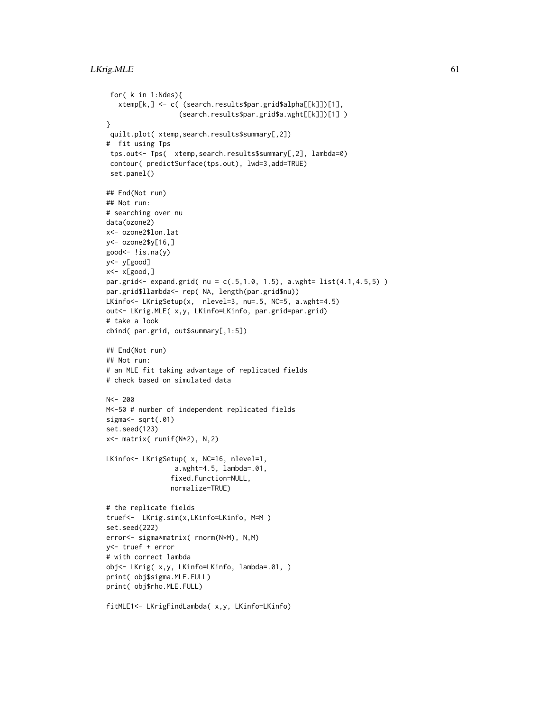# LKrig.MLE 61

```
for( k in 1:Ndes){
   xtemp[k,] <- c( (search.results$par.grid$alpha[[k]])[1],
                  (search.results$par.grid$a.wght[[k]])[1] )
}
 quilt.plot( xtemp,search.results$summary[,2])
# fit using Tps
 tps.out<- Tps( xtemp,search.results$summary[,2], lambda=0)
 contour( predictSurface(tps.out), lwd=3,add=TRUE)
 set.panel()
## End(Not run)
## Not run:
# searching over nu
data(ozone2)
x<- ozone2$lon.lat
y<- ozone2$y[16,]
good<- !is.na(y)
y<- y[good]
x<- x[good,]
par.grid<- expand.grid( nu = c(.5,1.0, 1.5), a.wght= list(4.1,4.5,5) )
par.grid$llambda<- rep( NA, length(par.grid$nu))
LKinfo<- LKrigSetup(x, nlevel=3, nu=.5, NC=5, a.wght=4.5)
out<- LKrig.MLE( x,y, LKinfo=LKinfo, par.grid=par.grid)
# take a look
cbind( par.grid, out$summary[,1:5])
## End(Not run)
## Not run:
# an MLE fit taking advantage of replicated fields
# check based on simulated data
N < - 200M<-50 # number of independent replicated fields
sigma<sup><-</sup> sqrt(.01)
set.seed(123)
x<- matrix( runif(N*2), N,2)
LKinfo<- LKrigSetup( x, NC=16, nlevel=1,
                 a.wght=4.5, lambda=.01,
                fixed.Function=NULL,
                normalize=TRUE)
# the replicate fields
truef<- LKrig.sim(x,LKinfo=LKinfo, M=M )
set.seed(222)
error<- sigma*matrix( rnorm(N*M), N,M)
y<- truef + error
# with correct lambda
obj<- LKrig( x,y, LKinfo=LKinfo, lambda=.01, )
print( obj$sigma.MLE.FULL)
print( obj$rho.MLE.FULL)
fitMLE1<- LKrigFindLambda( x,y, LKinfo=LKinfo)
```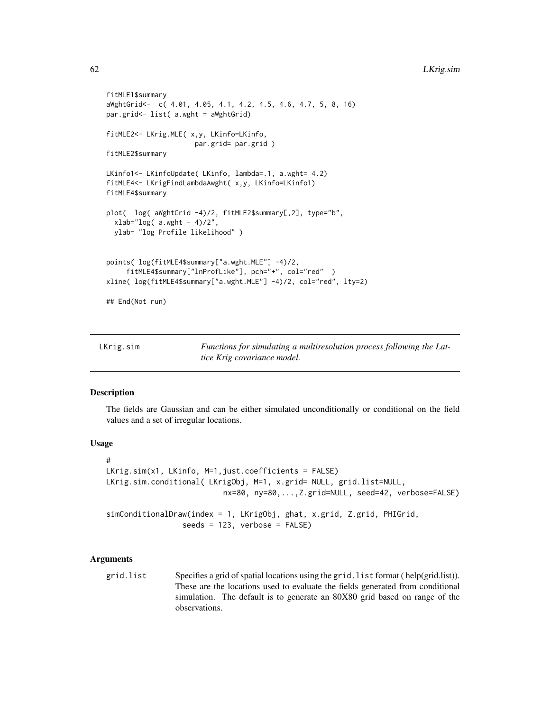```
fitMLE1$summary
aWghtGrid<- c( 4.01, 4.05, 4.1, 4.2, 4.5, 4.6, 4.7, 5, 8, 16)
par.grid<- list( a.wght = aWghtGrid)
fitMLE2<- LKrig.MLE( x,y, LKinfo=LKinfo,
                      par.grid= par.grid )
fitMLE2$summary
LKinfo1<- LKinfoUpdate( LKinfo, lambda=.1, a.wght= 4.2)
fitMLE4<- LKrigFindLambdaAwght( x,y, LKinfo=LKinfo1)
fitMLE4$summary
plot( log( aWghtGrid -4)/2, fitMLE2$summary[,2], type="b",
  xlab="log( a.wight - 4)/2",ylab= "log Profile likelihood" )
points( log(fitMLE4$summary["a.wght.MLE"] -4)/2,
     fitMLE4$summary["lnProfLike"], pch="+", col="red" )
xline( log(fitMLE4$summary["a.wght.MLE"] -4)/2, col="red", lty=2)
## End(Not run)
```

| LKrig.sim | Functions for simulating a multiresolution process following the Lat- |
|-----------|-----------------------------------------------------------------------|
|           | tice Krig covariance model.                                           |

# Description

The fields are Gaussian and can be either simulated unconditionally or conditional on the field values and a set of irregular locations.

# Usage

```
#
LKrig.sim(x1, LKinfo, M=1,just.coefficients = FALSE)
LKrig.sim.conditional( LKrigObj, M=1, x.grid= NULL, grid.list=NULL,
                          nx=80, ny=80,...,Z.grid=NULL, seed=42, verbose=FALSE)
simConditionalDraw(index = 1, LKrigObj, ghat, x.grid, Z.grid, PHIGrid,
                 seeds = 123, verbose = FALSE)
```
#### **Arguments**

grid.list Specifies a grid of spatial locations using the grid.list format ( help(grid.list)). These are the locations used to evaluate the fields generated from conditional simulation. The default is to generate an 80X80 grid based on range of the observations.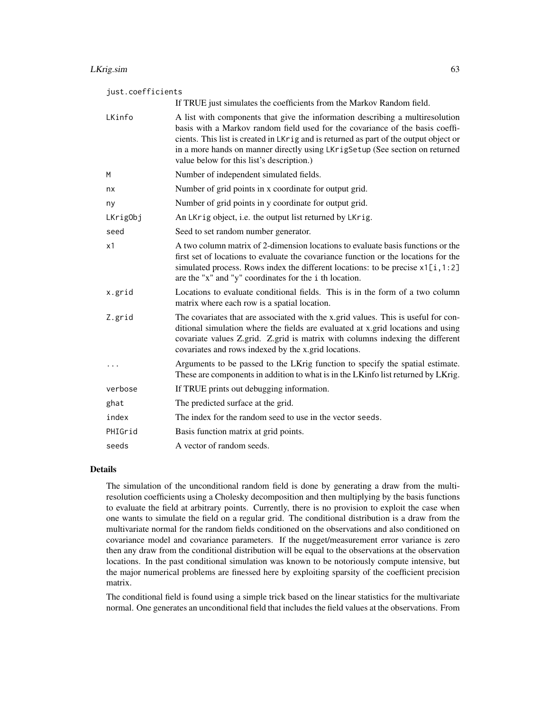# LKrig.sim 63

#### just.coefficients

|          | If TRUE just simulates the coefficients from the Markov Random field.                                                                                                                                                                                                                                                                                                                |
|----------|--------------------------------------------------------------------------------------------------------------------------------------------------------------------------------------------------------------------------------------------------------------------------------------------------------------------------------------------------------------------------------------|
| LKinfo   | A list with components that give the information describing a multiresolution<br>basis with a Markov random field used for the covariance of the basis coeffi-<br>cients. This list is created in LKrig and is returned as part of the output object or<br>in a more hands on manner directly using LKrigSetup (See section on returned<br>value below for this list's description.) |
| M        | Number of independent simulated fields.                                                                                                                                                                                                                                                                                                                                              |
| nx       | Number of grid points in x coordinate for output grid.                                                                                                                                                                                                                                                                                                                               |
| ny       | Number of grid points in y coordinate for output grid.                                                                                                                                                                                                                                                                                                                               |
| LKrigObj | An LKrig object, i.e. the output list returned by LKrig.                                                                                                                                                                                                                                                                                                                             |
| seed     | Seed to set random number generator.                                                                                                                                                                                                                                                                                                                                                 |
| x1       | A two column matrix of 2-dimension locations to evaluate basis functions or the<br>first set of locations to evaluate the covariance function or the locations for the<br>simulated process. Rows index the different locations: to be precise $x1[i, 1:2]$<br>are the "x" and "y" coordinates for the i th location.                                                                |
| x.grid   | Locations to evaluate conditional fields. This is in the form of a two column<br>matrix where each row is a spatial location.                                                                                                                                                                                                                                                        |
| Z.grid   | The covariates that are associated with the x grid values. This is useful for con-<br>ditional simulation where the fields are evaluated at x.grid locations and using<br>covariate values Z.grid. Z.grid is matrix with columns indexing the different<br>covariates and rows indexed by the x.grid locations.                                                                      |
|          | Arguments to be passed to the LKrig function to specify the spatial estimate.<br>These are components in addition to what is in the LKinfo list returned by LKrig.                                                                                                                                                                                                                   |
| verbose  | If TRUE prints out debugging information.                                                                                                                                                                                                                                                                                                                                            |
| ghat     | The predicted surface at the grid.                                                                                                                                                                                                                                                                                                                                                   |
| index    | The index for the random seed to use in the vector seeds.                                                                                                                                                                                                                                                                                                                            |
| PHIGrid  | Basis function matrix at grid points.                                                                                                                                                                                                                                                                                                                                                |
| seeds    | A vector of random seeds.                                                                                                                                                                                                                                                                                                                                                            |

# Details

The simulation of the unconditional random field is done by generating a draw from the multiresolution coefficients using a Cholesky decomposition and then multiplying by the basis functions to evaluate the field at arbitrary points. Currently, there is no provision to exploit the case when one wants to simulate the field on a regular grid. The conditional distribution is a draw from the multivariate normal for the random fields conditioned on the observations and also conditioned on covariance model and covariance parameters. If the nugget/measurement error variance is zero then any draw from the conditional distribution will be equal to the observations at the observation locations. In the past conditional simulation was known to be notoriously compute intensive, but the major numerical problems are finessed here by exploiting sparsity of the coefficient precision matrix.

The conditional field is found using a simple trick based on the linear statistics for the multivariate normal. One generates an unconditional field that includes the field values at the observations. From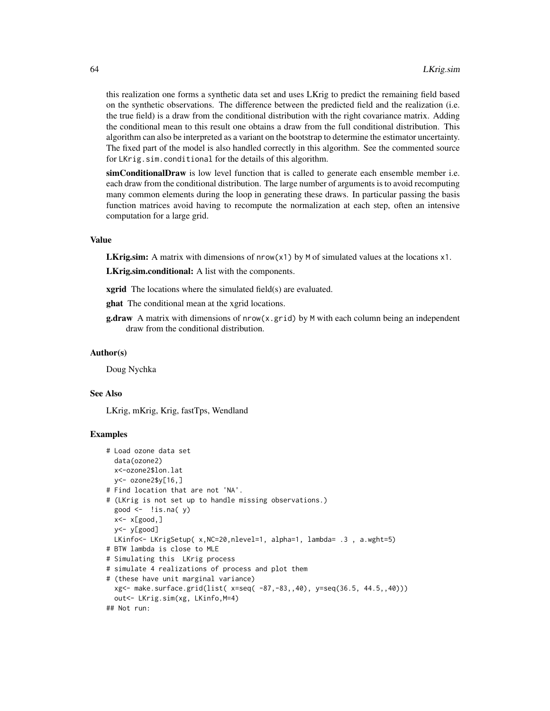this realization one forms a synthetic data set and uses LKrig to predict the remaining field based on the synthetic observations. The difference between the predicted field and the realization (i.e. the true field) is a draw from the conditional distribution with the right covariance matrix. Adding the conditional mean to this result one obtains a draw from the full conditional distribution. This algorithm can also be interpreted as a variant on the bootstrap to determine the estimator uncertainty. The fixed part of the model is also handled correctly in this algorithm. See the commented source for LKrig.sim.conditional for the details of this algorithm.

simConditionalDraw is low level function that is called to generate each ensemble member i.e. each draw from the conditional distribution. The large number of arguments is to avoid recomputing many common elements during the loop in generating these draws. In particular passing the basis function matrices avoid having to recompute the normalization at each step, often an intensive computation for a large grid.

# Value

**LKrig.sim:** A matrix with dimensions of  $nrow(x1)$  by M of simulated values at the locations  $x1$ .

LKrig.sim.conditional: A list with the components.

**xgrid** The locations where the simulated field(s) are evaluated.

ghat The conditional mean at the xgrid locations.

**g.draw** A matrix with dimensions of  $nrow(x,grid)$  by M with each column being an independent draw from the conditional distribution.

#### Author(s)

Doug Nychka

### See Also

LKrig, mKrig, Krig, fastTps, Wendland

### Examples

```
# Load ozone data set
 data(ozone2)
 x<-ozone2$lon.lat
 y <- ozone2$y[16,]
# Find location that are not 'NA'.
# (LKrig is not set up to handle missing observations.)
 good \leftarrow !is.na(y)
 x<- x[good,]
 y<- y[good]
 LKinfo<- LKrigSetup( x, NC=20, nlevel=1, alpha=1, lambda= .3, a.wght=5)
# BTW lambda is close to MLE
# Simulating this LKrig process
# simulate 4 realizations of process and plot them
# (these have unit marginal variance)
 xg<- make.surface.grid(list( x=seq( -87,-83,,40), y=seq(36.5, 44.5,,40)))
 out<- LKrig.sim(xg, LKinfo,M=4)
## Not run:
```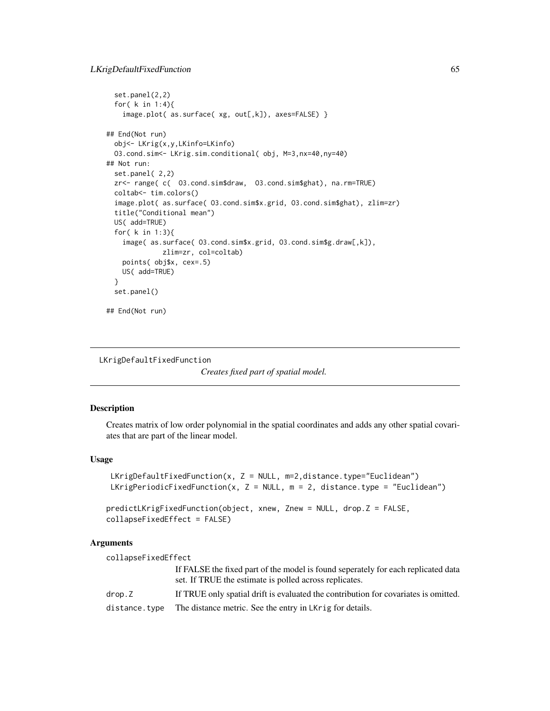```
set.panel(2,2)
 for( k in 1:4){
   image.plot( as.surface( xg, out[,k]), axes=FALSE) }
## End(Not run)
 obj<- LKrig(x,y,LKinfo=LKinfo)
 O3.cond.sim<- LKrig.sim.conditional( obj, M=3,nx=40,ny=40)
## Not run:
 set.panel( 2,2)
 zr<- range( c( O3.cond.sim$draw, O3.cond.sim$ghat), na.rm=TRUE)
 coltab<- tim.colors()
 image.plot( as.surface( O3.cond.sim$x.grid, O3.cond.sim$ghat), zlim=zr)
 title("Conditional mean")
 US( add=TRUE)
 for( k in 1:3){
    image( as.surface( O3.cond.sim$x.grid, O3.cond.sim$g.draw[,k]),
              zlim=zr, col=coltab)
   points( obj$x, cex=.5)
   US( add=TRUE)
 }
 set.panel()
## End(Not run)
```

```
LKrigDefaultFixedFunction
```

```
Creates fixed part of spatial model.
```
# Description

Creates matrix of low order polynomial in the spatial coordinates and adds any other spatial covariates that are part of the linear model.

### Usage

```
LKrigDefaultFixedFunction(x, Z = NULL, m=2, distance.type="Euclidean")
LKrigPeriodicFixedFunction(x, Z = NULL, m = 2, distance.type = "Euclidean")
predictLKrigFixedFunction(object, xnew, Znew = NULL, drop.Z = FALSE,
collapseFixedEffect = FALSE)
```
# Arguments

| collapseFixedEffect |                                                                                                                                             |
|---------------------|---------------------------------------------------------------------------------------------------------------------------------------------|
|                     | If FALSE the fixed part of the model is found seperately for each replicated data<br>set. If TRUE the estimate is polled across replicates. |
| drop.Z              | If TRUE only spatial drift is evaluated the contribution for covariates is omitted.                                                         |
| distance.type       | The distance metric. See the entry in LKrig for details.                                                                                    |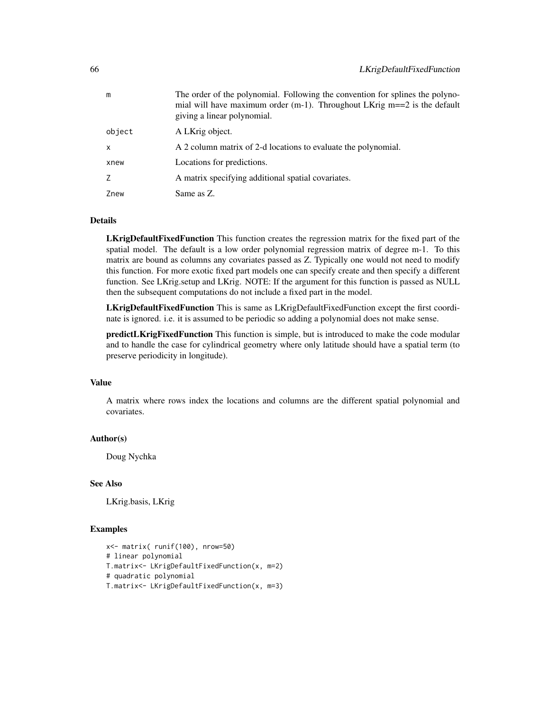| m            | The order of the polynomial. Following the convention for splines the polyno-<br>mial will have maximum order (m-1). Throughout LKrig $m == 2$ is the default<br>giving a linear polynomial. |
|--------------|----------------------------------------------------------------------------------------------------------------------------------------------------------------------------------------------|
| object       | A LKrig object.                                                                                                                                                                              |
| $\mathsf{x}$ | A 2 column matrix of 2-d locations to evaluate the polynomial.                                                                                                                               |
| xnew         | Locations for predictions.                                                                                                                                                                   |
| Z            | A matrix specifying additional spatial covariates.                                                                                                                                           |
| Znew         | Same as Z.                                                                                                                                                                                   |

### Details

LKrigDefaultFixedFunction This function creates the regression matrix for the fixed part of the spatial model. The default is a low order polynomial regression matrix of degree m-1. To this matrix are bound as columns any covariates passed as Z. Typically one would not need to modify this function. For more exotic fixed part models one can specify create and then specify a different function. See LKrig.setup and LKrig. NOTE: If the argument for this function is passed as NULL then the subsequent computations do not include a fixed part in the model.

LKrigDefaultFixedFunction This is same as LKrigDefaultFixedFunction except the first coordinate is ignored. i.e. it is assumed to be periodic so adding a polynomial does not make sense.

predictLKrigFixedFunction This function is simple, but is introduced to make the code modular and to handle the case for cylindrical geometry where only latitude should have a spatial term (to preserve periodicity in longitude).

### Value

A matrix where rows index the locations and columns are the different spatial polynomial and covariates.

# Author(s)

Doug Nychka

# See Also

LKrig.basis, LKrig

### Examples

```
x<- matrix( runif(100), nrow=50)
# linear polynomial
T.matrix<- LKrigDefaultFixedFunction(x, m=2)
# quadratic polynomial
T.matrix<- LKrigDefaultFixedFunction(x, m=3)
```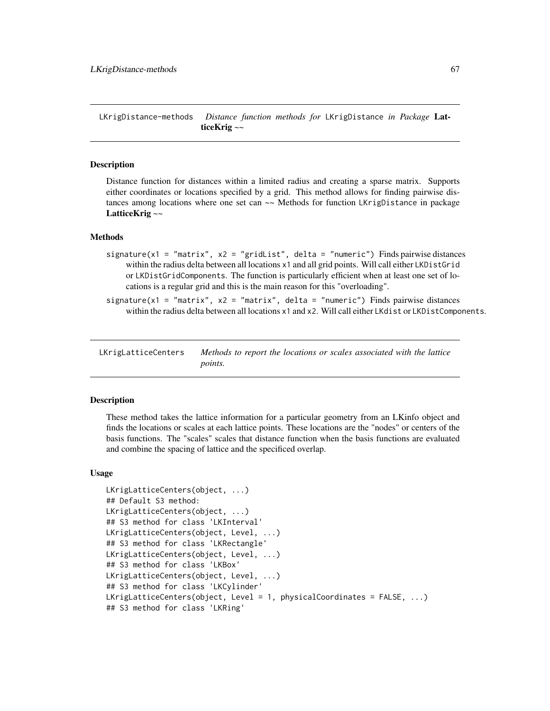LKrigDistance-methods *Distance function methods for* LKrigDistance *in Package* LatticeKrig *~~*

### Description

Distance function for distances within a limited radius and creating a sparse matrix. Supports either coordinates or locations specified by a grid. This method allows for finding pairwise distances among locations where one set can  $\sim$  Methods for function LKrigDistance in package LatticeKrig ~~

### Methods

- signature(x1 = "matrix", x2 = "gridList", delta = "numeric") Finds pairwise distances within the radius delta between all locations x1 and all grid points. Will call either LKDistGrid or LKDistGridComponents. The function is particularly efficient when at least one set of locations is a regular grid and this is the main reason for this "overloading".
- signature(x1 = "matrix", x2 = "matrix", delta = "numeric") Finds pairwise distances within the radius delta between all locations x1 and x2. Will call either LKdist or LKDistComponents.

LKrigLatticeCenters *Methods to report the locations or scales associated with the lattice points.*

### Description

These method takes the lattice information for a particular geometry from an LKinfo object and finds the locations or scales at each lattice points. These locations are the "nodes" or centers of the basis functions. The "scales" scales that distance function when the basis functions are evaluated and combine the spacing of lattice and the specificed overlap.

#### Usage

```
LKrigLatticeCenters(object, ...)
## Default S3 method:
LKrigLatticeCenters(object, ...)
## S3 method for class 'LKInterval'
LKrigLatticeCenters(object, Level, ...)
## S3 method for class 'LKRectangle'
LKrigLatticeCenters(object, Level, ...)
## S3 method for class 'LKBox'
LKrigLatticeCenters(object, Level, ...)
## S3 method for class 'LKCylinder'
LKrigLatticeCenters(object, Level = 1, physicalCoordinates = FALSE, ...)
## S3 method for class 'LKRing'
```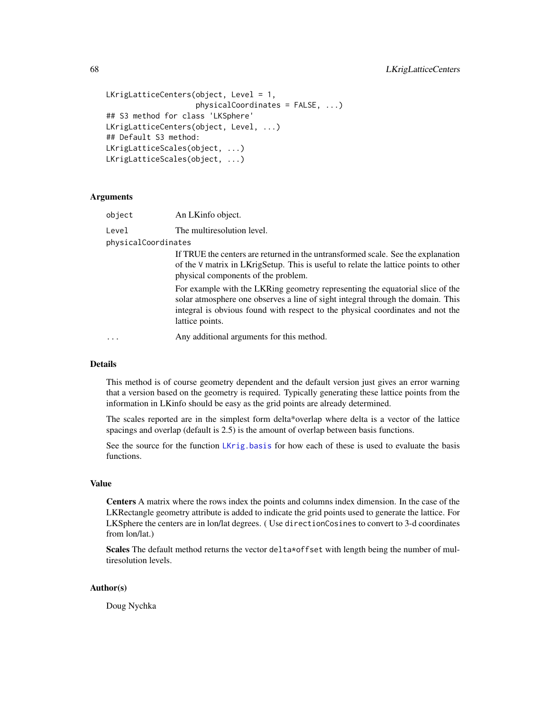```
LKrigLatticeCenters(object, Level = 1,
                    physicalCoordinates = FALSE, ...)
## S3 method for class 'LKSphere'
LKrigLatticeCenters(object, Level, ...)
## Default S3 method:
LKrigLatticeScales(object, ...)
LKrigLatticeScales(object, ...)
```
# Arguments

| object              | An LKinfo object.                                                                                                                                                                                                                                                     |
|---------------------|-----------------------------------------------------------------------------------------------------------------------------------------------------------------------------------------------------------------------------------------------------------------------|
| Level               | The multiresolution level.                                                                                                                                                                                                                                            |
| physicalCoordinates |                                                                                                                                                                                                                                                                       |
|                     | If TRUE the centers are returned in the untransformed scale. See the explanation<br>of the V matrix in LKrigSetup. This is useful to relate the lattice points to other<br>physical components of the problem.                                                        |
|                     | For example with the LKRing geometry representing the equatorial slice of the<br>solar atmosphere one observes a line of sight integral through the domain. This<br>integral is obvious found with respect to the physical coordinates and not the<br>lattice points. |
| $\ddots$            | Any additional arguments for this method.                                                                                                                                                                                                                             |

### Details

This method is of course geometry dependent and the default version just gives an error warning that a version based on the geometry is required. Typically generating these lattice points from the information in LKinfo should be easy as the grid points are already determined.

The scales reported are in the simplest form delta\*overlap where delta is a vector of the lattice spacings and overlap (default is 2.5) is the amount of overlap between basis functions.

See the source for the function [LKrig.basis](#page-45-0) for how each of these is used to evaluate the basis functions.

# Value

Centers A matrix where the rows index the points and columns index dimension. In the case of the LKRectangle geometry attribute is added to indicate the grid points used to generate the lattice. For LKSphere the centers are in lon/lat degrees. ( Use directionCosines to convert to 3-d coordinates from lon/lat.)

Scales The default method returns the vector delta\*offset with length being the number of multiresolution levels.

### Author(s)

Doug Nychka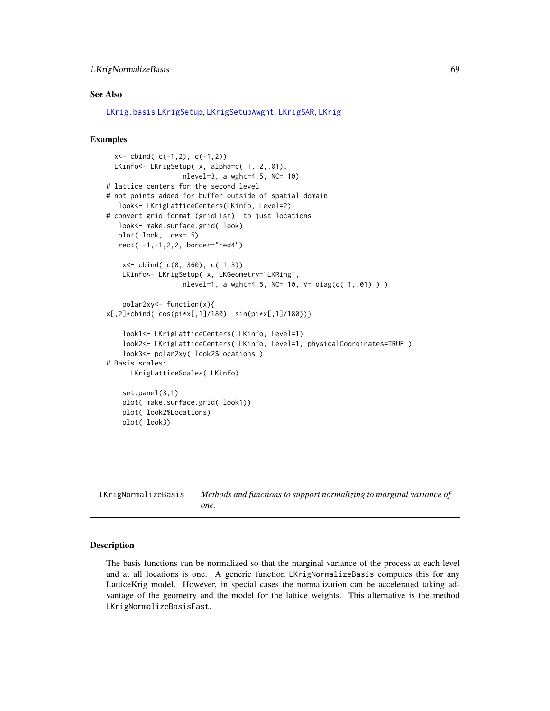# LKrigNormalizeBasis 69

# See Also

[LKrig.basis](#page-45-0) [LKrigSetup](#page-71-0), [LKrigSetupAwght](#page-77-0), [LKrigSAR](#page-70-0), [LKrig](#page-23-0)

### Examples

```
x < - cbind( c(-1,2), c(-1,2))
 LKinfo<- LKrigSetup( x, alpha=c( 1, .2,.01),
                   nlevel=3, a.wght=4.5, NC= 10)
# lattice centers for the second level
# not points added for buffer outside of spatial domain
  look<- LKrigLatticeCenters(LKinfo, Level=2)
# convert grid format (gridList) to just locations
  look<- make.surface.grid( look)
  plot( look, cex=.5)
  rect( -1,-1,2,2, border="red4")
    x<- cbind( c(0, 360), c( 1,3))
   LKinfo<- LKrigSetup( x, LKGeometry="LKRing",
                   nlevel=1, a.wght=4.5, NC= 10, V= diag(c( 1,.01) ) )
    polar2xy<- function(x){
x[,2]*cbind( cos(pi*x[,1]/180), sin(pi*x[,1]/180))}
    look1<- LKrigLatticeCenters( LKinfo, Level=1)
    look2<- LKrigLatticeCenters( LKinfo, Level=1, physicalCoordinates=TRUE )
    look3<- polar2xy( look2$Locations )
# Basis scales:
     LKrigLatticeScales( LKinfo)
    set.panel(3,1)
    plot( make.surface.grid( look1))
   plot( look2$Locations)
   plot( look3)
```
LKrigNormalizeBasis *Methods and functions to support normalizing to marginal variance of one.*

#### **Description**

The basis functions can be normalized so that the marginal variance of the process at each level and at all locations is one. A generic function LKrigNormalizeBasis computes this for any LatticeKrig model. However, in special cases the normalization can be accelerated taking advantage of the geometry and the model for the lattice weights. This alternative is the method LKrigNormalizeBasisFast.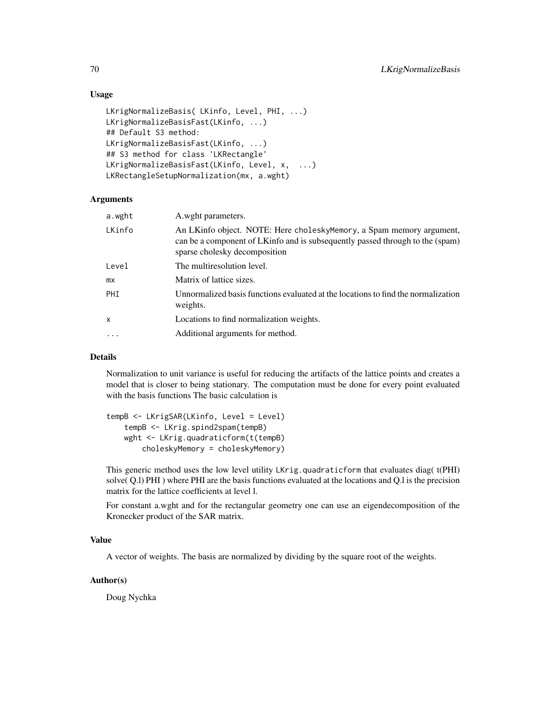# Usage

```
LKrigNormalizeBasis( LKinfo, Level, PHI, ...)
LKrigNormalizeBasisFast(LKinfo, ...)
## Default S3 method:
LKrigNormalizeBasisFast(LKinfo, ...)
## S3 method for class 'LKRectangle'
LKrigNormalizeBasisFast(LKinfo, Level, x, ...)
LKRectangleSetupNormalization(mx, a.wght)
```
## **Arguments**

| a.wght    | A.wght parameters.                                                                                                                                                                     |
|-----------|----------------------------------------------------------------------------------------------------------------------------------------------------------------------------------------|
| LKinfo    | An LKinfo object. NOTE: Here choleskyMemory, a Spam memory argument,<br>can be a component of LKinfo and is subsequently passed through to the (spam)<br>sparse cholesky decomposition |
| Level     | The multiresolution level.                                                                                                                                                             |
| mx        | Matrix of lattice sizes.                                                                                                                                                               |
| PHT       | Unnormalized basis functions evaluated at the locations to find the normalization<br>weights.                                                                                          |
| x         | Locations to find normalization weights.                                                                                                                                               |
| $\ddotsc$ | Additional arguments for method.                                                                                                                                                       |
|           |                                                                                                                                                                                        |

### Details

Normalization to unit variance is useful for reducing the artifacts of the lattice points and creates a model that is closer to being stationary. The computation must be done for every point evaluated with the basis functions The basic calculation is

```
tempB <- LKrigSAR(LKinfo, Level = Level)
   tempB <- LKrig.spind2spam(tempB)
   wght <- LKrig.quadraticform(t(tempB)
       choleskyMemory = choleskyMemory)
```
This generic method uses the low level utility LKrig.quadraticform that evaluates diag( t(PHI) solve( Q.l) PHI ) where PHI are the basis functions evaluated at the locations and Q.l is the precision matrix for the lattice coefficients at level l.

For constant a.wght and for the rectangular geometry one can use an eigendecomposition of the Kronecker product of the SAR matrix.

#### Value

A vector of weights. The basis are normalized by dividing by the square root of the weights.

# Author(s)

Doug Nychka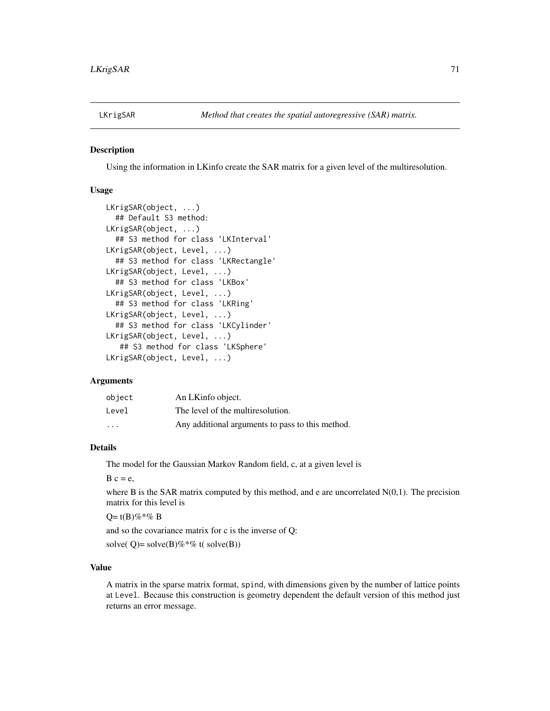<span id="page-70-0"></span>

### Description

Using the information in LKinfo create the SAR matrix for a given level of the multiresolution.

# Usage

```
LKrigSAR(object, ...)
  ## Default S3 method:
LKrigSAR(object, ...)
  ## S3 method for class 'LKInterval'
LKrigSAR(object, Level, ...)
  ## S3 method for class 'LKRectangle'
LKrigSAR(object, Level, ...)
  ## S3 method for class 'LKBox'
LKrigSAR(object, Level, ...)
  ## S3 method for class 'LKRing'
LKrigSAR(object, Level, ...)
  ## S3 method for class 'LKCylinder'
LKrigSAR(object, Level, ...)
   ## S3 method for class 'LKSphere'
LKrigSAR(object, Level, ...)
```
### Arguments

| object  | An LKinfo object.                                |
|---------|--------------------------------------------------|
| Level   | The level of the multiresolution.                |
| $\cdot$ | Any additional arguments to pass to this method. |

#### Details

The model for the Gaussian Markov Random field, c, at a given level is

 $B \nc = e$ ,

where B is the SAR matrix computed by this method, and e are uncorrelated  $N(0,1)$ . The precision matrix for this level is

 $Q = t(B)\% * \% B$ 

and so the covariance matrix for c is the inverse of Q:

solve( $Q$ )= solve( $B$ )%\*% t( solve( $B$ ))

# Value

A matrix in the sparse matrix format, spind, with dimensions given by the number of lattice points at Level. Because this construction is geometry dependent the default version of this method just returns an error message.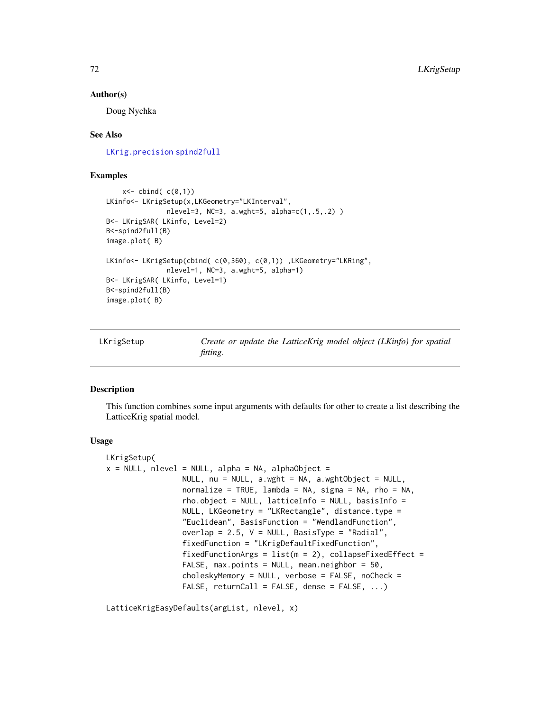#### Author(s)

Doug Nychka

## See Also

[LKrig.precision](#page-45-1) [spind2full](#page-0-0)

# Examples

```
x < - cbind( c(0,1))
LKinfo<- LKrigSetup(x,LKGeometry="LKInterval",
               nlevel=3, NC=3, a.wght=5, alpha=c(1,.5,.2) )
B<- LKrigSAR( LKinfo, Level=2)
B<-spind2full(B)
image.plot( B)
LKinfo<- LKrigSetup(cbind( c(0,360), c(0,1)) , LKGeometry="LKRing",
               nlevel=1, NC=3, a.wght=5, alpha=1)
B<- LKrigSAR( LKinfo, Level=1)
B<-spind2full(B)
image.plot( B)
```
<span id="page-71-0"></span>

| LKrigSetup |  |
|------------|--|
|------------|--|

Create or update the LatticeKrig model object (LKinfo) for spatial *fitting.*

# Description

This function combines some input arguments with defaults for other to create a list describing the LatticeKrig spatial model.

### Usage

```
LKrigSetup(
x = NULL, nlevel = NULL, alpha = NA, alphaObject =
                 NULL, nu = NULL, a.wght = NA, a.wghtObject = NULL,
                 normalize = TRUE, lambda = NA, sigma = NA, rho = NA,
                 rho.object = NULL, latticeInfo = NULL, basisInfo =
                 NULL, LKGeometry = "LKRectangle", distance.type =
                 "Euclidean", BasisFunction = "WendlandFunction",
                 overlap = 2.5, V = NULL, BasisType = "Radial",
                 fixedFunction = "LKrigDefaultFixedFunction",
                 fixedFunctionArgs = list(m = 2), collapseFixedEffect =
                 FALSE, max.points = NULL, mean.neighbor = 50,
                 choleskyMemory = NULL, verbose = FALSE, noCheck =
                 FALSE, returnCall = FALSE, dense = FALSE, \ldots)
```
LatticeKrigEasyDefaults(argList, nlevel, x)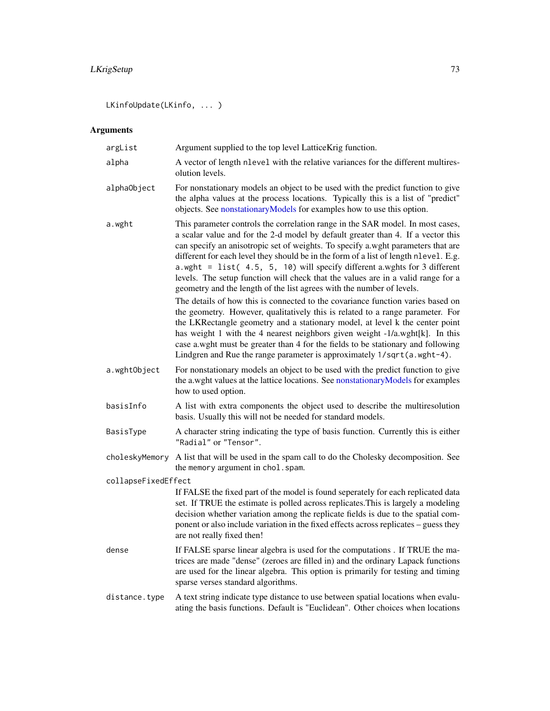# <span id="page-72-0"></span>LKrigSetup 73

LKinfoUpdate(LKinfo, ... )

# Arguments

| argList             | Argument supplied to the top level LatticeKrig function.                                                                                                                                                                                                                                                                                                                                                                                                                                                                                                                                          |
|---------------------|---------------------------------------------------------------------------------------------------------------------------------------------------------------------------------------------------------------------------------------------------------------------------------------------------------------------------------------------------------------------------------------------------------------------------------------------------------------------------------------------------------------------------------------------------------------------------------------------------|
| alpha               | A vector of length nlevel with the relative variances for the different multires-<br>olution levels.                                                                                                                                                                                                                                                                                                                                                                                                                                                                                              |
| alphaObject         | For nonstationary models an object to be used with the predict function to give<br>the alpha values at the process locations. Typically this is a list of "predict"<br>objects. See nonstationaryModels for examples how to use this option.                                                                                                                                                                                                                                                                                                                                                      |
| a.wght              | This parameter controls the correlation range in the SAR model. In most cases,<br>a scalar value and for the 2-d model by default greater than 4. If a vector this<br>can specify an anisotropic set of weights. To specify a wght parameters that are<br>different for each level they should be in the form of a list of length nlevel. E.g.<br>a.wght = list( $4.5$ , $5$ , $10$ ) will specify different a.wghts for 3 different<br>levels. The setup function will check that the values are in a valid range for a<br>geometry and the length of the list agrees with the number of levels. |
|                     | The details of how this is connected to the covariance function varies based on<br>the geometry. However, qualitatively this is related to a range parameter. For<br>the LKRectangle geometry and a stationary model, at level k the center point<br>has weight 1 with the 4 nearest neighbors given weight -1/a.wght[k]. In this<br>case a wght must be greater than 4 for the fields to be stationary and following<br>Lindgren and Rue the range parameter is approximately 1/sqrt(a.wght-4).                                                                                                  |
| a.wghtObject        | For nonstationary models an object to be used with the predict function to give<br>the a.wght values at the lattice locations. See nonstationaryModels for examples<br>how to used option.                                                                                                                                                                                                                                                                                                                                                                                                        |
| basisInfo           | A list with extra components the object used to describe the multiresolution<br>basis. Usually this will not be needed for standard models.                                                                                                                                                                                                                                                                                                                                                                                                                                                       |
| BasisType           | A character string indicating the type of basis function. Currently this is either<br>"Radial" or "Tensor".                                                                                                                                                                                                                                                                                                                                                                                                                                                                                       |
| choleskyMemory      | A list that will be used in the spam call to do the Cholesky decomposition. See<br>the memory argument in chol. spam.                                                                                                                                                                                                                                                                                                                                                                                                                                                                             |
| collapseFixedEffect |                                                                                                                                                                                                                                                                                                                                                                                                                                                                                                                                                                                                   |
|                     | If FALSE the fixed part of the model is found seperately for each replicated data<br>set. If TRUE the estimate is polled across replicates. This is largely a modeling<br>decision whether variation among the replicate fields is due to the spatial com-<br>ponent or also include variation in the fixed effects across replicates - guess they<br>are not really fixed then!                                                                                                                                                                                                                  |
| dense               | If FALSE sparse linear algebra is used for the computations . If TRUE the ma-<br>trices are made "dense" (zeroes are filled in) and the ordinary Lapack functions<br>are used for the linear algebra. This option is primarily for testing and timing<br>sparse verses standard algorithms.                                                                                                                                                                                                                                                                                                       |
| distance.type       | A text string indicate type distance to use between spatial locations when evalu-<br>ating the basis functions. Default is "Euclidean". Other choices when locations                                                                                                                                                                                                                                                                                                                                                                                                                              |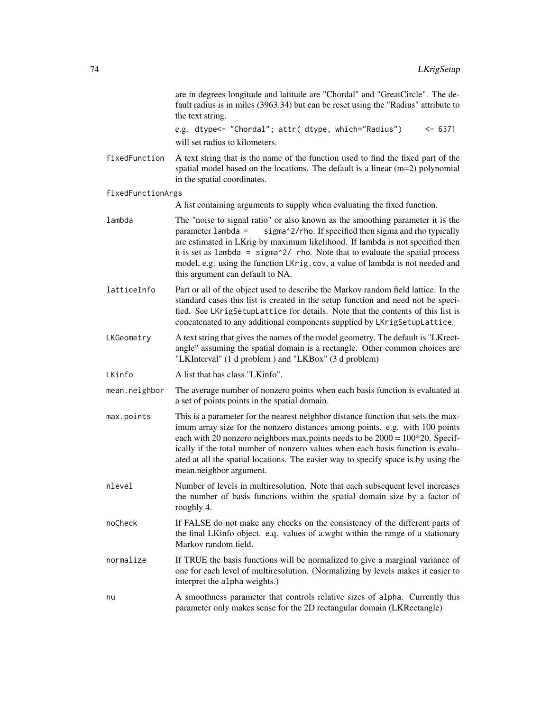are in degrees longitude and latitude are "Chordal" and "GreatCircle". The default radius is in miles (3963.34) but can be reset using the "Radius" attribute to the text string.

e.g. dtype<- "Chordal"; attr( dtype, which="Radius") <- 6371 will set radius to kilometers.

- fixedFunction A text string that is the name of the function used to find the fixed part of the spatial model based on the locations. The default is a linear (m=2) polynomial in the spatial coordinates.
- fixedFunctionArgs

A list containing arguments to supply when evaluating the fixed function.

- lambda The "noise to signal ratio" or also known as the smoothing parameter it is the parameter lambda = sigma^2/rho. If specified then sigma and rho typically are estimated in LKrig by maximum likelihood. If lambda is not specified then it is set as lambda =  $signa^2$ / rho. Note that to evaluate the spatial process model, e.g. using the function LKrig.cov, a value of lambda is not needed and this argument can default to NA.
- latticeInfo Part or all of the object used to describe the Markov random field lattice. In the standard cases this list is created in the setup function and need not be specified. See LKrigSetupLattice for details. Note that the contents of this list is concatenated to any additional components supplied by LKrigSetupLattice.
- LKGeometry A text string that gives the names of the model geometry. The default is "LKrectangle" assuming the spatial domain is a rectangle. Other common choices are "LKInterval" (1 d problem ) and "LKBox" (3 d problem)
- LKinfo A list that has class "LKinfo".
- mean.neighbor The average number of nonzero points when each basis function is evaluated at a set of points points in the spatial domain.
- max.points This is a parameter for the nearest neighbor distance function that sets the maximum array size for the nonzero distances among points. e.g. with 100 points each with 20 nonzero neighbors max.points needs to be  $2000 = 100*20$ . Specifically if the total number of nonzero values when each basis function is evaluated at all the spatial locations. The easier way to specify space is by using the mean.neighbor argument.
- nlevel Number of levels in multiresolution. Note that each subsequent level increases the number of basis functions within the spatial domain size by a factor of roughly 4.
- noCheck If FALSE do not make any checks on the consistency of the different parts of the final LKinfo object. e.q. values of a.wght within the range of a stationary Markov random field.
- normalize If TRUE the basis functions will be normalized to give a marginal variance of one for each level of multiresolution. (Normalizing by levels makes it easier to interpret the alpha weights.)
- nu A smoothness parameter that controls relative sizes of alpha. Currently this parameter only makes sense for the 2D rectangular domain (LKRectangle)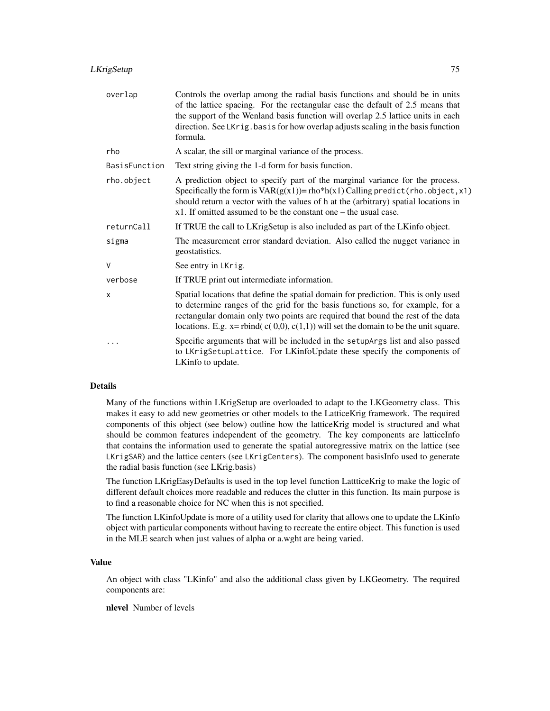# LKrigSetup 75

| overlap       | Controls the overlap among the radial basis functions and should be in units<br>of the lattice spacing. For the rectangular case the default of 2.5 means that<br>the support of the Wenland basis function will overlap 2.5 lattice units in each<br>direction. See LKrig. basis for how overlap adjusts scaling in the basis function<br>formula.      |
|---------------|----------------------------------------------------------------------------------------------------------------------------------------------------------------------------------------------------------------------------------------------------------------------------------------------------------------------------------------------------------|
| rho           | A scalar, the sill or marginal variance of the process.                                                                                                                                                                                                                                                                                                  |
| BasisFunction | Text string giving the 1-d form for basis function.                                                                                                                                                                                                                                                                                                      |
| rho.object    | A prediction object to specify part of the marginal variance for the process.<br>Specifically the form is $VAR(g(x1)) = rho * h(x1)$ Calling predict (rho. object, x1)<br>should return a vector with the values of h at the (arbitrary) spatial locations in<br>x1. If omitted assumed to be the constant one – the usual case.                         |
| returnCall    | If TRUE the call to LKrigSetup is also included as part of the LKinfo object.                                                                                                                                                                                                                                                                            |
| sigma         | The measurement error standard deviation. Also called the nugget variance in<br>geostatistics.                                                                                                                                                                                                                                                           |
| $\vee$        | See entry in LKrig.                                                                                                                                                                                                                                                                                                                                      |
| verbose       | If TRUE print out intermediate information.                                                                                                                                                                                                                                                                                                              |
| X             | Spatial locations that define the spatial domain for prediction. This is only used<br>to determine ranges of the grid for the basis functions so, for example, for a<br>rectangular domain only two points are required that bound the rest of the data<br>locations. E.g. $x = \text{rbind}(c(0,0), c(1,1))$ will set the domain to be the unit square. |
|               | Specific arguments that will be included in the setupArgs list and also passed<br>to LKrigSetupLattice. For LKinfoUpdate these specify the components of<br>LKinfo to update.                                                                                                                                                                            |

# Details

Many of the functions within LKrigSetup are overloaded to adapt to the LKGeometry class. This makes it easy to add new geometries or other models to the LatticeKrig framework. The required components of this object (see below) outline how the latticeKrig model is structured and what should be common features independent of the geometry. The key components are latticeInfo that contains the information used to generate the spatial autoregressive matrix on the lattice (see LKrigSAR) and the lattice centers (see LKrigCenters). The component basisInfo used to generate the radial basis function (see LKrig.basis)

The function LKrigEasyDefaults is used in the top level function LattticeKrig to make the logic of different default choices more readable and reduces the clutter in this function. Its main purpose is to find a reasonable choice for NC when this is not specified.

The function LKinfoUpdate is more of a utility used for clarity that allows one to update the LKinfo object with particular components without having to recreate the entire object. This function is used in the MLE search when just values of alpha or a.wght are being varied.

# Value

An object with class "LKinfo" and also the additional class given by LKGeometry. The required components are:

nlevel Number of levels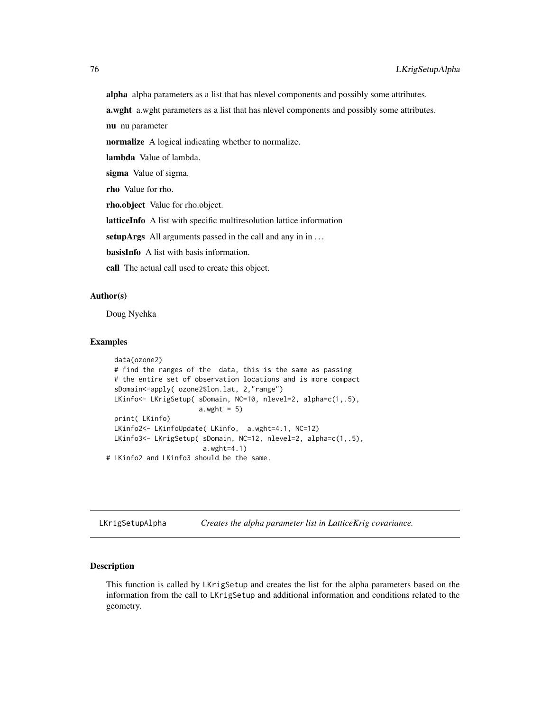<span id="page-75-1"></span>alpha alpha parameters as a list that has nlevel components and possibly some attributes.

a.wght a.wght parameters as a list that has nlevel components and possibly some attributes.

nu nu parameter

normalize A logical indicating whether to normalize.

lambda Value of lambda.

sigma Value of sigma.

rho Value for rho.

rho.object Value for rho.object.

latticeInfo A list with specific multiresolution lattice information

setupArgs All arguments passed in the call and any in in ...

basisInfo A list with basis information.

call The actual call used to create this object.

# Author(s)

Doug Nychka

# Examples

```
data(ozone2)
 # find the ranges of the data, this is the same as passing
 # the entire set of observation locations and is more compact
 sDomain<-apply( ozone2$lon.lat, 2,"range")
 LKinfo<- LKrigSetup( sDomain, NC=10, nlevel=2, alpha=c(1,.5),
                      a.wyht = 5)print( LKinfo)
 LKinfo2<- LKinfoUpdate( LKinfo, a.wght=4.1, NC=12)
 LKinfo3<- LKrigSetup( sDomain, NC=12, nlevel=2, alpha=c(1,.5),
                       a.wght=4.1)
# LKinfo2 and LKinfo3 should be the same.
```
<span id="page-75-0"></span>LKrigSetupAlpha *Creates the alpha parameter list in LatticeKrig covariance.*

#### Description

This function is called by LKrigSetup and creates the list for the alpha parameters based on the information from the call to LKrigSetup and additional information and conditions related to the geometry.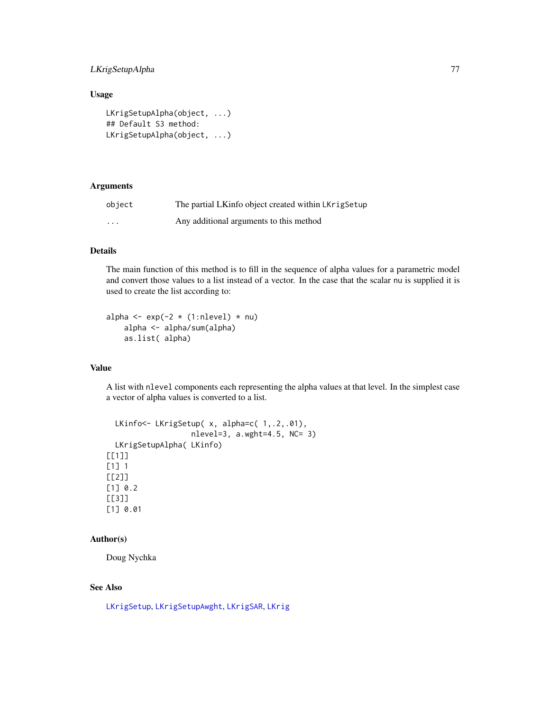# <span id="page-76-0"></span>LKrigSetupAlpha 77

# Usage

```
LKrigSetupAlpha(object, ...)
## Default S3 method:
LKrigSetupAlpha(object, ...)
```
# Arguments

| object  | The partial LKinfo object created within LKrigSetup |
|---------|-----------------------------------------------------|
| $\cdot$ | Any additional arguments to this method             |

# Details

The main function of this method is to fill in the sequence of alpha values for a parametric model and convert those values to a list instead of a vector. In the case that the scalar nu is supplied it is used to create the list according to:

alpha  $\leq -\exp(-2 \times (1:nlevel) \times nu)$ alpha <- alpha/sum(alpha) as.list( alpha)

# Value

A list with nlevel components each representing the alpha values at that level. In the simplest case a vector of alpha values is converted to a list.

```
LKinfo<- LKrigSetup( x, alpha=c( 1, .2,.01),
                   nlevel=3, a.wght=4.5, NC= 3)
 LKrigSetupAlpha( LKinfo)
[[1]]
[1] 1
[[2]]
[1] 0.2
[[3]]
[1] 0.01
```
# Author(s)

Doug Nychka

# See Also

[LKrigSetup](#page-71-0), [LKrigSetupAwght](#page-77-0), [LKrigSAR](#page-70-0), [LKrig](#page-23-0)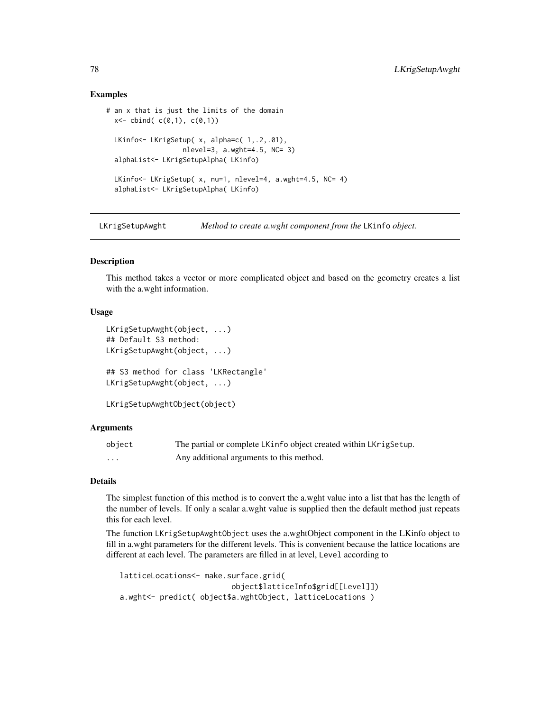# Examples

```
# an x that is just the limits of the domain
 x < - cbind( c(0,1), c(0,1))
 LKinfo<- LKrigSetup( x, alpha=c( 1,.2,.01),
                   nlevel=3, a.wght=4.5, NC= 3)
 alphaList<- LKrigSetupAlpha( LKinfo)
 LKinfo<- LKrigSetup( x, nu=1, nlevel=4, a.wght=4.5, NC= 4)
 alphaList<- LKrigSetupAlpha( LKinfo)
```
<span id="page-77-0"></span>LKrigSetupAwght *Method to create a.wght component from the* LKinfo *object.*

# **Description**

This method takes a vector or more complicated object and based on the geometry creates a list with the a.wght information.

# Usage

```
LKrigSetupAwght(object, ...)
## Default S3 method:
LKrigSetupAwght(object, ...)
## S3 method for class 'LKRectangle'
LKrigSetupAwght(object, ...)
LKrigSetupAwghtObject(object)
```
# Arguments

| object   | The partial or complete LKinfo object created within LKrigSetup. |
|----------|------------------------------------------------------------------|
| $\cdots$ | Any additional arguments to this method.                         |

# Details

The simplest function of this method is to convert the a.wght value into a list that has the length of the number of levels. If only a scalar a.wght value is supplied then the default method just repeats this for each level.

The function LKrigSetupAwghtObject uses the a.wghtObject component in the LKinfo object to fill in a.wght parameters for the different levels. This is convenient because the lattice locations are different at each level. The parameters are filled in at level, Level according to

```
latticeLocations<- make.surface.grid(
                         object$latticeInfo$grid[[Level]])
a.wght<- predict( object$a.wghtObject, latticeLocations )
```
<span id="page-77-1"></span>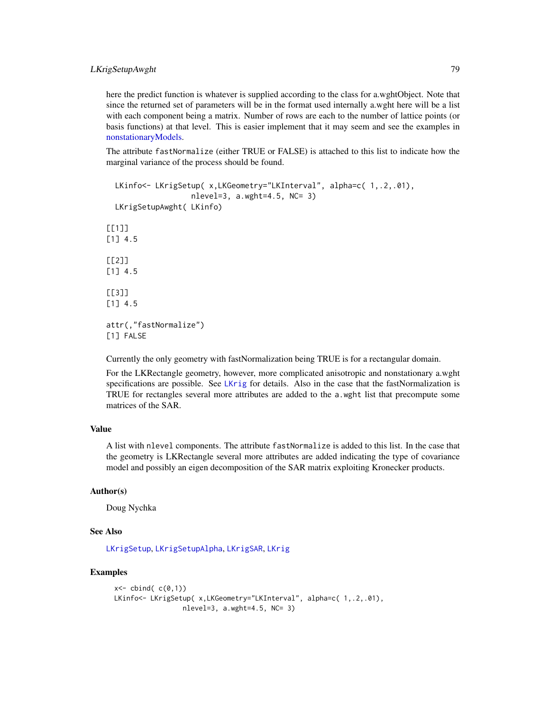# <span id="page-78-0"></span>LKrigSetupAwght 79

here the predict function is whatever is supplied according to the class for a.wghtObject. Note that since the returned set of parameters will be in the format used internally a.wght here will be a list with each component being a matrix. Number of rows are each to the number of lattice points (or basis functions) at that level. This is easier implement that it may seem and see the examples in [nonstationaryModels.](#page-81-0)

The attribute fastNormalize (either TRUE or FALSE) is attached to this list to indicate how the marginal variance of the process should be found.

```
LKinfo<- LKrigSetup( x,LKGeometry="LKInterval", alpha=c( 1,.2,.01),
                   nlevel=3, a.wght=4.5, NC= 3)
 LKrigSetupAwght( LKinfo)
[[1]]
[1] 4.5
[[2]]
[1] 4.5
[[]]][1] 4.5
attr(,"fastNormalize")
[1] FALSE
```
Currently the only geometry with fastNormalization being TRUE is for a rectangular domain.

For the LKRectangle geometry, however, more complicated anisotropic and nonstationary a.wght specifications are possible. See [LKrig](#page-23-0) for details. Also in the case that the fastNormalization is TRUE for rectangles several more attributes are added to the a.wght list that precompute some matrices of the SAR.

# Value

A list with nlevel components. The attribute fastNormalize is added to this list. In the case that the geometry is LKRectangle several more attributes are added indicating the type of covariance model and possibly an eigen decomposition of the SAR matrix exploiting Kronecker products.

# Author(s)

Doug Nychka

# See Also

[LKrigSetup](#page-71-0), [LKrigSetupAlpha](#page-75-0), [LKrigSAR](#page-70-0), [LKrig](#page-23-0)

# Examples

```
x < - cbind( c(0,1))
LKinfo<- LKrigSetup( x, LKGeometry="LKInterval", alpha=c( 1, .2, .01),
                 nlevel=3, a.wght=4.5, NC= 3)
```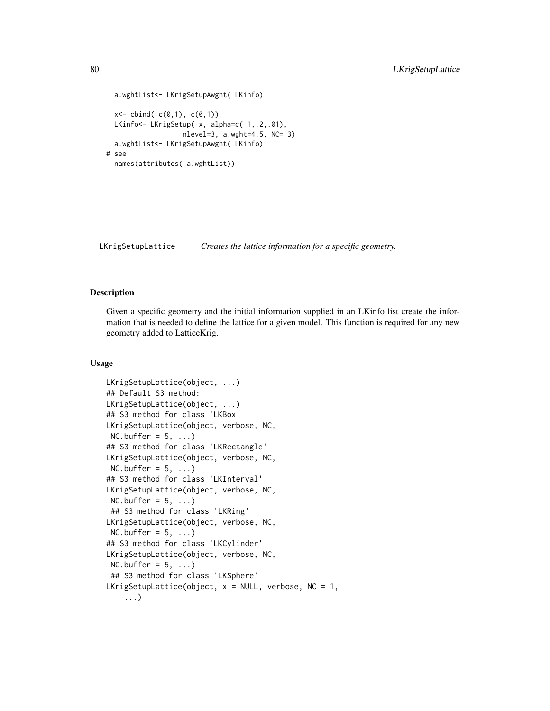```
a.wghtList<- LKrigSetupAwght( LKinfo)
 x < - cbind( c(0,1), c(0,1))
 LKinfo<- LKrigSetup( x, alpha=c( 1,.2,.01),
                   nlevel=3, a.wght=4.5, NC= 3)
 a.wghtList<- LKrigSetupAwght( LKinfo)
# see
 names(attributes( a.wghtList))
```
LKrigSetupLattice *Creates the lattice information for a specific geometry.*

# **Description**

Given a specific geometry and the initial information supplied in an LKinfo list create the information that is needed to define the lattice for a given model. This function is required for any new geometry added to LatticeKrig.

# Usage

```
LKrigSetupLattice(object, ...)
## Default S3 method:
LKrigSetupLattice(object, ...)
## S3 method for class 'LKBox'
LKrigSetupLattice(object, verbose, NC,
NC.buffer = 5, ...## S3 method for class 'LKRectangle'
LKrigSetupLattice(object, verbose, NC,
NC.buffer = 5, ...## S3 method for class 'LKInterval'
LKrigSetupLattice(object, verbose, NC,
NC.buffer = 5, ...)
 ## S3 method for class 'LKRing'
LKrigSetupLattice(object, verbose, NC,
NC.buffer = 5, ...)
## S3 method for class 'LKCylinder'
LKrigSetupLattice(object, verbose, NC,
NC.buffer = 5, ...## S3 method for class 'LKSphere'
LKrigSetupLattice(object, x = NULL, verbose, NC = 1,
    ...)
```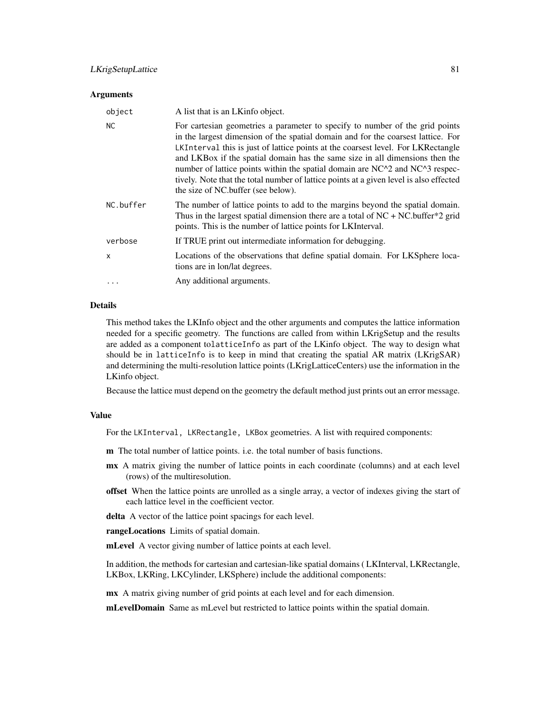# LKrigSetupLattice 81

#### Arguments

| object       | A list that is an LKinfo object.                                                                                                                                                                                                                                                                                                                                                                                                                                                                                                                     |
|--------------|------------------------------------------------------------------------------------------------------------------------------------------------------------------------------------------------------------------------------------------------------------------------------------------------------------------------------------------------------------------------------------------------------------------------------------------------------------------------------------------------------------------------------------------------------|
| <b>NC</b>    | For cartesian geometries a parameter to specify to number of the grid points<br>in the largest dimension of the spatial domain and for the coarsest lattice. For<br>LKInterval this is just of lattice points at the coarsest level. For LKRectangle<br>and LKBox if the spatial domain has the same size in all dimensions then the<br>number of lattice points within the spatial domain are NC^2 and NC^3 respec-<br>tively. Note that the total number of lattice points at a given level is also effected<br>the size of NC.buffer (see below). |
| NC.buffer    | The number of lattice points to add to the margins beyond the spatial domain.<br>Thus in the largest spatial dimension there are a total of $NC + NC$ . buffer*2 grid<br>points. This is the number of lattice points for LKInterval.                                                                                                                                                                                                                                                                                                                |
| verbose      | If TRUE print out intermediate information for debugging.                                                                                                                                                                                                                                                                                                                                                                                                                                                                                            |
| $\mathsf{x}$ | Locations of the observations that define spatial domain. For LKSphere loca-<br>tions are in lon/lat degrees.                                                                                                                                                                                                                                                                                                                                                                                                                                        |
|              | Any additional arguments.                                                                                                                                                                                                                                                                                                                                                                                                                                                                                                                            |

#### Details

This method takes the LKInfo object and the other arguments and computes the lattice information needed for a specific geometry. The functions are called from within LKrigSetup and the results are added as a component tolatticeInfo as part of the LKinfo object. The way to design what should be in latticeInfo is to keep in mind that creating the spatial AR matrix (LKrigSAR) and determining the multi-resolution lattice points (LKrigLatticeCenters) use the information in the LKinfo object.

Because the lattice must depend on the geometry the default method just prints out an error message.

#### Value

For the LKInterval, LKRectangle, LKBox geometries. A list with required components:

- m The total number of lattice points. i.e. the total number of basis functions.
- mx A matrix giving the number of lattice points in each coordinate (columns) and at each level (rows) of the multiresolution.
- offset When the lattice points are unrolled as a single array, a vector of indexes giving the start of each lattice level in the coefficient vector.
- delta A vector of the lattice point spacings for each level.

rangeLocations Limits of spatial domain.

mLevel A vector giving number of lattice points at each level.

In addition, the methods for cartesian and cartesian-like spatial domains ( LKInterval, LKRectangle, LKBox, LKRing, LKCylinder, LKSphere) include the additional components:

mx A matrix giving number of grid points at each level and for each dimension.

mLevelDomain Same as mLevel but restricted to lattice points within the spatial domain.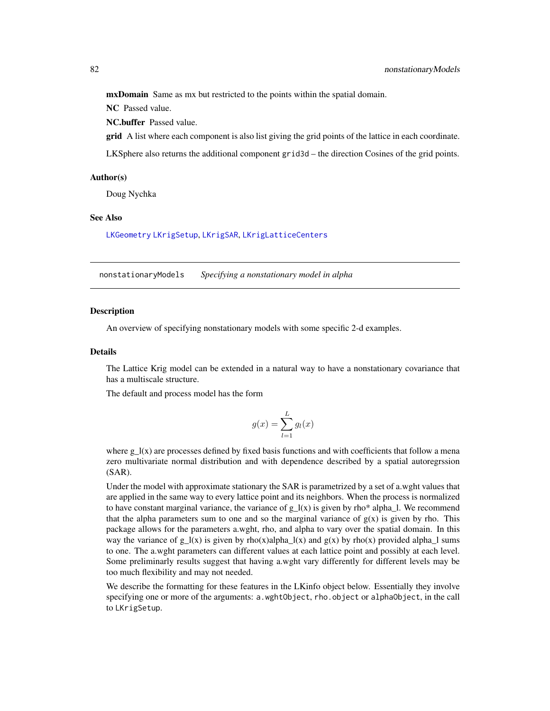<span id="page-81-1"></span>mxDomain Same as mx but restricted to the points within the spatial domain.

NC Passed value.

NC.buffer Passed value.

**grid** A list where each component is also list giving the grid points of the lattice in each coordinate.

LKSphere also returns the additional component grid3d – the direction Cosines of the grid points.

#### Author(s)

Doug Nychka

# See Also

[LKGeometry](#page-16-0) [LKrigSetup](#page-71-0), [LKrigSAR](#page-70-0), [LKrigLatticeCenters](#page-66-0)

<span id="page-81-0"></span>nonstationaryModels *Specifying a nonstationary model in alpha*

# **Description**

An overview of specifying nonstationary models with some specific 2-d examples.

# Details

The Lattice Krig model can be extended in a natural way to have a nonstationary covariance that has a multiscale structure.

The default and process model has the form

$$
g(x) = \sum_{l=1}^{L} g_l(x)
$$

where  $g_l(x)$  are processes defined by fixed basis functions and with coefficients that follow a mena zero multivariate normal distribution and with dependence described by a spatial autoregrssion (SAR).

Under the model with approximate stationary the SAR is parametrized by a set of a.wght values that are applied in the same way to every lattice point and its neighbors. When the process is normalized to have constant marginal variance, the variance of  $g_l(x)$  is given by rho\* alpha<sub>-</sub>l. We recommend that the alpha parameters sum to one and so the marginal variance of  $g(x)$  is given by rho. This package allows for the parameters a.wght, rho, and alpha to vary over the spatial domain. In this way the variance of  $g_l(x)$  is given by rho(x)alpha<sub> $_l(x)$ </sub> and  $g(x)$  by rho(x) provided alpha<sub>1</sub> sums to one. The a.wght parameters can different values at each lattice point and possibly at each level. Some preliminarly results suggest that having a.wght vary differently for different levels may be too much flexibility and may not needed.

We describe the formatting for these features in the LKinfo object below. Essentially they involve specifying one or more of the arguments: a.wghtObject, rho.object or alphaObject, in the call to LKrigSetup.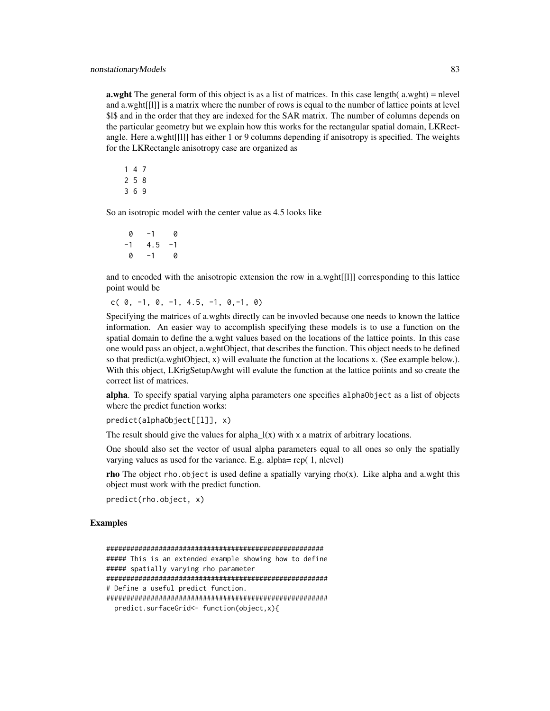**a.wght** The general form of this object is as a list of matrices. In this case length( $a.wight$ ) = nlevel and a.wght[[l]] is a matrix where the number of rows is equal to the number of lattice points at level \$1\$ and in the order that they are indexed for the SAR matrix. The number of columns depends on the particular geometry but we explain how this works for the rectangular spatial domain, LKRectangle. Here a.wght[[l]] has either 1 or 9 columns depending if anisotropy is specified. The weights for the LKRectangle anisotropy case are organized as

So an isotropic model with the center value as 4.5 looks like

0 -1 0  $-1$  4.5  $-1$  $0 -1 0$ 

and to encoded with the anisotropic extension the row in a.wght[[l]] corresponding to this lattice point would be

c( 0, -1, 0, -1, 4.5, -1, 0,-1, 0)

Specifying the matrices of a.wghts directly can be invovled because one needs to known the lattice information. An easier way to accomplish specifying these models is to use a function on the spatial domain to define the a.wght values based on the locations of the lattice points. In this case one would pass an object, a.wghtObject, that describes the function. This object needs to be defined so that predict(a.wghtObject, x) will evaluate the function at the locations x. (See example below.). With this object, LKrigSetupAwght will evalute the function at the lattice poiints and so create the correct list of matrices.

alpha. To specify spatial varying alpha parameters one specifies alphaObject as a list of objects where the predict function works:

```
predict(alphaObject[[l]], x)
```
The result should give the values for alpha $_l(x)$  with x a matrix of arbitrary locations.

One should also set the vector of usual alpha parameters equal to all ones so only the spatially varying values as used for the variance. E.g. alpha= rep( 1, nlevel)

**rho** The object rho.object is used define a spatially varying rho(x). Like alpha and a.wght this object must work with the predict function.

predict(rho.object, x)

# Examples

```
######################################################
##### This is an extended example showing how to define
##### spatially varying rho parameter
#######################################################
# Define a useful predict function.
#######################################################
 predict.surfaceGrid<- function(object,x){
```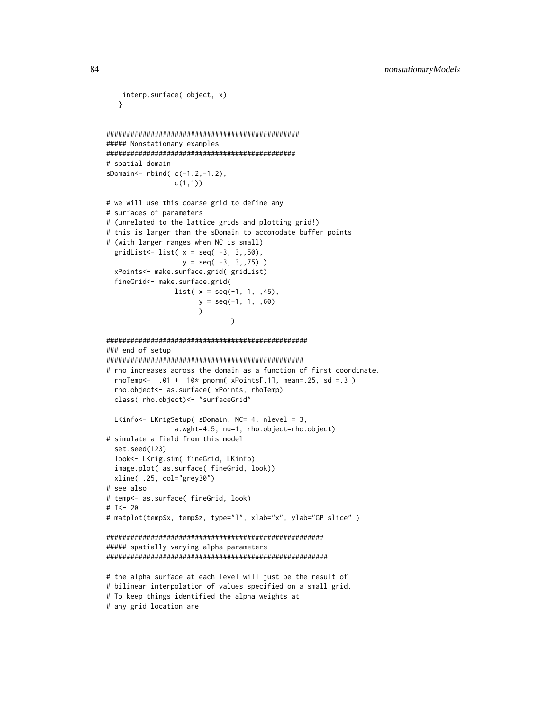```
interp.surface( object, x)
   }
################################################
##### Nonstationary examples
###############################################
# spatial domain
sDomain<- rbind( c(-1.2,-1.2),
                 c(1,1))
# we will use this coarse grid to define any
# surfaces of parameters
# (unrelated to the lattice grids and plotting grid!)
# this is larger than the sDomain to accomodate buffer points
# (with larger ranges when NC is small)
 gridList<-list( x = seq( -3, 3, 50),y = seq(-3, 3, 75)xPoints<- make.surface.grid( gridList)
 fineGrid<- make.surface.grid(
                 list(x = seq(-1, 1, 1, 45),y = seq(-1, 1, .60)\mathcal{L})
##################################################
### end of setup
#################################################
# rho increases across the domain as a function of first coordinate.
 rhoTemp<- .01 + 10* pnorm( xPoints[,1], mean=.25, sd =.3 )
 rho.object<- as.surface( xPoints, rhoTemp)
 class( rho.object)<- "surfaceGrid"
 LKinfo<- LKrigSetup( sDomain, NC= 4, nlevel = 3,
                 a.wght=4.5, nu=1, rho.object=rho.object)
# simulate a field from this model
 set.seed(123)
 look<- LKrig.sim( fineGrid, LKinfo)
 image.plot( as.surface( fineGrid, look))
 xline( .25, col="grey30")
# see also
# temp<- as.surface( fineGrid, look)
# I<- 20
# matplot(temp$x, temp$z, type="l", xlab="x", ylab="GP slice" )
######################################################
##### spatially varying alpha parameters
#######################################################
# the alpha surface at each level will just be the result of
# bilinear interpolation of values specified on a small grid.
# To keep things identified the alpha weights at
# any grid location are
```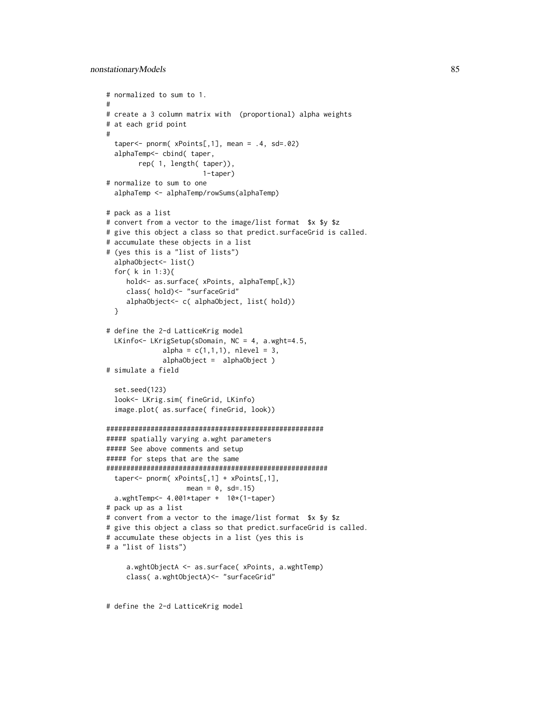```
# normalized to sum to 1.
#
# create a 3 column matrix with (proportional) alpha weights
# at each grid point
#
  taper <- pnorm(xPoints[, 1], mean = .4, sd=.02)alphaTemp<- cbind( taper,
        rep( 1, length( taper)),
                        1-taper)
# normalize to sum to one
  alphaTemp <- alphaTemp/rowSums(alphaTemp)
# pack as a list
# convert from a vector to the image/list format $x $y $z
# give this object a class so that predict.surfaceGrid is called.
# accumulate these objects in a list
# (yes this is a "list of lists")
  alphaObject<- list()
  for( k in 1:3){
     hold<- as.surface( xPoints, alphaTemp[,k])
     class( hold)<- "surfaceGrid"
     alphaObject<- c( alphaObject, list( hold))
  }
# define the 2-d LatticeKrig model
  LKinfo<- LKrigSetup(sDomain, NC = 4, a.wght=4.5,
              alpha = c(1,1,1), nlevel = 3,
              alphaObject = alphaObject )
# simulate a field
  set.seed(123)
  look<- LKrig.sim( fineGrid, LKinfo)
  image.plot( as.surface( fineGrid, look))
######################################################
##### spatially varying a.wght parameters
##### See above comments and setup
##### for steps that are the same
#######################################################
  taper<- pnorm( xPoints[,1] + xPoints[,1],
                    mean = 0, sd=.15)
  a.wghtTemp<- 4.001*taper + 10*(1-taper)
# pack up as a list
# convert from a vector to the image/list format $x $y $z
# give this object a class so that predict.surfaceGrid is called.
# accumulate these objects in a list (yes this is
# a "list of lists")
     a.wghtObjectA <- as.surface( xPoints, a.wghtTemp)
     class( a.wghtObjectA)<- "surfaceGrid"
```
# define the 2-d LatticeKrig model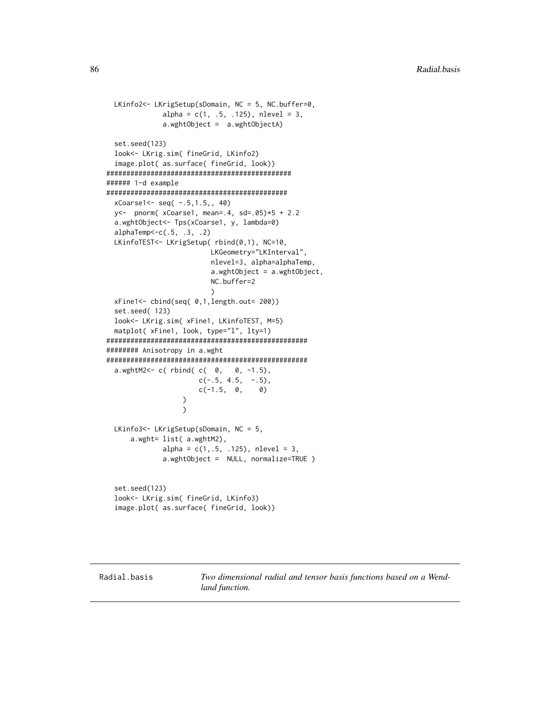```
LKinfo2<- LKrigSetup(sDomain, NC = 5, NC.buffer=0,
              alpha = c(1, .5, .125), nlevel = 3,
              a.wghtObject = a.wghtObjectA)
 set.seed(123)
 look<- LKrig.sim( fineGrid, LKinfo2)
  image.plot( as.surface( fineGrid, look))
##############################################
###### 1-d example
#############################################
 xCoarse1<- seq( -.5,1.5,, 40)
 y<- pnorm( xCoarse1, mean=.4, sd=.05)*5 + 2.2
 a.wghtObject<- Tps(xCoarse1, y, lambda=0)
 alphaTemp<-c(.5, .3, .2)
 LKinfoTEST<- LKrigSetup( rbind(0,1), NC=10,
                         LKGeometry="LKInterval",
                         nlevel=3, alpha=alphaTemp,
                          a.wghtObject = a.wghtObject,
                          NC.buffer=2
                          )
 xFine1<- cbind(seq( 0,1,length.out= 200))
 set.seed( 123)
 look<- LKrig.sim( xFine1, LKinfoTEST, M=5)
 matplot( xFine1, look, type="l", lty=1)
##################################################
######## Anisotropy in a.wght
##################################################
 a.wghtM2<- c( rbind( c( 0, 0, -1.5),
                      c(-.5, 4.5, -.5),
                      c(-1.5, 0, 0))
                   )
 LKinfo3<- LKrigSetup(sDomain, NC = 5,
     a.wght= list( a.wghtM2),
             alpha = c(1, .5, .125), nlevel = 3,
             a.wghtObject = NULL, normalize=TRUE )
 set.seed(123)
 look<- LKrig.sim( fineGrid, LKinfo3)
 image.plot( as.surface( fineGrid, look))
```
Radial.basis *Two dimensional radial and tensor basis functions based on a Wendland function.*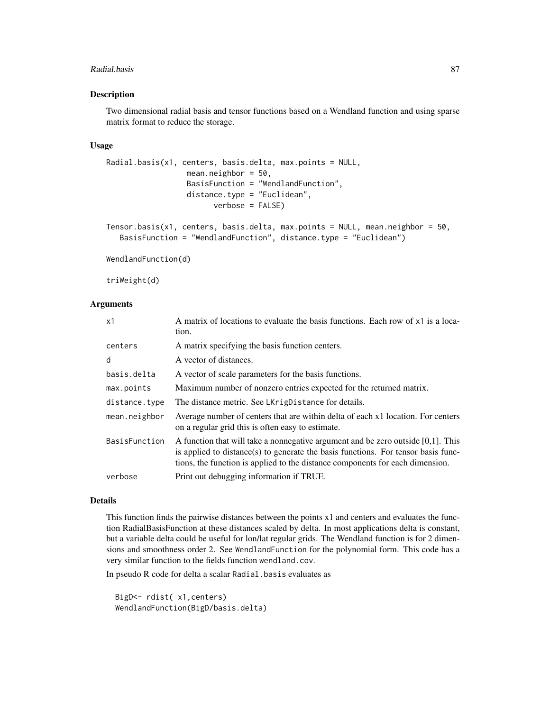#### Radial.basis 87

#### Description

Two dimensional radial basis and tensor functions based on a Wendland function and using sparse matrix format to reduce the storage.

# Usage

```
Radial.basis(x1, centers, basis.delta, max.points = NULL,
                  mean.neighbor = 50,
                  BasisFunction = "WendlandFunction",
                  distance.type = "Euclidean",
                        verbose = FALSE)
Tensor.basis(x1, centers, basis.delta, max.points = NULL, mean.neighbor = 50,
```

```
BasisFunction = "WendlandFunction", distance.type = "Euclidean")
```
WendlandFunction(d)

triWeight(d)

# Arguments

| x1            | A matrix of locations to evaluate the basis functions. Each row of x1 is a loca-<br>tion.                                                                                                                                                                 |
|---------------|-----------------------------------------------------------------------------------------------------------------------------------------------------------------------------------------------------------------------------------------------------------|
| centers       | A matrix specifying the basis function centers.                                                                                                                                                                                                           |
| d             | A vector of distances.                                                                                                                                                                                                                                    |
| basis.delta   | A vector of scale parameters for the basis functions.                                                                                                                                                                                                     |
| max.points    | Maximum number of nonzero entries expected for the returned matrix.                                                                                                                                                                                       |
| distance.type | The distance metric. See LKrigDistance for details.                                                                                                                                                                                                       |
| mean.neighbor | Average number of centers that are within delta of each x1 location. For centers<br>on a regular grid this is often easy to estimate.                                                                                                                     |
| BasisFunction | A function that will take a nonnegative argument and be zero outside $[0,1]$ . This<br>is applied to distance(s) to generate the basis functions. For tensor basis func-<br>tions, the function is applied to the distance components for each dimension. |
| verbose       | Print out debugging information if TRUE.                                                                                                                                                                                                                  |

#### Details

This function finds the pairwise distances between the points x1 and centers and evaluates the function RadialBasisFunction at these distances scaled by delta. In most applications delta is constant, but a variable delta could be useful for lon/lat regular grids. The Wendland function is for 2 dimensions and smoothness order 2. See WendlandFunction for the polynomial form. This code has a very similar function to the fields function wendland.cov.

In pseudo R code for delta a scalar Radial.basis evaluates as

BigD<- rdist( x1,centers) WendlandFunction(BigD/basis.delta)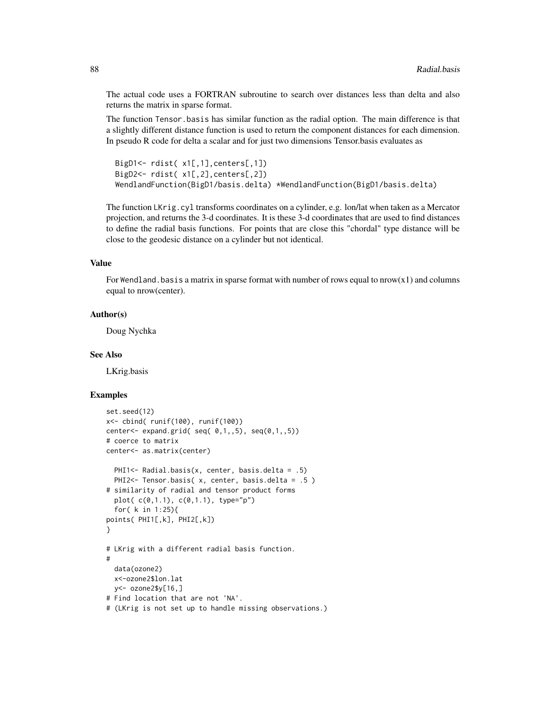The actual code uses a FORTRAN subroutine to search over distances less than delta and also returns the matrix in sparse format.

The function Tensor.basis has similar function as the radial option. The main difference is that a slightly different distance function is used to return the component distances for each dimension. In pseudo R code for delta a scalar and for just two dimensions Tensor.basis evaluates as

```
BigD1<- rdist( x1[,1],centers[,1])
BigD2<- rdist( x1[,2],centers[,2])
WendlandFunction(BigD1/basis.delta) *WendlandFunction(BigD1/basis.delta)
```
The function LKrig.cyl transforms coordinates on a cylinder, e.g. lon/lat when taken as a Mercator projection, and returns the 3-d coordinates. It is these 3-d coordinates that are used to find distances to define the radial basis functions. For points that are close this "chordal" type distance will be close to the geodesic distance on a cylinder but not identical.

#### Value

For Wendland. basis a matrix in sparse format with number of rows equal to  $\text{arrows}(x1)$  and columns equal to nrow(center).

#### Author(s)

Doug Nychka

#### See Also

LKrig.basis

#### Examples

```
set.seed(12)
x<- cbind( runif(100), runif(100))
center <- expand.grid( seq( 0,1,5), seq(0,1,5))
# coerce to matrix
center<- as.matrix(center)
 PHI1<- Radial.basis(x, center, basis.delta = .5)
 PHI2<- Tensor.basis( x, center, basis.delta = .5 )
# similarity of radial and tensor product forms
 plot( c(0,1.1), c(0,1.1), type="p")
 for( k in 1:25){
points( PHI1[,k], PHI2[,k])
}
# LKrig with a different radial basis function.
#
 data(ozone2)
 x<-ozone2$lon.lat
 y<- ozone2$y[16,]
# Find location that are not 'NA'.
# (LKrig is not set up to handle missing observations.)
```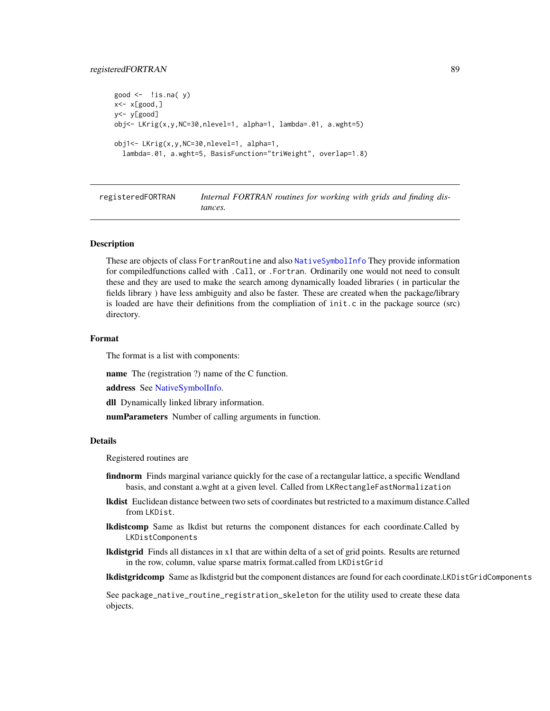# <span id="page-88-0"></span>registeredFORTRAN 89

```
good \leq - !is.na( y)
x < -x[good, ]y<- y[good]
obj<- LKrig(x,y,NC=30,nlevel=1, alpha=1, lambda=.01, a.wght=5)
obj1<- LKrig(x,y,NC=30,nlevel=1, alpha=1,
  lambda=.01, a.wght=5, BasisFunction="triWeight", overlap=1.8)
```
registeredFORTRAN *Internal FORTRAN routines for working with grids and finding distances.*

# Description

These are objects of class FortranRoutine and also [NativeSymbolInfo](#page-0-0) They provide information for compiledfunctions called with .Call, or .Fortran. Ordinarily one would not need to consult these and they are used to make the search among dynamically loaded libraries ( in particular the fields library ) have less ambiguity and also be faster. These are created when the package/library is loaded are have their definitions from the compliation of init.c in the package source (src) directory.

#### Format

The format is a list with components:

name The (registration ?) name of the C function.

address See [NativeSymbolInfo.](#page-0-0)

dll Dynamically linked library information.

numParameters Number of calling arguments in function.

#### Details

Registered routines are

- findnorm Finds marginal variance quickly for the case of a rectangular lattice, a specific Wendland basis, and constant a.wght at a given level. Called from LKRectangleFastNormalization
- lkdist Euclidean distance between two sets of coordinates but restricted to a maximum distance.Called from LKDist.
- lkdistcomp Same as lkdist but returns the component distances for each coordinate.Called by LKDistComponents
- lkdistgrid Finds all distances in x1 that are within delta of a set of grid points. Results are returned in the row, column, value sparse matrix format.called from LKDistGrid

lkdistgridcomp Same as lkdistgrid but the component distances are found for each coordinate.LKDistGridComponents

See package\_native\_routine\_registration\_skeleton for the utility used to create these data objects.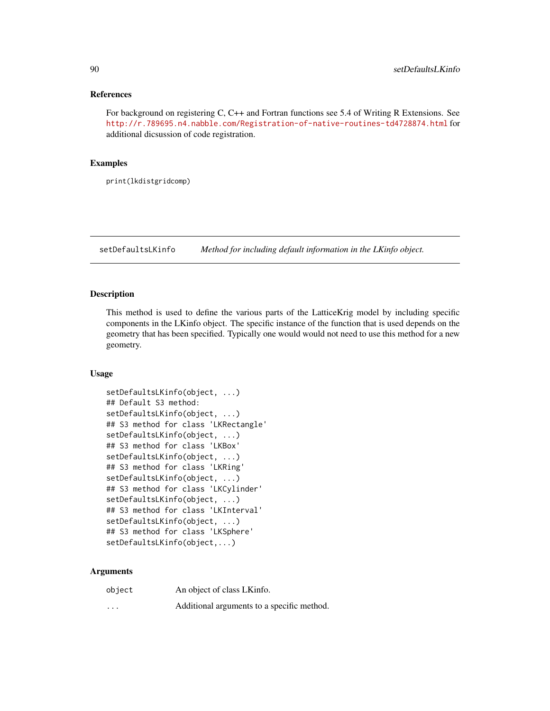#### <span id="page-89-0"></span>References

For background on registering C, C++ and Fortran functions see 5.4 of Writing R Extensions. See <http://r.789695.n4.nabble.com/Registration-of-native-routines-td4728874.html> for additional dicsussion of code registration.

## Examples

print(lkdistgridcomp)

setDefaultsLKinfo *Method for including default information in the LKinfo object.*

# Description

This method is used to define the various parts of the LatticeKrig model by including specific components in the LKinfo object. The specific instance of the function that is used depends on the geometry that has been specified. Typically one would would not need to use this method for a new geometry.

# Usage

```
setDefaultsLKinfo(object, ...)
## Default S3 method:
setDefaultsLKinfo(object, ...)
## S3 method for class 'LKRectangle'
setDefaultsLKinfo(object, ...)
## S3 method for class 'LKBox'
setDefaultsLKinfo(object, ...)
## S3 method for class 'LKRing'
setDefaultsLKinfo(object, ...)
## S3 method for class 'LKCylinder'
setDefaultsLKinfo(object, ...)
## S3 method for class 'LKInterval'
setDefaultsLKinfo(object, ...)
## S3 method for class 'LKSphere'
setDefaultsLKinfo(object,...)
```
#### Arguments

| object   | An object of class LKinfo.                 |
|----------|--------------------------------------------|
| $\cdots$ | Additional arguments to a specific method. |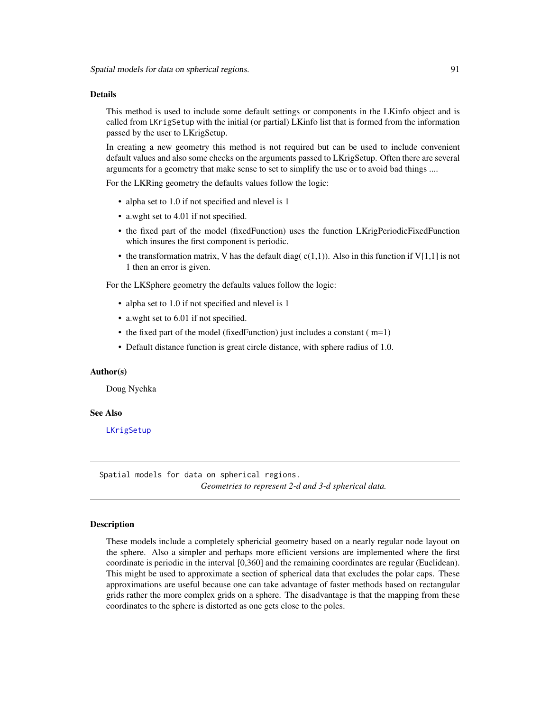#### <span id="page-90-0"></span>Details

This method is used to include some default settings or components in the LKinfo object and is called from LKrigSetup with the initial (or partial) LKinfo list that is formed from the information passed by the user to LKrigSetup.

In creating a new geometry this method is not required but can be used to include convenient default values and also some checks on the arguments passed to LKrigSetup. Often there are several arguments for a geometry that make sense to set to simplify the use or to avoid bad things ....

For the LKRing geometry the defaults values follow the logic:

- alpha set to 1.0 if not specified and nlevel is 1
- a.wght set to 4.01 if not specified.
- the fixed part of the model (fixedFunction) uses the function LKrigPeriodicFixedFunction which insures the first component is periodic.
- the transformation matrix, V has the default diag( $c(1,1)$ ). Also in this function if V[1,1] is not 1 then an error is given.

For the LKSphere geometry the defaults values follow the logic:

- alpha set to 1.0 if not specified and nlevel is 1
- a.wght set to 6.01 if not specified.
- the fixed part of the model (fixed Function) just includes a constant ( $m=1$ )
- Default distance function is great circle distance, with sphere radius of 1.0.

#### Author(s)

Doug Nychka

#### See Also

[LKrigSetup](#page-71-0)

Spatial models for data on spherical regions. *Geometries to represent 2-d and 3-d spherical data.*

# **Description**

These models include a completely sphericial geometry based on a nearly regular node layout on the sphere. Also a simpler and perhaps more efficient versions are implemented where the first coordinate is periodic in the interval [0,360] and the remaining coordinates are regular (Euclidean). This might be used to approximate a section of spherical data that excludes the polar caps. These approximations are useful because one can take advantage of faster methods based on rectangular grids rather the more complex grids on a sphere. The disadvantage is that the mapping from these coordinates to the sphere is distorted as one gets close to the poles.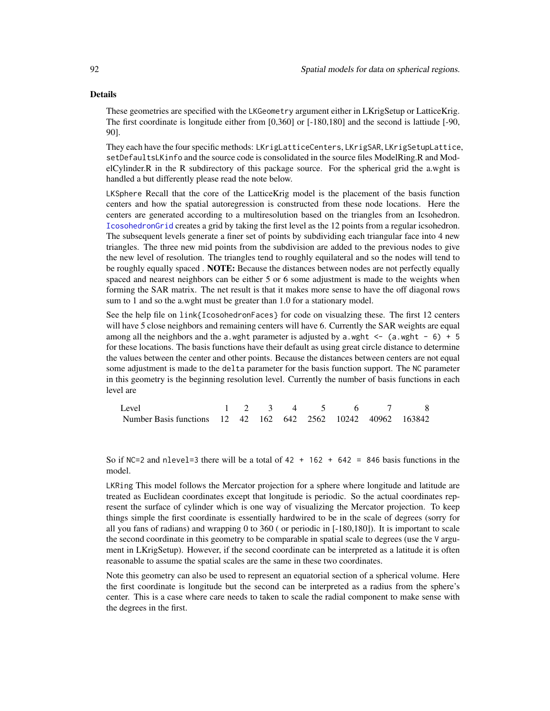#### <span id="page-91-0"></span>Details

These geometries are specified with the LKGeometry argument either in LKrigSetup or LatticeKrig. The first coordinate is longitude either from [0,360] or [-180,180] and the second is lattiude [-90, 90].

They each have the four specific methods: LKrigLatticeCenters, LKrigSAR, LKrigSetupLattice, setDefaultsLKinfo and the source code is consolidated in the source files ModelRing.R and ModelCylinder.R in the R subdirectory of this package source. For the spherical grid the a.wght is handled a but differently please read the note below.

LKSphere Recall that the core of the LatticeKrig model is the placement of the basis function centers and how the spatial autoregression is constructed from these node locations. Here the centers are generated according to a multiresolution based on the triangles from an Icsohedron. [IcosohedronGrid](#page-4-0) creates a grid by taking the first level as the 12 points from a regular icsohedron. The subsequent levels generate a finer set of points by subdividing each triangular face into 4 new triangles. The three new mid points from the subdivision are added to the previous nodes to give the new level of resolution. The triangles tend to roughly equilateral and so the nodes will tend to be roughly equally spaced . **NOTE:** Because the distances between nodes are not perfectly equally spaced and nearest neighbors can be either 5 or 6 some adjustment is made to the weights when forming the SAR matrix. The net result is that it makes more sense to have the off diagonal rows sum to 1 and so the a.wght must be greater than 1.0 for a stationary model.

See the help file on link{IcosohedronFaces} for code on visualzing these. The first 12 centers will have 5 close neighbors and remaining centers will have 6. Currently the SAR weights are equal among all the neighbors and the a.wght parameter is adjusted by a.wght  $\leq -$  (a.wght  $-$  6) + 5 for these locations. The basis functions have their default as using great circle distance to determine the values between the center and other points. Because the distances between centers are not equal some adjustment is made to the delta parameter for the basis function support. The NC parameter in this geometry is the beginning resolution level. Currently the number of basis functions in each level are

| Level                                                        |  |  | 1 2 3 4 5 6 7 8 |  |
|--------------------------------------------------------------|--|--|-----------------|--|
| Number Basis functions 12 42 162 642 2562 10242 40962 163842 |  |  |                 |  |

So if NC=2 and nlevel=3 there will be a total of  $42 + 162 + 642 = 846$  basis functions in the model.

LKRing This model follows the Mercator projection for a sphere where longitude and latitude are treated as Euclidean coordinates except that longitude is periodic. So the actual coordinates represent the surface of cylinder which is one way of visualizing the Mercator projection. To keep things simple the first coordinate is essentially hardwired to be in the scale of degrees (sorry for all you fans of radians) and wrapping 0 to 360 ( or periodic in [-180,180]). It is important to scale the second coordinate in this geometry to be comparable in spatial scale to degrees (use the V argument in LKrigSetup). However, if the second coordinate can be interpreted as a latitude it is often reasonable to assume the spatial scales are the same in these two coordinates.

Note this geometry can also be used to represent an equatorial section of a spherical volume. Here the first coordinate is longitude but the second can be interpreted as a radius from the sphere's center. This is a case where care needs to taken to scale the radial component to make sense with the degrees in the first.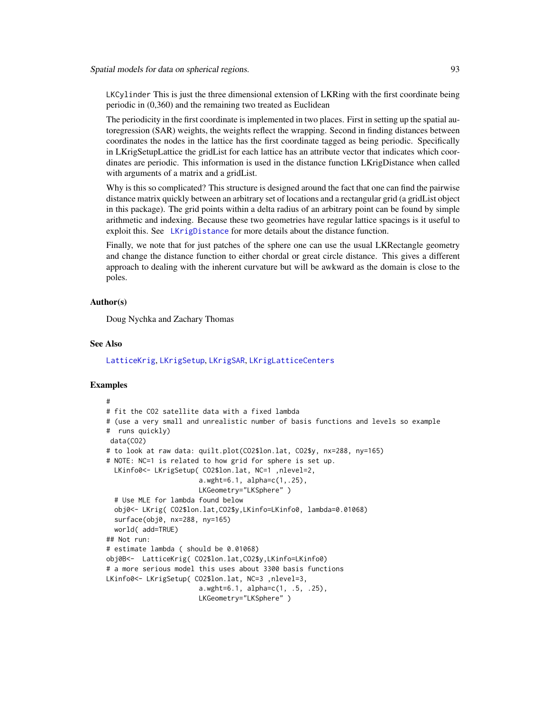<span id="page-92-0"></span>LKCylinder This is just the three dimensional extension of LKRing with the first coordinate being periodic in (0,360) and the remaining two treated as Euclidean

The periodicity in the first coordinate is implemented in two places. First in setting up the spatial autoregression (SAR) weights, the weights reflect the wrapping. Second in finding distances between coordinates the nodes in the lattice has the first coordinate tagged as being periodic. Specifically in LKrigSetupLattice the gridList for each lattice has an attribute vector that indicates which coordinates are periodic. This information is used in the distance function LKrigDistance when called with arguments of a matrix and a gridList.

Why is this so complicated? This structure is designed around the fact that one can find the pairwise distance matrix quickly between an arbitrary set of locations and a rectangular grid (a gridList object in this package). The grid points within a delta radius of an arbitrary point can be found by simple arithmetic and indexing. Because these two geometries have regular lattice spacings is it useful to exploit this. See [LKrigDistance](#page-66-1) for more details about the distance function.

Finally, we note that for just patches of the sphere one can use the usual LKRectangle geometry and change the distance function to either chordal or great circle distance. This gives a different approach to dealing with the inherent curvature but will be awkward as the domain is close to the poles.

# Author(s)

Doug Nychka and Zachary Thomas

#### See Also

[LatticeKrig](#page-6-0), [LKrigSetup](#page-71-0), [LKrigSAR](#page-70-0), [LKrigLatticeCenters](#page-66-0)

# Examples

```
#
# fit the CO2 satellite data with a fixed lambda
# (use a very small and unrealistic number of basis functions and levels so example
# runs quickly)
data(CO2)
# to look at raw data: quilt.plot(CO2$lon.lat, CO2$y, nx=288, ny=165)
# NOTE: NC=1 is related to how grid for sphere is set up.
 LKinfo0<- LKrigSetup( CO2$lon.lat, NC=1 ,nlevel=2,
                       a.wght=6.1, alpha=c(1,.25),
                       LKGeometry="LKSphere" )
 # Use MLE for lambda found below
 obj0<- LKrig( CO2$lon.lat,CO2$y,LKinfo=LKinfo0, lambda=0.01068)
 surface(obj0, nx=288, ny=165)
 world( add=TRUE)
## Not run:
# estimate lambda ( should be 0.01068)
obj0B<- LatticeKrig( CO2$lon.lat,CO2$y,LKinfo=LKinfo0)
# a more serious model this uses about 3300 basis functions
LKinfo0<- LKrigSetup( CO2$lon.lat, NC=3 ,nlevel=3,
                       a.wght=6.1, alpha=c(1, .5, .25),
                       LKGeometry="LKSphere" )
```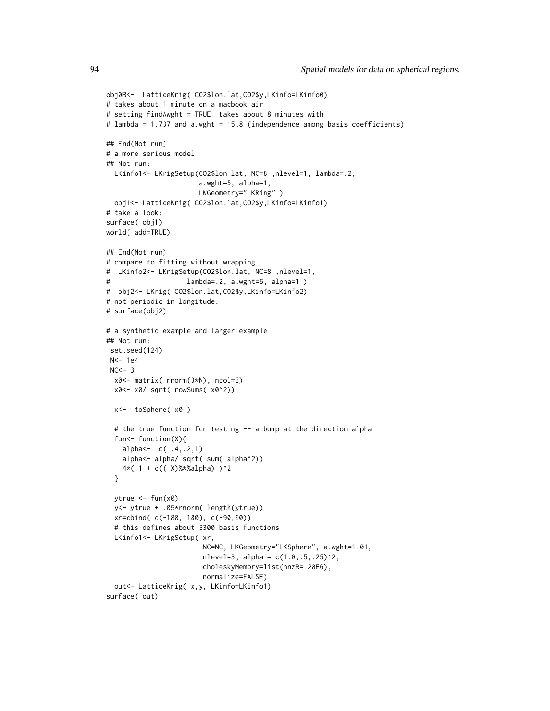```
obj0B<- LatticeKrig( CO2$lon.lat,CO2$y,LKinfo=LKinfo0)
# takes about 1 minute on a macbook air
# setting findAwght = TRUE takes about 8 minutes with
# lambda = 1.737 and a.wght = 15.8 (independence among basis coefficients)
## End(Not run)
# a more serious model
## Not run:
  LKinfo1<- LKrigSetup(CO2$lon.lat, NC=8 ,nlevel=1, lambda=.2,
                       a.wght=5, alpha=1,
                       LKGeometry="LKRing" )
  obj1<- LatticeKrig( CO2$lon.lat,CO2$y,LKinfo=LKinfo1)
# take a look:
surface( obj1)
world( add=TRUE)
## End(Not run)
# compare to fitting without wrapping
# LKinfo2<- LKrigSetup(CO2$lon.lat, NC=8 ,nlevel=1,
# lambda=.2, a.wght=5, alpha=1 )
# obj2<- LKrig( CO2$lon.lat,CO2$y,LKinfo=LKinfo2)
# not periodic in longitude:
# surface(obj2)
# a synthetic example and larger example
## Not run:
 set.seed(124)
 N<- 1e4
 NC < - 3x0<- matrix( rnorm(3*N), ncol=3)
 x0<- x0/ sqrt( rowSums( x0^2))
  x<- toSphere( x0 )
  # the true function for testing -- a bump at the direction alpha
  fun<- function(X){
   alpha<- c( .4,.2,1)
   alpha<- alpha/ sqrt( sum( alpha^2))
    4*( 1 + c(( X)%*%alpha) )^2
  }
  ytrue <- fun(x0)
  y<- ytrue + .05*rnorm( length(ytrue))
  xr=cbind( c(-180, 180), c(-90,90))
  # this defines about 3300 basis functions
  LKinfo1<- LKrigSetup( xr,
                       NC=NC, LKGeometry="LKSphere", a.wght=1.01,
                       nlevel=3, alpha = c(1.0, .5, .25)^2,
                        choleskyMemory=list(nnzR= 20E6),
                       normalize=FALSE)
  out<- LatticeKrig( x,y, LKinfo=LKinfo1)
surface( out)
```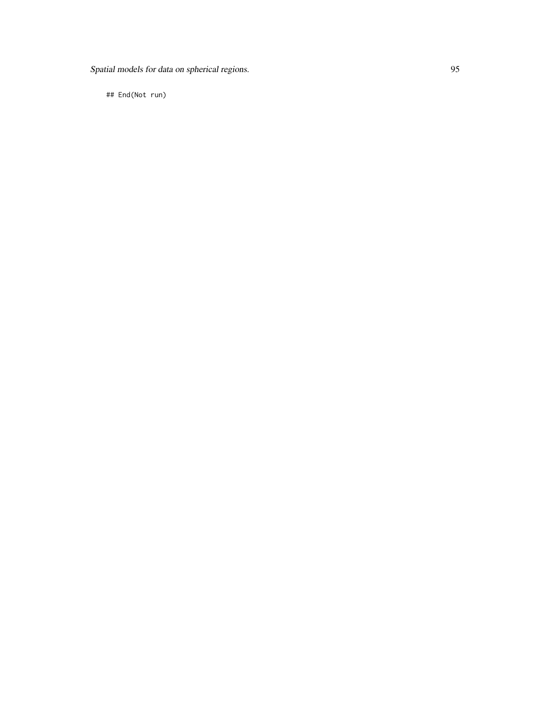Spatial models for data on spherical regions. 95

## End(Not run)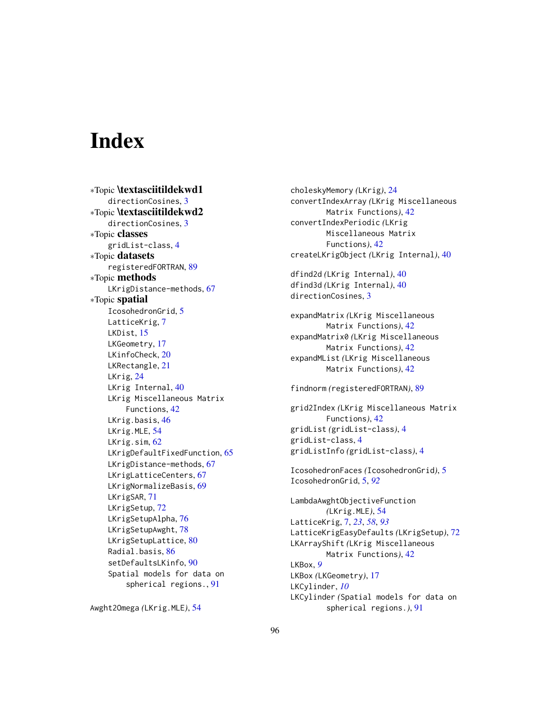# **Index**

∗Topic \textasciitildekwd1 directionCosines, [3](#page-2-0) ∗Topic \textasciitildekwd2 directionCosines, [3](#page-2-0) ∗Topic classes gridList-class, [4](#page-3-0) ∗Topic datasets registeredFORTRAN, [89](#page-88-0) ∗Topic methods LKrigDistance-methods, [67](#page-66-2) ∗Topic spatial IcosohedronGrid, [5](#page-4-1) LatticeKrig, [7](#page-6-1) LKDist, [15](#page-14-0) LKGeometry, [17](#page-16-1) LKinfoCheck, [20](#page-19-0) LKRectangle, [21](#page-20-0) LKrig, [24](#page-23-1) LKrig Internal, [40](#page-39-0) LKrig Miscellaneous Matrix Functions, [42](#page-41-0) LKrig.basis, [46](#page-45-0) LKrig.MLE, [54](#page-53-0) LKrig.sim, [62](#page-61-0) LKrigDefaultFixedFunction, [65](#page-64-0) LKrigDistance-methods, [67](#page-66-2) LKrigLatticeCenters, [67](#page-66-2) LKrigNormalizeBasis, [69](#page-68-0) LKrigSAR, [71](#page-70-1) LKrigSetup, [72](#page-71-1) LKrigSetupAlpha, [76](#page-75-1) LKrigSetupAwght, [78](#page-77-1) LKrigSetupLattice, [80](#page-79-0) Radial.basis, [86](#page-85-0) setDefaultsLKinfo, [90](#page-89-0) Spatial models for data on spherical regions., [91](#page-90-0)

choleskyMemory *(*LKrig*)*, [24](#page-23-1) convertIndexArray *(*LKrig Miscellaneous Matrix Functions*)*, [42](#page-41-0) convertIndexPeriodic *(*LKrig Miscellaneous Matrix Functions*)*, [42](#page-41-0) createLKrigObject *(*LKrig Internal*)*, [40](#page-39-0) dfind2d *(*LKrig Internal*)*, [40](#page-39-0) dfind3d *(*LKrig Internal*)*, [40](#page-39-0) directionCosines, [3](#page-2-0) expandMatrix *(*LKrig Miscellaneous Matrix Functions*)*, [42](#page-41-0) expandMatrix0 *(*LKrig Miscellaneous Matrix Functions*)*, [42](#page-41-0) expandMList *(*LKrig Miscellaneous Matrix Functions*)*, [42](#page-41-0) findnorm *(*registeredFORTRAN*)*, [89](#page-88-0) grid2Index *(*LKrig Miscellaneous Matrix Functions*)*, [42](#page-41-0) gridList *(*gridList-class*)*, [4](#page-3-0) gridList-class, [4](#page-3-0) gridListInfo *(*gridList-class*)*, [4](#page-3-0) IcosohedronFaces *(*IcosohedronGrid*)*, [5](#page-4-1) IcosohedronGrid, [5,](#page-4-1) *[92](#page-91-0)* LambdaAwghtObjectiveFunction *(*LKrig.MLE*)*, [54](#page-53-0) LatticeKrig, [7,](#page-6-1) *[23](#page-22-0)*, *[58](#page-57-0)*, *[93](#page-92-0)* LatticeKrigEasyDefaults *(*LKrigSetup*)*, [72](#page-71-1) LKArrayShift *(*LKrig Miscellaneous Matrix Functions*)*, [42](#page-41-0) LKBox, *[9](#page-8-0)* LKBox *(*LKGeometry*)*, [17](#page-16-1) LKCylinder, *[10](#page-9-0)* LKCylinder *(*Spatial models for data on spherical regions.*)*, [91](#page-90-0)

Awght2Omega *(*LKrig.MLE*)*, [54](#page-53-0)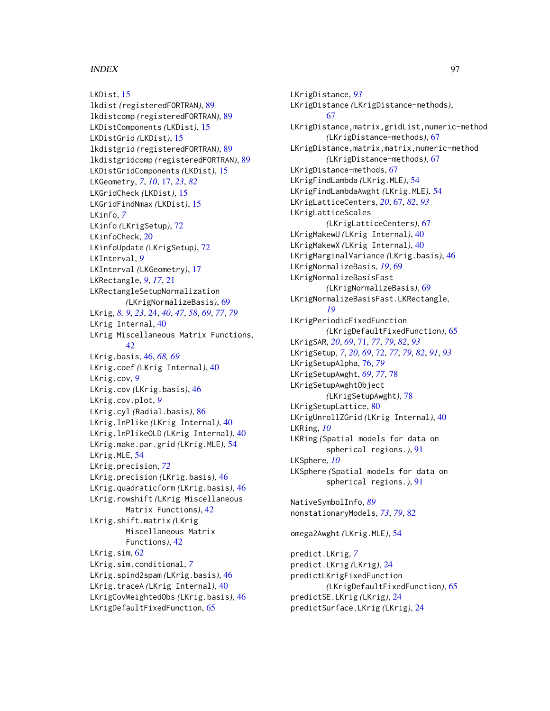# INDEX 97

LKDist, [15](#page-14-0) lkdist *(*registeredFORTRAN*)*, [89](#page-88-0) lkdistcomp *(*registeredFORTRAN*)*, [89](#page-88-0) LKDistComponents *(*LKDist*)*, [15](#page-14-0) LKDistGrid *(*LKDist*)*, [15](#page-14-0) lkdistgrid *(*registeredFORTRAN*)*, [89](#page-88-0) lkdistgridcomp *(*registeredFORTRAN*)*, [89](#page-88-0) LKDistGridComponents *(*LKDist*)*, [15](#page-14-0) LKGeometry, *[7](#page-6-1)*, *[10](#page-9-0)*, [17,](#page-16-1) *[23](#page-22-0)*, *[82](#page-81-1)* LKGridCheck *(*LKDist*)*, [15](#page-14-0) LKGridFindNmax *(*LKDist*)*, [15](#page-14-0) LKinfo, *[7](#page-6-1)* LKinfo *(*LKrigSetup*)*, [72](#page-71-1) LKinfoCheck, [20](#page-19-0) LKinfoUpdate *(*LKrigSetup*)*, [72](#page-71-1) LKInterval, *[9](#page-8-0)* LKInterval *(*LKGeometry*)*, [17](#page-16-1) LKRectangle, *[9](#page-8-0)*, *[17](#page-16-1)*, [21](#page-20-0) LKRectangleSetupNormalization *(*LKrigNormalizeBasis*)*, [69](#page-68-0) LKrig, *[8,](#page-7-0) [9](#page-8-0)*, *[23](#page-22-0)*, [24,](#page-23-1) *[40](#page-39-0)*, *[47](#page-46-0)*, *[58](#page-57-0)*, *[69](#page-68-0)*, *[77](#page-76-0)*, *[79](#page-78-0)* LKrig Internal, [40](#page-39-0) LKrig Miscellaneous Matrix Functions, [42](#page-41-0) LKrig.basis, [46,](#page-45-0) *[68,](#page-67-0) [69](#page-68-0)* LKrig.coef *(*LKrig Internal*)*, [40](#page-39-0) LKrig.cov, *[9](#page-8-0)* LKrig.cov *(*LKrig.basis*)*, [46](#page-45-0) LKrig.cov.plot, *[9](#page-8-0)* LKrig.cyl *(*Radial.basis*)*, [86](#page-85-0) LKrig.lnPlike *(*LKrig Internal*)*, [40](#page-39-0) LKrig.lnPlikeOLD *(*LKrig Internal*)*, [40](#page-39-0) LKrig.make.par.grid *(*LKrig.MLE*)*, [54](#page-53-0) LKrig.MLE, [54](#page-53-0) LKrig.precision, *[72](#page-71-1)* LKrig.precision *(*LKrig.basis*)*, [46](#page-45-0) LKrig.quadraticform *(*LKrig.basis*)*, [46](#page-45-0) LKrig.rowshift *(*LKrig Miscellaneous Matrix Functions*)*, [42](#page-41-0) LKrig.shift.matrix *(*LKrig Miscellaneous Matrix Functions*)*, [42](#page-41-0) LKrig.sim, [62](#page-61-0) LKrig.sim.conditional, *[7](#page-6-1)* LKrig.spind2spam *(*LKrig.basis*)*, [46](#page-45-0) LKrig.traceA *(*LKrig Internal*)*, [40](#page-39-0) LKrigCovWeightedObs *(*LKrig.basis*)*, [46](#page-45-0) LKrigDefaultFixedFunction, [65](#page-64-0)

LKrigDistance, *[93](#page-92-0)* LKrigDistance *(*LKrigDistance-methods*)*, [67](#page-66-2) LKrigDistance,matrix,gridList,numeric-method *(*LKrigDistance-methods*)*, [67](#page-66-2) LKrigDistance,matrix,matrix,numeric-method *(*LKrigDistance-methods*)*, [67](#page-66-2) LKrigDistance-methods, [67](#page-66-2) LKrigFindLambda *(*LKrig.MLE*)*, [54](#page-53-0) LKrigFindLambdaAwght *(*LKrig.MLE*)*, [54](#page-53-0) LKrigLatticeCenters, *[20](#page-19-0)*, [67,](#page-66-2) *[82](#page-81-1)*, *[93](#page-92-0)* LKrigLatticeScales *(*LKrigLatticeCenters*)*, [67](#page-66-2) LKrigMakewU *(*LKrig Internal*)*, [40](#page-39-0) LKrigMakewX *(*LKrig Internal*)*, [40](#page-39-0) LKrigMarginalVariance *(*LKrig.basis*)*, [46](#page-45-0) LKrigNormalizeBasis, *[19](#page-18-0)*, [69](#page-68-0) LKrigNormalizeBasisFast *(*LKrigNormalizeBasis*)*, [69](#page-68-0) LKrigNormalizeBasisFast.LKRectangle, *[19](#page-18-0)* LKrigPeriodicFixedFunction *(*LKrigDefaultFixedFunction*)*, [65](#page-64-0) LKrigSAR, *[20](#page-19-0)*, *[69](#page-68-0)*, [71,](#page-70-1) *[77](#page-76-0)*, *[79](#page-78-0)*, *[82](#page-81-1)*, *[93](#page-92-0)* LKrigSetup, *[7](#page-6-1)*, *[20](#page-19-0)*, *[69](#page-68-0)*, [72,](#page-71-1) *[77](#page-76-0)*, *[79](#page-78-0)*, *[82](#page-81-1)*, *[91](#page-90-0)*, *[93](#page-92-0)* LKrigSetupAlpha, [76,](#page-75-1) *[79](#page-78-0)* LKrigSetupAwght, *[69](#page-68-0)*, *[77](#page-76-0)*, [78](#page-77-1) LKrigSetupAwghtObject *(*LKrigSetupAwght*)*, [78](#page-77-1) LKrigSetupLattice, [80](#page-79-0) LKrigUnrollZGrid *(*LKrig Internal*)*, [40](#page-39-0) LKRing, *[10](#page-9-0)* LKRing *(*Spatial models for data on spherical regions.*)*, [91](#page-90-0) LKSphere, *[10](#page-9-0)* LKSphere *(*Spatial models for data on spherical regions.*)*, [91](#page-90-0) NativeSymbolInfo, *[89](#page-88-0)* nonstationaryModels, *[73](#page-72-0)*, *[79](#page-78-0)*, [82](#page-81-1) omega2Awght *(*LKrig.MLE*)*, [54](#page-53-0) predict.LKrig, *[7](#page-6-1)* predict.LKrig *(*LKrig*)*, [24](#page-23-1) predictLKrigFixedFunction *(*LKrigDefaultFixedFunction*)*, [65](#page-64-0) predictSE.LKrig *(*LKrig*)*, [24](#page-23-1) predictSurface.LKrig *(*LKrig*)*, [24](#page-23-1)